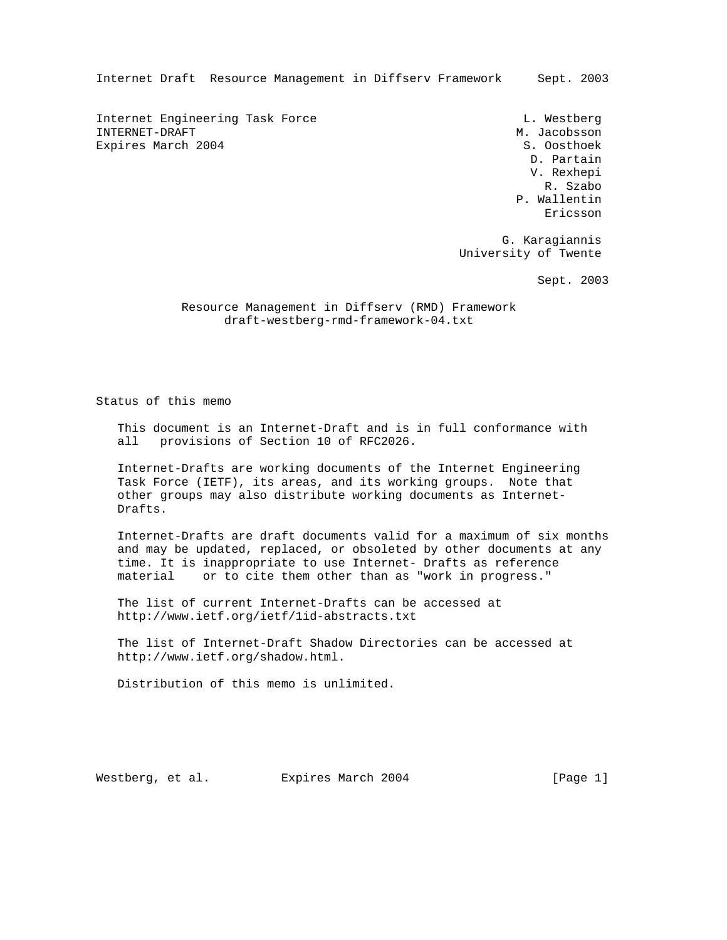Internet Draft Resource Management in Diffserv Framework Sept. 2003

Internet Engineering Task Force and Communications of L. Westberg INTERNET-DRAFT METHODS AND THE SERVICE OF A SERVICE OF A SERVICE OF A SERVICE OF A SERVICE OF A SERVICE OF A SERVICE OF A SERVICE OF A SERVICE OF A SERVICE OF A SERVICE OF A SERVICE OF A SERVICE OF A SERVICE OF A SERVICE O Expires March 2004 S. Oosthoek

 D. Partain V. Rexhepi R. Szabo P. Wallentin eric and the contract of the contract of the contract of the contract of the contract of the contract of the contract of the contract of the contract of the contract of the contract of the contract of the contract of the c

> G. Karagiannis University of Twente

> > Sept. 2003

 Resource Management in Diffserv (RMD) Framework draft-westberg-rmd-framework-04.txt

Status of this memo

 This document is an Internet-Draft and is in full conformance with all provisions of Section 10 of RFC2026.

 Internet-Drafts are working documents of the Internet Engineering Task Force (IETF), its areas, and its working groups. Note that other groups may also distribute working documents as Internet- Drafts.

 Internet-Drafts are draft documents valid for a maximum of six months and may be updated, replaced, or obsoleted by other documents at any time. It is inappropriate to use Internet- Drafts as reference material or to cite them other than as "work in progress."

 The list of current Internet-Drafts can be accessed at http://www.ietf.org/ietf/1id-abstracts.txt

 The list of Internet-Draft Shadow Directories can be accessed at http://www.ietf.org/shadow.html.

Distribution of this memo is unlimited.

Westberg, et al. Expires March 2004 [Page 1]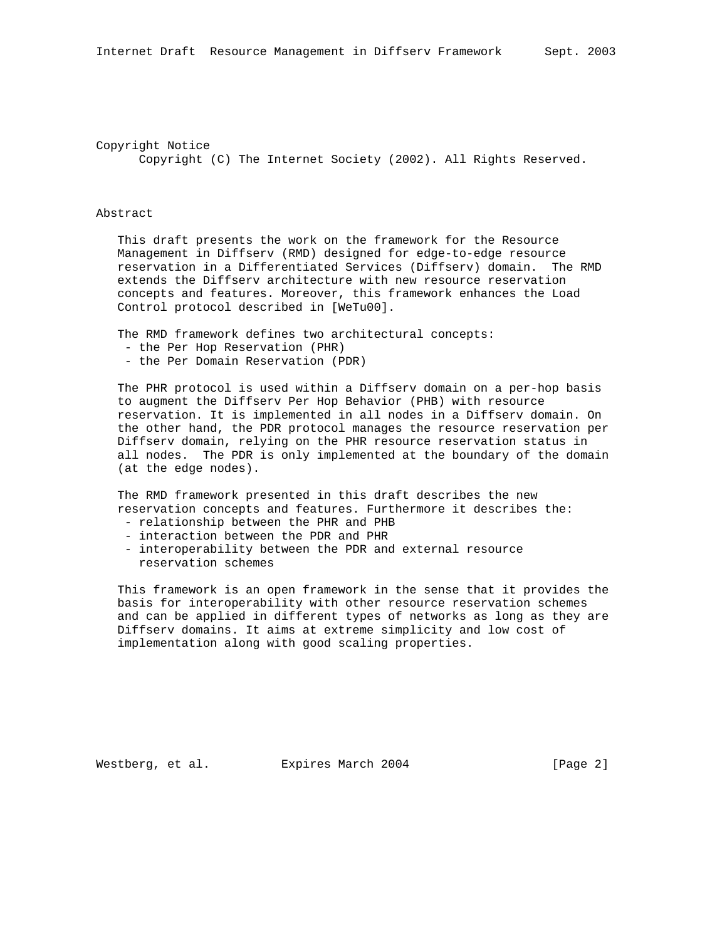Copyright Notice Copyright (C) The Internet Society (2002). All Rights Reserved.

## Abstract

 This draft presents the work on the framework for the Resource Management in Diffserv (RMD) designed for edge-to-edge resource reservation in a Differentiated Services (Diffserv) domain. The RMD extends the Diffserv architecture with new resource reservation concepts and features. Moreover, this framework enhances the Load Control protocol described in [WeTu00].

The RMD framework defines two architectural concepts:

- the Per Hop Reservation (PHR)
- the Per Domain Reservation (PDR)

 The PHR protocol is used within a Diffserv domain on a per-hop basis to augment the Diffserv Per Hop Behavior (PHB) with resource reservation. It is implemented in all nodes in a Diffserv domain. On the other hand, the PDR protocol manages the resource reservation per Diffserv domain, relying on the PHR resource reservation status in all nodes. The PDR is only implemented at the boundary of the domain (at the edge nodes).

 The RMD framework presented in this draft describes the new reservation concepts and features. Furthermore it describes the:

- relationship between the PHR and PHB
- interaction between the PDR and PHR
- interoperability between the PDR and external resource reservation schemes

 This framework is an open framework in the sense that it provides the basis for interoperability with other resource reservation schemes and can be applied in different types of networks as long as they are Diffserv domains. It aims at extreme simplicity and low cost of implementation along with good scaling properties.

Westberg, et al. Expires March 2004 [Page 2]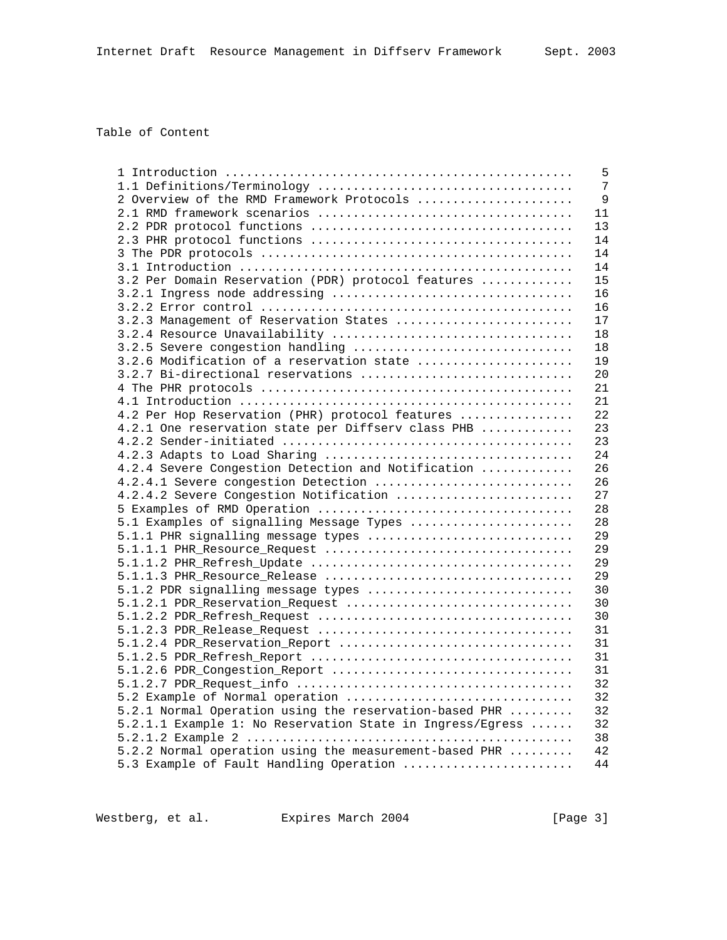# Table of Content

|                                                           | 5  |
|-----------------------------------------------------------|----|
|                                                           | 7  |
| 2 Overview of the RMD Framework Protocols                 | 9  |
|                                                           | 11 |
|                                                           | 13 |
|                                                           | 14 |
|                                                           | 14 |
|                                                           | 14 |
| 3.2 Per Domain Reservation (PDR) protocol features        | 15 |
|                                                           | 16 |
|                                                           | 16 |
| 3.2.3 Management of Reservation States                    | 17 |
|                                                           | 18 |
| 3.2.5 Severe congestion handling                          | 18 |
| 3.2.6 Modification of a reservation state                 | 19 |
| 3.2.7 Bi-directional reservations                         | 20 |
|                                                           | 21 |
|                                                           | 21 |
| 4.2 Per Hop Reservation (PHR) protocol features           | 22 |
| 4.2.1 One reservation state per Diffserv class PHB        | 23 |
|                                                           | 23 |
|                                                           | 24 |
| 4.2.4 Severe Congestion Detection and Notification        | 26 |
| 4.2.4.1 Severe congestion Detection                       | 26 |
| 4.2.4.2 Severe Congestion Notification                    | 27 |
|                                                           | 28 |
| 5.1 Examples of signalling Message Types                  | 28 |
| 5.1.1 PHR signalling message types                        | 29 |
|                                                           | 29 |
|                                                           | 29 |
|                                                           | 29 |
| 5.1.2 PDR signalling message types                        | 30 |
| 5.1.2.1 PDR_Reservation_Request                           | 30 |
|                                                           | 30 |
|                                                           | 31 |
| 5.1.2.4 PDR_Reservation_Report                            | 31 |
|                                                           | 31 |
|                                                           | 31 |
|                                                           | 32 |
| 5.2 Example of Normal operation                           | 32 |
| 5.2.1 Normal Operation using the reservation-based PHR    | 32 |
| 5.2.1.1 Example 1: No Reservation State in Ingress/Egress | 32 |
|                                                           | 38 |
| 5.2.2 Normal operation using the measurement-based PHR    | 42 |
| 5.3 Example of Fault Handling Operation                   | 44 |
|                                                           |    |

Westberg, et al. Expires March 2004 [Page 3]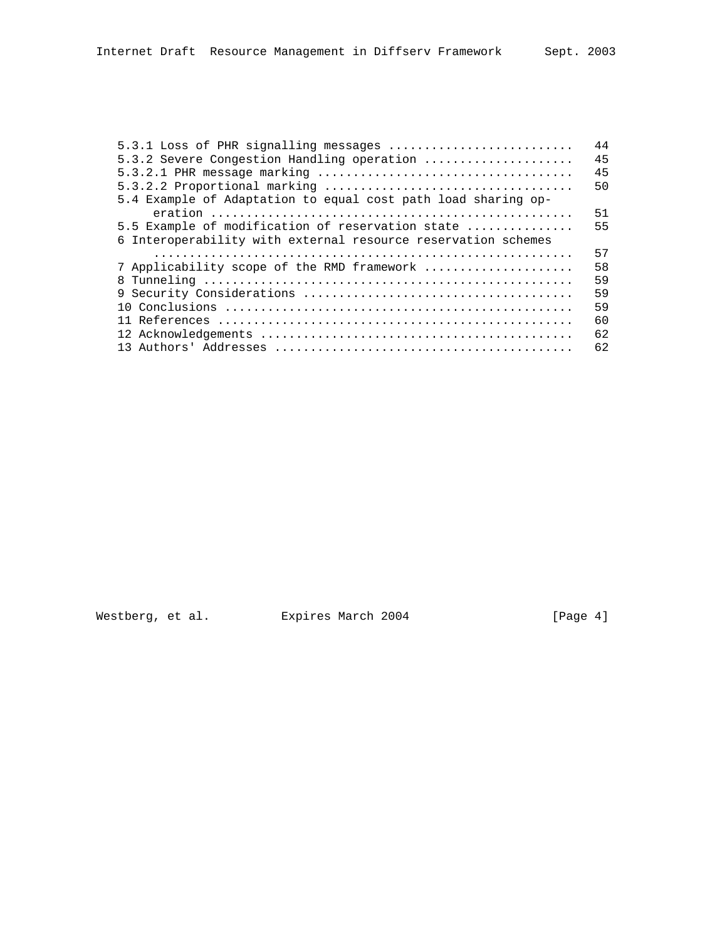| 5.3.1 Loss of PHR signalling messages                         | 44 |
|---------------------------------------------------------------|----|
| 5.3.2 Severe Congestion Handling operation                    | 45 |
|                                                               | 45 |
|                                                               | 50 |
| 5.4 Example of Adaptation to equal cost path load sharing op- |    |
|                                                               | 51 |
| 5.5 Example of modification of reservation state              | 55 |
| 6 Interoperability with external resource reservation schemes |    |
|                                                               | 57 |
| 7 Applicability scope of the RMD framework                    | 58 |
|                                                               | 59 |
|                                                               | 59 |
|                                                               | 59 |
|                                                               | 60 |
|                                                               | 62 |
|                                                               | 62 |
|                                                               |    |

Westberg, et al. Expires March 2004 [Page 4]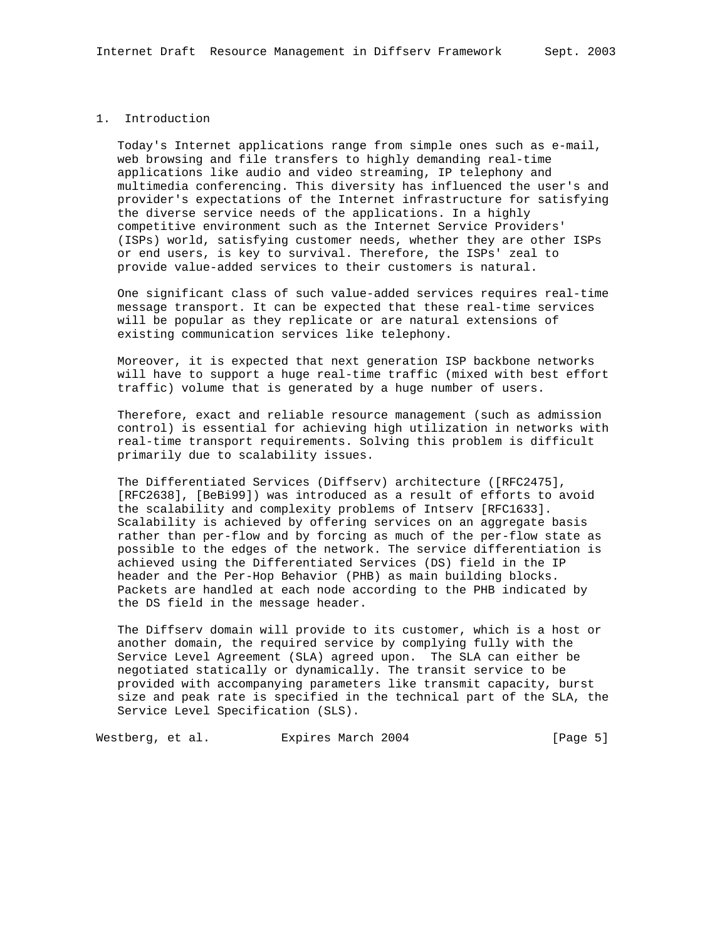## 1. Introduction

 Today's Internet applications range from simple ones such as e-mail, web browsing and file transfers to highly demanding real-time applications like audio and video streaming, IP telephony and multimedia conferencing. This diversity has influenced the user's and provider's expectations of the Internet infrastructure for satisfying the diverse service needs of the applications. In a highly competitive environment such as the Internet Service Providers' (ISPs) world, satisfying customer needs, whether they are other ISPs or end users, is key to survival. Therefore, the ISPs' zeal to provide value-added services to their customers is natural.

 One significant class of such value-added services requires real-time message transport. It can be expected that these real-time services will be popular as they replicate or are natural extensions of existing communication services like telephony.

 Moreover, it is expected that next generation ISP backbone networks will have to support a huge real-time traffic (mixed with best effort traffic) volume that is generated by a huge number of users.

 Therefore, exact and reliable resource management (such as admission control) is essential for achieving high utilization in networks with real-time transport requirements. Solving this problem is difficult primarily due to scalability issues.

 The Differentiated Services (Diffserv) architecture ([RFC2475], [RFC2638], [BeBi99]) was introduced as a result of efforts to avoid the scalability and complexity problems of Intserv [RFC1633]. Scalability is achieved by offering services on an aggregate basis rather than per-flow and by forcing as much of the per-flow state as possible to the edges of the network. The service differentiation is achieved using the Differentiated Services (DS) field in the IP header and the Per-Hop Behavior (PHB) as main building blocks. Packets are handled at each node according to the PHB indicated by the DS field in the message header.

 The Diffserv domain will provide to its customer, which is a host or another domain, the required service by complying fully with the Service Level Agreement (SLA) agreed upon. The SLA can either be negotiated statically or dynamically. The transit service to be provided with accompanying parameters like transmit capacity, burst size and peak rate is specified in the technical part of the SLA, the Service Level Specification (SLS).

Westberg, et al. Expires March 2004 [Page 5]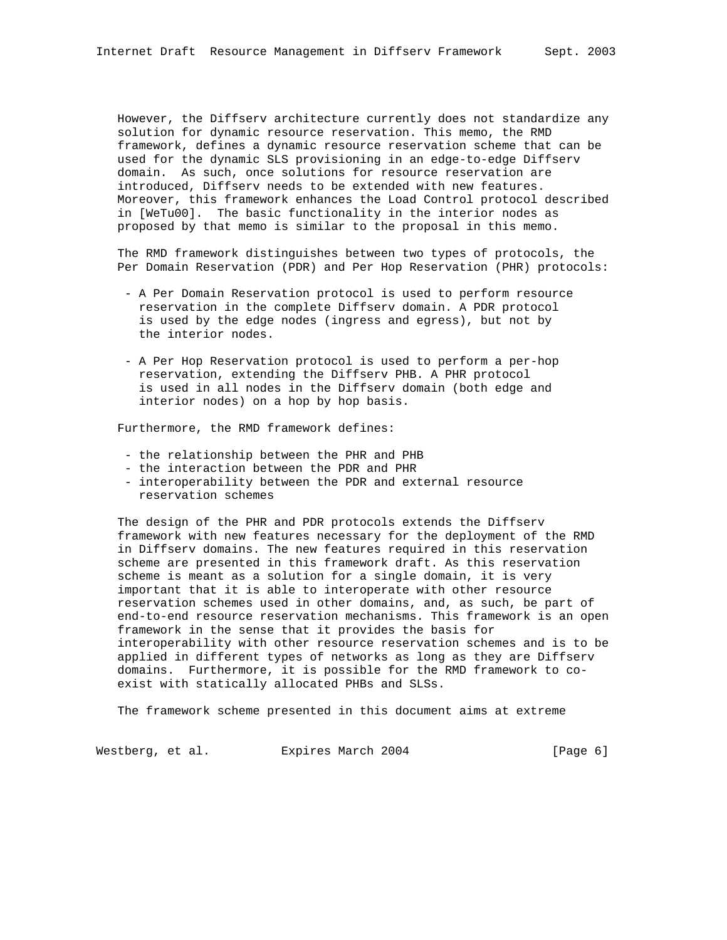However, the Diffserv architecture currently does not standardize any solution for dynamic resource reservation. This memo, the RMD framework, defines a dynamic resource reservation scheme that can be used for the dynamic SLS provisioning in an edge-to-edge Diffserv domain. As such, once solutions for resource reservation are introduced, Diffserv needs to be extended with new features. Moreover, this framework enhances the Load Control protocol described in [WeTu00]. The basic functionality in the interior nodes as proposed by that memo is similar to the proposal in this memo.

 The RMD framework distinguishes between two types of protocols, the Per Domain Reservation (PDR) and Per Hop Reservation (PHR) protocols:

- A Per Domain Reservation protocol is used to perform resource reservation in the complete Diffserv domain. A PDR protocol is used by the edge nodes (ingress and egress), but not by the interior nodes.
- A Per Hop Reservation protocol is used to perform a per-hop reservation, extending the Diffserv PHB. A PHR protocol is used in all nodes in the Diffserv domain (both edge and interior nodes) on a hop by hop basis.

Furthermore, the RMD framework defines:

- the relationship between the PHR and PHB
- the interaction between the PDR and PHR
- interoperability between the PDR and external resource reservation schemes

 The design of the PHR and PDR protocols extends the Diffserv framework with new features necessary for the deployment of the RMD in Diffserv domains. The new features required in this reservation scheme are presented in this framework draft. As this reservation scheme is meant as a solution for a single domain, it is very important that it is able to interoperate with other resource reservation schemes used in other domains, and, as such, be part of end-to-end resource reservation mechanisms. This framework is an open framework in the sense that it provides the basis for interoperability with other resource reservation schemes and is to be applied in different types of networks as long as they are Diffserv domains. Furthermore, it is possible for the RMD framework to co exist with statically allocated PHBs and SLSs.

The framework scheme presented in this document aims at extreme

Westberg, et al. Expires March 2004 [Page 6]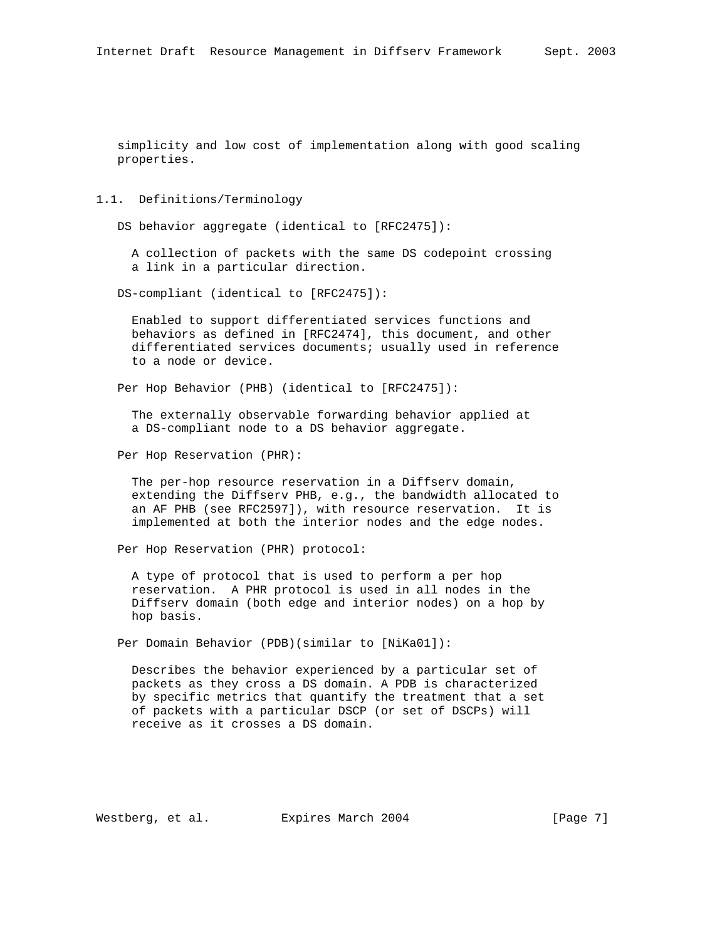simplicity and low cost of implementation along with good scaling properties.

### 1.1. Definitions/Terminology

DS behavior aggregate (identical to [RFC2475]):

 A collection of packets with the same DS codepoint crossing a link in a particular direction.

DS-compliant (identical to [RFC2475]):

 Enabled to support differentiated services functions and behaviors as defined in [RFC2474], this document, and other differentiated services documents; usually used in reference to a node or device.

Per Hop Behavior (PHB) (identical to [RFC2475]):

 The externally observable forwarding behavior applied at a DS-compliant node to a DS behavior aggregate.

Per Hop Reservation (PHR):

 The per-hop resource reservation in a Diffserv domain, extending the Diffserv PHB, e.g., the bandwidth allocated to an AF PHB (see RFC2597]), with resource reservation. It is implemented at both the interior nodes and the edge nodes.

Per Hop Reservation (PHR) protocol:

 A type of protocol that is used to perform a per hop reservation. A PHR protocol is used in all nodes in the Diffserv domain (both edge and interior nodes) on a hop by hop basis.

Per Domain Behavior (PDB)(similar to [NiKa01]):

 Describes the behavior experienced by a particular set of packets as they cross a DS domain. A PDB is characterized by specific metrics that quantify the treatment that a set of packets with a particular DSCP (or set of DSCPs) will receive as it crosses a DS domain.

Westberg, et al. Expires March 2004 [Page 7]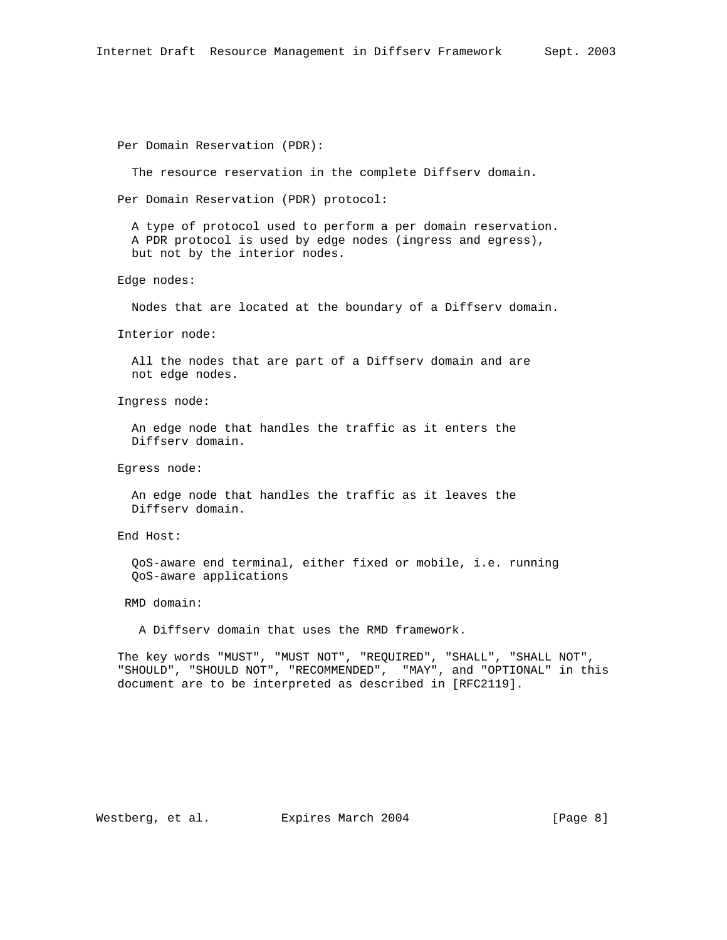```
 Per Domain Reservation (PDR):
```
The resource reservation in the complete Diffserv domain.

Per Domain Reservation (PDR) protocol:

 A type of protocol used to perform a per domain reservation. A PDR protocol is used by edge nodes (ingress and egress), but not by the interior nodes.

Edge nodes:

Nodes that are located at the boundary of a Diffserv domain.

Interior node:

 All the nodes that are part of a Diffserv domain and are not edge nodes.

Ingress node:

 An edge node that handles the traffic as it enters the Diffserv domain.

Egress node:

 An edge node that handles the traffic as it leaves the Diffserv domain.

End Host:

 QoS-aware end terminal, either fixed or mobile, i.e. running QoS-aware applications

RMD domain:

A Diffserv domain that uses the RMD framework.

 The key words "MUST", "MUST NOT", "REQUIRED", "SHALL", "SHALL NOT", "SHOULD", "SHOULD NOT", "RECOMMENDED", "MAY", and "OPTIONAL" in this document are to be interpreted as described in [RFC2119].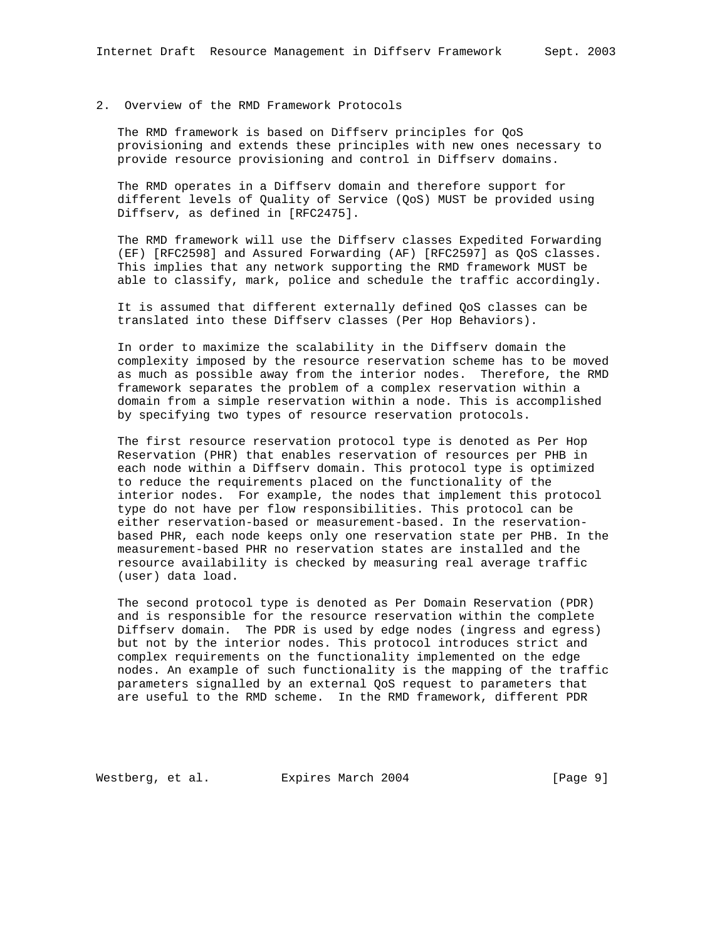## 2. Overview of the RMD Framework Protocols

 The RMD framework is based on Diffserv principles for QoS provisioning and extends these principles with new ones necessary to provide resource provisioning and control in Diffserv domains.

 The RMD operates in a Diffserv domain and therefore support for different levels of Quality of Service (QoS) MUST be provided using Diffserv, as defined in [RFC2475].

 The RMD framework will use the Diffserv classes Expedited Forwarding (EF) [RFC2598] and Assured Forwarding (AF) [RFC2597] as QoS classes. This implies that any network supporting the RMD framework MUST be able to classify, mark, police and schedule the traffic accordingly.

 It is assumed that different externally defined QoS classes can be translated into these Diffserv classes (Per Hop Behaviors).

 In order to maximize the scalability in the Diffserv domain the complexity imposed by the resource reservation scheme has to be moved as much as possible away from the interior nodes. Therefore, the RMD framework separates the problem of a complex reservation within a domain from a simple reservation within a node. This is accomplished by specifying two types of resource reservation protocols.

 The first resource reservation protocol type is denoted as Per Hop Reservation (PHR) that enables reservation of resources per PHB in each node within a Diffserv domain. This protocol type is optimized to reduce the requirements placed on the functionality of the interior nodes. For example, the nodes that implement this protocol type do not have per flow responsibilities. This protocol can be either reservation-based or measurement-based. In the reservation based PHR, each node keeps only one reservation state per PHB. In the measurement-based PHR no reservation states are installed and the resource availability is checked by measuring real average traffic (user) data load.

 The second protocol type is denoted as Per Domain Reservation (PDR) and is responsible for the resource reservation within the complete Diffserv domain. The PDR is used by edge nodes (ingress and egress) but not by the interior nodes. This protocol introduces strict and complex requirements on the functionality implemented on the edge nodes. An example of such functionality is the mapping of the traffic parameters signalled by an external QoS request to parameters that are useful to the RMD scheme. In the RMD framework, different PDR

Westberg, et al. Expires March 2004 [Page 9]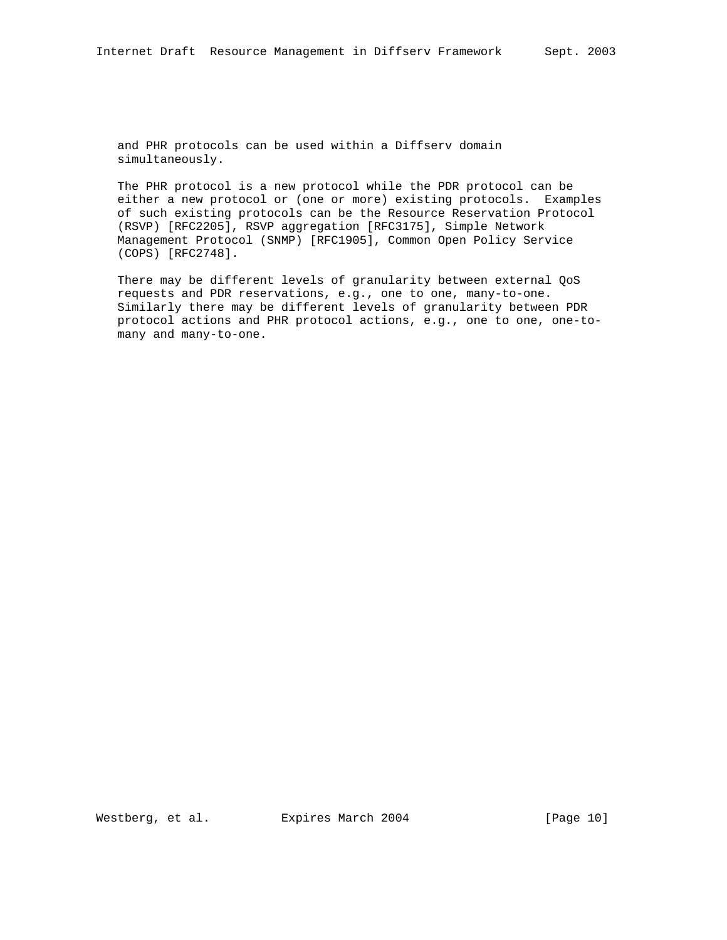and PHR protocols can be used within a Diffserv domain simultaneously.

 The PHR protocol is a new protocol while the PDR protocol can be either a new protocol or (one or more) existing protocols. Examples of such existing protocols can be the Resource Reservation Protocol (RSVP) [RFC2205], RSVP aggregation [RFC3175], Simple Network Management Protocol (SNMP) [RFC1905], Common Open Policy Service (COPS) [RFC2748].

 There may be different levels of granularity between external QoS requests and PDR reservations, e.g., one to one, many-to-one. Similarly there may be different levels of granularity between PDR protocol actions and PHR protocol actions, e.g., one to one, one-to many and many-to-one.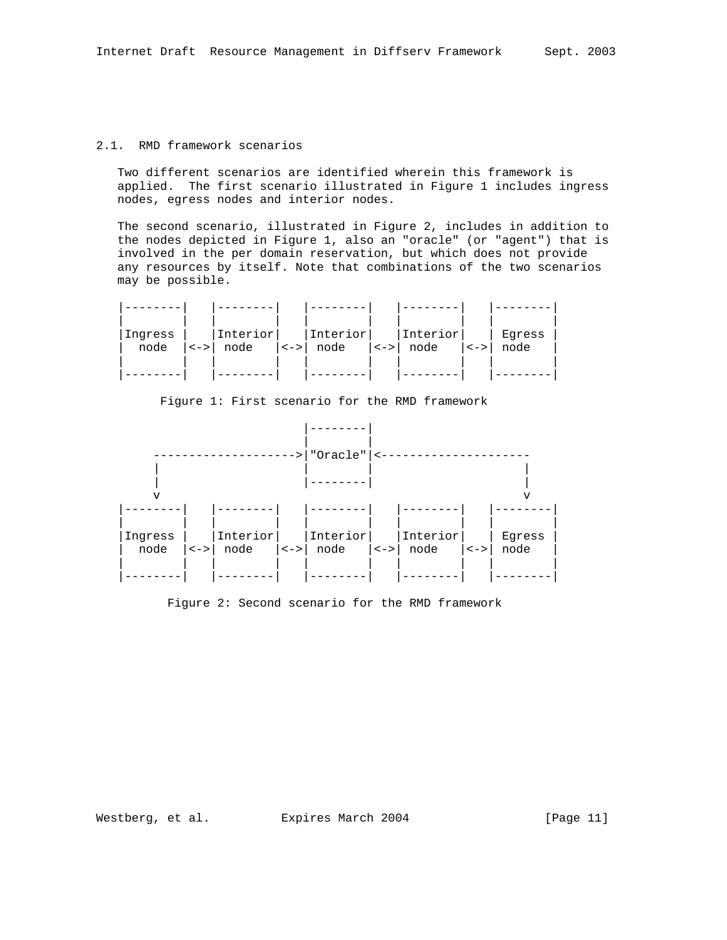## 2.1. RMD framework scenarios

 Two different scenarios are identified wherein this framework is applied. The first scenario illustrated in Figure 1 includes ingress nodes, egress nodes and interior nodes.

 The second scenario, illustrated in Figure 2, includes in addition to the nodes depicted in Figure 1, also an "oracle" (or "agent") that is involved in the per domain reservation, but which does not provide any resources by itself. Note that combinations of the two scenarios may be possible.

| Ingress<br>node | $  \lt - \gt  $ | Interiorl<br>node  <->  node | Interior | $  \lt - \gt  $ | Interior<br>node | $  \lt - \gt  $ | Eqress<br>node |
|-----------------|-----------------|------------------------------|----------|-----------------|------------------|-----------------|----------------|
|                 |                 |                              |          |                 |                  |                 |                |



Figure 1: First scenario for the RMD framework

Figure 2: Second scenario for the RMD framework

Westberg, et al. Expires March 2004 [Page 11]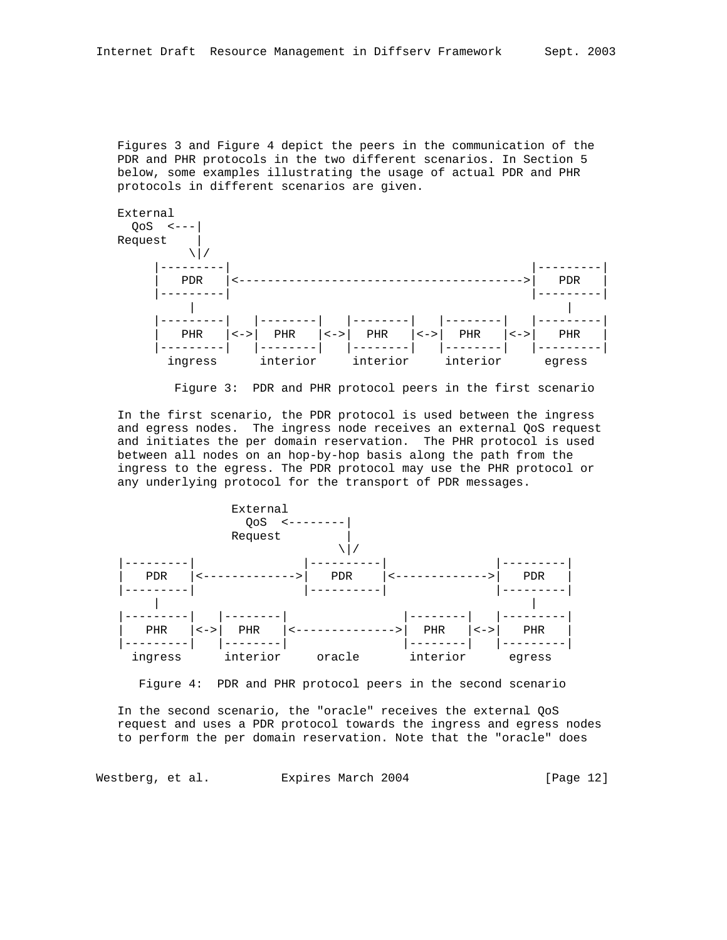Figures 3 and Figure 4 depict the peers in the communication of the PDR and PHR protocols in the two different scenarios. In Section 5 below, some examples illustrating the usage of actual PDR and PHR protocols in different scenarios are given.





 In the first scenario, the PDR protocol is used between the ingress and egress nodes. The ingress node receives an external QoS request and initiates the per domain reservation. The PHR protocol is used between all nodes on an hop-by-hop basis along the path from the ingress to the egress. The PDR protocol may use the PHR protocol or any underlying protocol for the transport of PDR messages.



Figure 4: PDR and PHR protocol peers in the second scenario

 In the second scenario, the "oracle" receives the external QoS request and uses a PDR protocol towards the ingress and egress nodes to perform the per domain reservation. Note that the "oracle" does

Westberg, et al. Expires March 2004 [Page 12]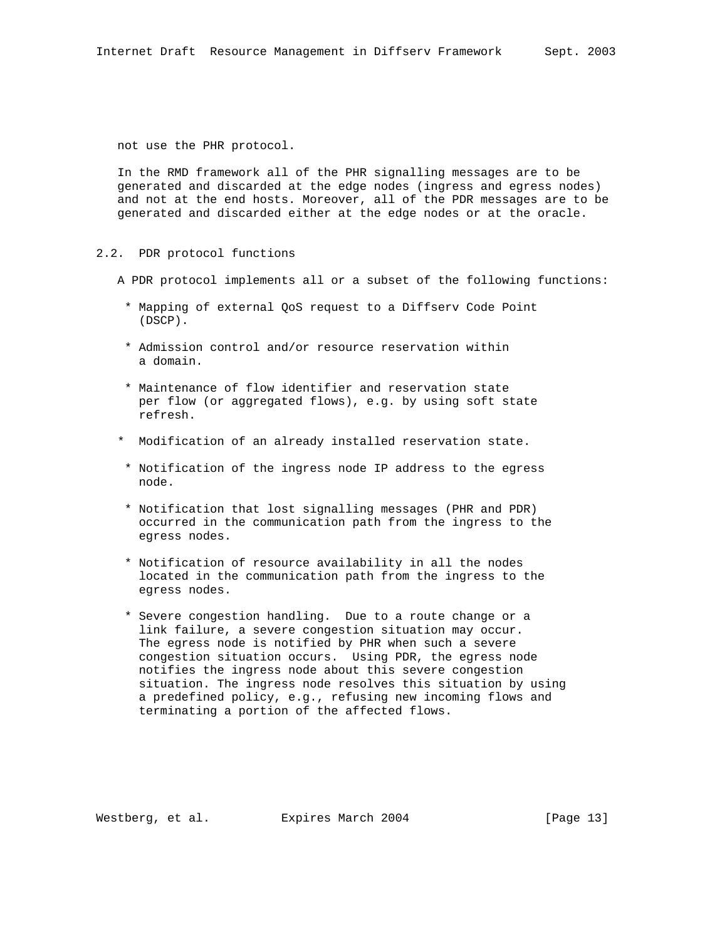not use the PHR protocol.

 In the RMD framework all of the PHR signalling messages are to be generated and discarded at the edge nodes (ingress and egress nodes) and not at the end hosts. Moreover, all of the PDR messages are to be generated and discarded either at the edge nodes or at the oracle.

- 2.2. PDR protocol functions
	- A PDR protocol implements all or a subset of the following functions:
		- \* Mapping of external QoS request to a Diffserv Code Point (DSCP).
		- \* Admission control and/or resource reservation within a domain.
		- \* Maintenance of flow identifier and reservation state per flow (or aggregated flows), e.g. by using soft state refresh.
	- \* Modification of an already installed reservation state.
	- \* Notification of the ingress node IP address to the egress node.
	- \* Notification that lost signalling messages (PHR and PDR) occurred in the communication path from the ingress to the egress nodes.
	- \* Notification of resource availability in all the nodes located in the communication path from the ingress to the egress nodes.
	- \* Severe congestion handling. Due to a route change or a link failure, a severe congestion situation may occur. The egress node is notified by PHR when such a severe congestion situation occurs. Using PDR, the egress node notifies the ingress node about this severe congestion situation. The ingress node resolves this situation by using a predefined policy, e.g., refusing new incoming flows and terminating a portion of the affected flows.

Westberg, et al. Expires March 2004 [Page 13]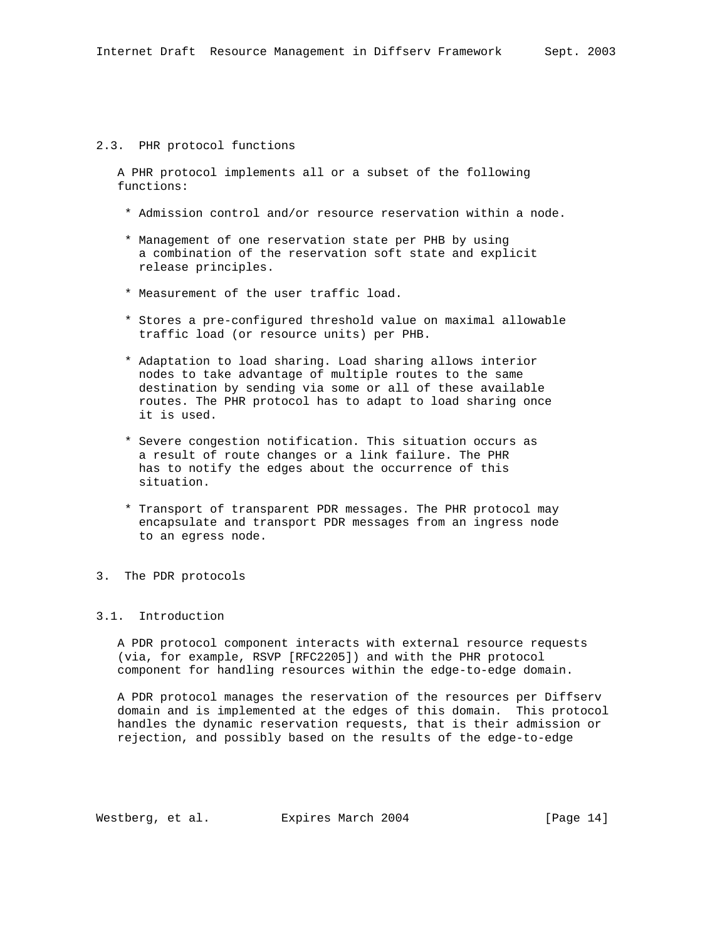#### 2.3. PHR protocol functions

 A PHR protocol implements all or a subset of the following functions:

- \* Admission control and/or resource reservation within a node.
- \* Management of one reservation state per PHB by using a combination of the reservation soft state and explicit release principles.
- \* Measurement of the user traffic load.
- \* Stores a pre-configured threshold value on maximal allowable traffic load (or resource units) per PHB.
- \* Adaptation to load sharing. Load sharing allows interior nodes to take advantage of multiple routes to the same destination by sending via some or all of these available routes. The PHR protocol has to adapt to load sharing once it is used.
- \* Severe congestion notification. This situation occurs as a result of route changes or a link failure. The PHR has to notify the edges about the occurrence of this situation.
- \* Transport of transparent PDR messages. The PHR protocol may encapsulate and transport PDR messages from an ingress node to an egress node.
- 3. The PDR protocols

#### 3.1. Introduction

 A PDR protocol component interacts with external resource requests (via, for example, RSVP [RFC2205]) and with the PHR protocol component for handling resources within the edge-to-edge domain.

 A PDR protocol manages the reservation of the resources per Diffserv domain and is implemented at the edges of this domain. This protocol handles the dynamic reservation requests, that is their admission or rejection, and possibly based on the results of the edge-to-edge

Westberg, et al. Expires March 2004 [Page 14]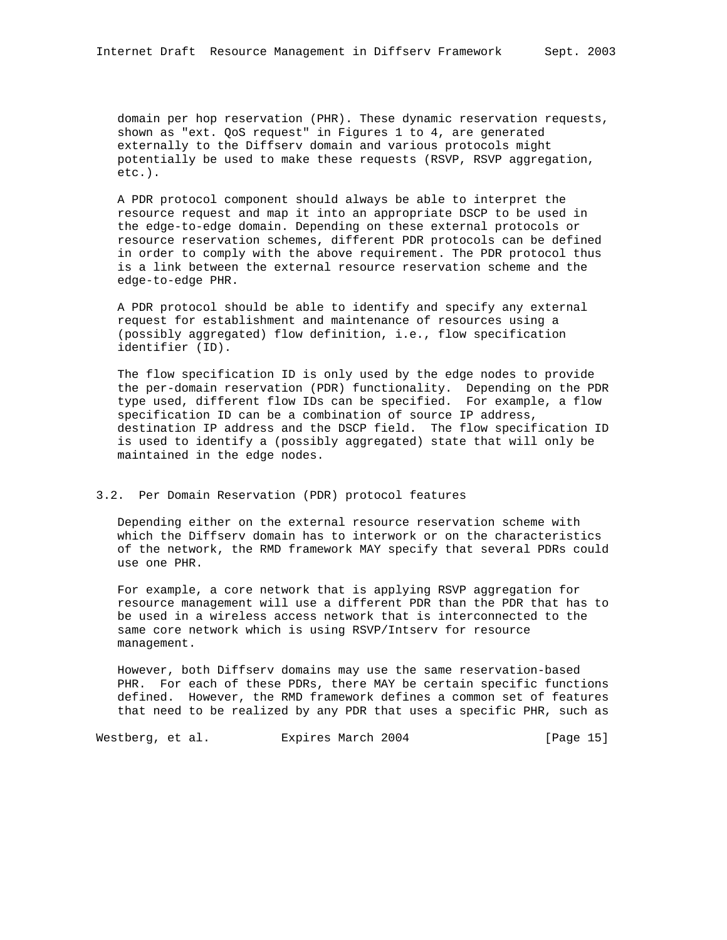domain per hop reservation (PHR). These dynamic reservation requests, shown as "ext. QoS request" in Figures 1 to 4, are generated externally to the Diffserv domain and various protocols might potentially be used to make these requests (RSVP, RSVP aggregation, etc.).

 A PDR protocol component should always be able to interpret the resource request and map it into an appropriate DSCP to be used in the edge-to-edge domain. Depending on these external protocols or resource reservation schemes, different PDR protocols can be defined in order to comply with the above requirement. The PDR protocol thus is a link between the external resource reservation scheme and the edge-to-edge PHR.

 A PDR protocol should be able to identify and specify any external request for establishment and maintenance of resources using a (possibly aggregated) flow definition, i.e., flow specification identifier (ID).

 The flow specification ID is only used by the edge nodes to provide the per-domain reservation (PDR) functionality. Depending on the PDR type used, different flow IDs can be specified. For example, a flow specification ID can be a combination of source IP address, destination IP address and the DSCP field. The flow specification ID is used to identify a (possibly aggregated) state that will only be maintained in the edge nodes.

## 3.2. Per Domain Reservation (PDR) protocol features

 Depending either on the external resource reservation scheme with which the Diffserv domain has to interwork or on the characteristics of the network, the RMD framework MAY specify that several PDRs could use one PHR.

 For example, a core network that is applying RSVP aggregation for resource management will use a different PDR than the PDR that has to be used in a wireless access network that is interconnected to the same core network which is using RSVP/Intserv for resource management.

 However, both Diffserv domains may use the same reservation-based PHR. For each of these PDRs, there MAY be certain specific functions defined. However, the RMD framework defines a common set of features that need to be realized by any PDR that uses a specific PHR, such as

Westberg, et al. Expires March 2004 [Page 15]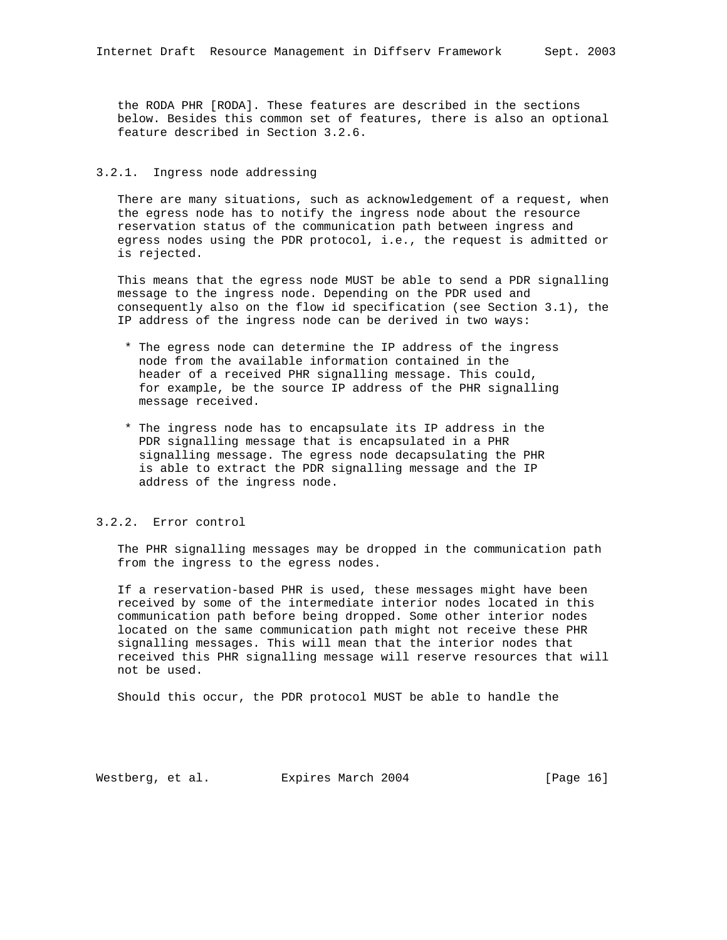the RODA PHR [RODA]. These features are described in the sections below. Besides this common set of features, there is also an optional feature described in Section 3.2.6.

## 3.2.1. Ingress node addressing

 There are many situations, such as acknowledgement of a request, when the egress node has to notify the ingress node about the resource reservation status of the communication path between ingress and egress nodes using the PDR protocol, i.e., the request is admitted or is rejected.

 This means that the egress node MUST be able to send a PDR signalling message to the ingress node. Depending on the PDR used and consequently also on the flow id specification (see Section 3.1), the IP address of the ingress node can be derived in two ways:

- \* The egress node can determine the IP address of the ingress node from the available information contained in the header of a received PHR signalling message. This could, for example, be the source IP address of the PHR signalling message received.
- \* The ingress node has to encapsulate its IP address in the PDR signalling message that is encapsulated in a PHR signalling message. The egress node decapsulating the PHR is able to extract the PDR signalling message and the IP address of the ingress node.

# 3.2.2. Error control

 The PHR signalling messages may be dropped in the communication path from the ingress to the egress nodes.

 If a reservation-based PHR is used, these messages might have been received by some of the intermediate interior nodes located in this communication path before being dropped. Some other interior nodes located on the same communication path might not receive these PHR signalling messages. This will mean that the interior nodes that received this PHR signalling message will reserve resources that will not be used.

Should this occur, the PDR protocol MUST be able to handle the

Westberg, et al. Expires March 2004 [Page 16]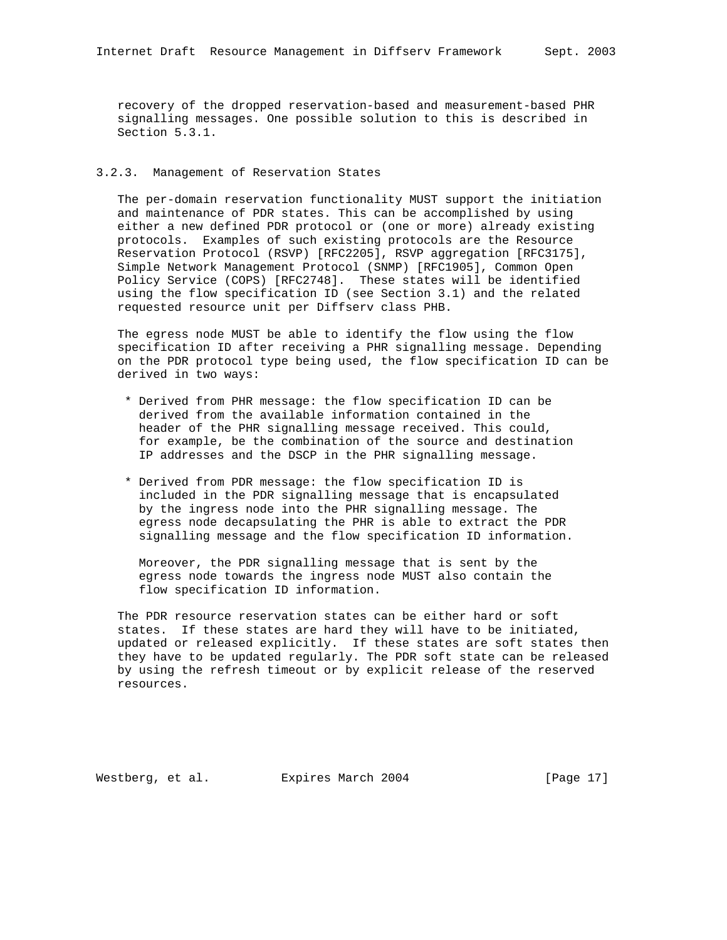recovery of the dropped reservation-based and measurement-based PHR signalling messages. One possible solution to this is described in Section 5.3.1.

## 3.2.3. Management of Reservation States

 The per-domain reservation functionality MUST support the initiation and maintenance of PDR states. This can be accomplished by using either a new defined PDR protocol or (one or more) already existing protocols. Examples of such existing protocols are the Resource Reservation Protocol (RSVP) [RFC2205], RSVP aggregation [RFC3175], Simple Network Management Protocol (SNMP) [RFC1905], Common Open Policy Service (COPS) [RFC2748]. These states will be identified using the flow specification ID (see Section 3.1) and the related requested resource unit per Diffserv class PHB.

 The egress node MUST be able to identify the flow using the flow specification ID after receiving a PHR signalling message. Depending on the PDR protocol type being used, the flow specification ID can be derived in two ways:

- \* Derived from PHR message: the flow specification ID can be derived from the available information contained in the header of the PHR signalling message received. This could, for example, be the combination of the source and destination IP addresses and the DSCP in the PHR signalling message.
- \* Derived from PDR message: the flow specification ID is included in the PDR signalling message that is encapsulated by the ingress node into the PHR signalling message. The egress node decapsulating the PHR is able to extract the PDR signalling message and the flow specification ID information.

 Moreover, the PDR signalling message that is sent by the egress node towards the ingress node MUST also contain the flow specification ID information.

 The PDR resource reservation states can be either hard or soft states. If these states are hard they will have to be initiated, updated or released explicitly. If these states are soft states then they have to be updated regularly. The PDR soft state can be released by using the refresh timeout or by explicit release of the reserved resources.

Westberg, et al. Expires March 2004 [Page 17]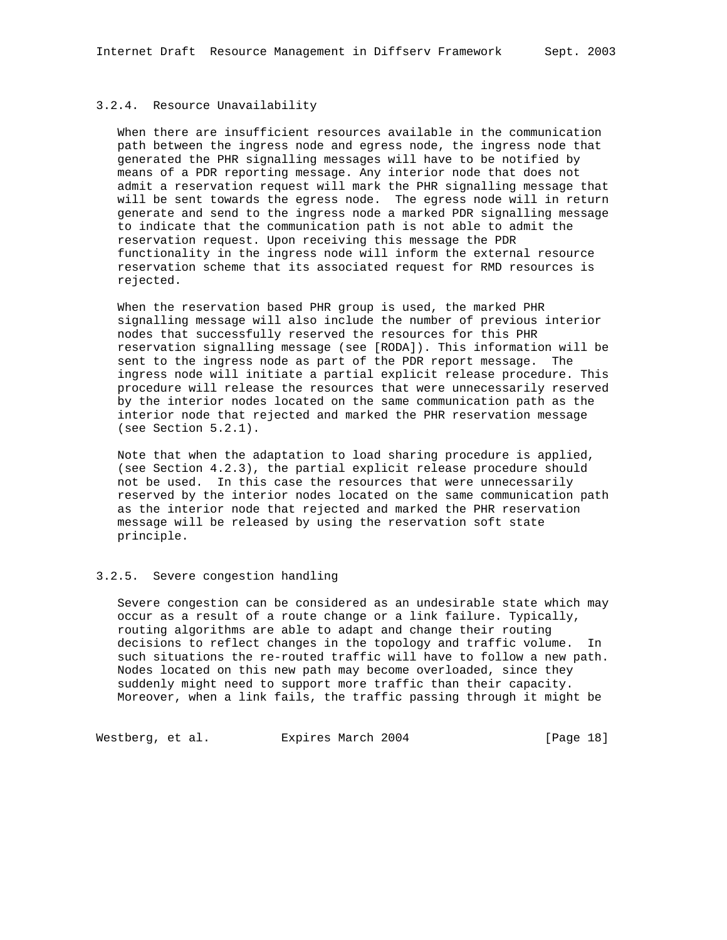## 3.2.4. Resource Unavailability

 When there are insufficient resources available in the communication path between the ingress node and egress node, the ingress node that generated the PHR signalling messages will have to be notified by means of a PDR reporting message. Any interior node that does not admit a reservation request will mark the PHR signalling message that will be sent towards the egress node. The egress node will in return generate and send to the ingress node a marked PDR signalling message to indicate that the communication path is not able to admit the reservation request. Upon receiving this message the PDR functionality in the ingress node will inform the external resource reservation scheme that its associated request for RMD resources is rejected.

 When the reservation based PHR group is used, the marked PHR signalling message will also include the number of previous interior nodes that successfully reserved the resources for this PHR reservation signalling message (see [RODA]). This information will be sent to the ingress node as part of the PDR report message. The ingress node will initiate a partial explicit release procedure. This procedure will release the resources that were unnecessarily reserved by the interior nodes located on the same communication path as the interior node that rejected and marked the PHR reservation message (see Section 5.2.1).

 Note that when the adaptation to load sharing procedure is applied, (see Section 4.2.3), the partial explicit release procedure should not be used. In this case the resources that were unnecessarily reserved by the interior nodes located on the same communication path as the interior node that rejected and marked the PHR reservation message will be released by using the reservation soft state principle.

## 3.2.5. Severe congestion handling

 Severe congestion can be considered as an undesirable state which may occur as a result of a route change or a link failure. Typically, routing algorithms are able to adapt and change their routing decisions to reflect changes in the topology and traffic volume. In such situations the re-routed traffic will have to follow a new path. Nodes located on this new path may become overloaded, since they suddenly might need to support more traffic than their capacity. Moreover, when a link fails, the traffic passing through it might be

Westberg, et al. Expires March 2004 [Page 18]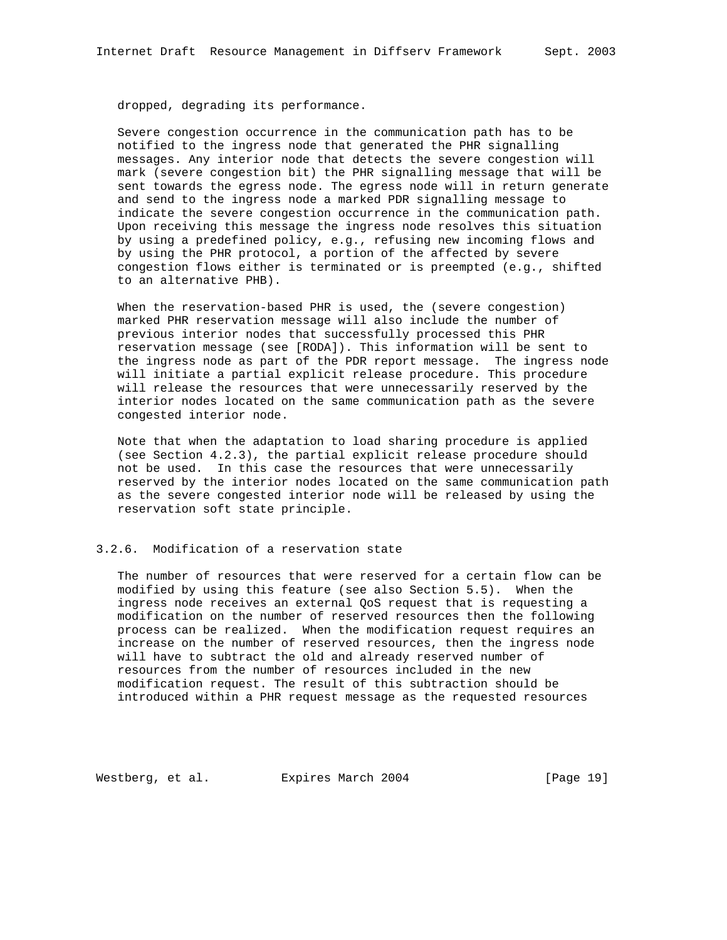dropped, degrading its performance.

 Severe congestion occurrence in the communication path has to be notified to the ingress node that generated the PHR signalling messages. Any interior node that detects the severe congestion will mark (severe congestion bit) the PHR signalling message that will be sent towards the egress node. The egress node will in return generate and send to the ingress node a marked PDR signalling message to indicate the severe congestion occurrence in the communication path. Upon receiving this message the ingress node resolves this situation by using a predefined policy, e.g., refusing new incoming flows and by using the PHR protocol, a portion of the affected by severe congestion flows either is terminated or is preempted (e.g., shifted to an alternative PHB).

 When the reservation-based PHR is used, the (severe congestion) marked PHR reservation message will also include the number of previous interior nodes that successfully processed this PHR reservation message (see [RODA]). This information will be sent to the ingress node as part of the PDR report message. The ingress node will initiate a partial explicit release procedure. This procedure will release the resources that were unnecessarily reserved by the interior nodes located on the same communication path as the severe congested interior node.

 Note that when the adaptation to load sharing procedure is applied (see Section 4.2.3), the partial explicit release procedure should not be used. In this case the resources that were unnecessarily reserved by the interior nodes located on the same communication path as the severe congested interior node will be released by using the reservation soft state principle.

# 3.2.6. Modification of a reservation state

 The number of resources that were reserved for a certain flow can be modified by using this feature (see also Section 5.5). When the ingress node receives an external QoS request that is requesting a modification on the number of reserved resources then the following process can be realized. When the modification request requires an increase on the number of reserved resources, then the ingress node will have to subtract the old and already reserved number of resources from the number of resources included in the new modification request. The result of this subtraction should be introduced within a PHR request message as the requested resources

Westberg, et al. Expires March 2004 [Page 19]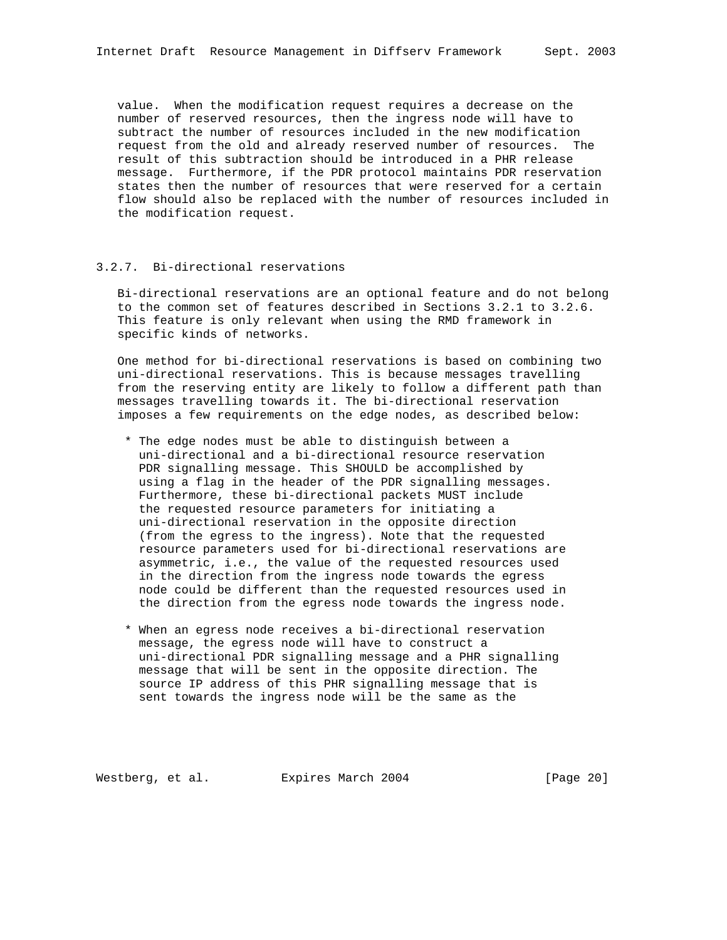value. When the modification request requires a decrease on the number of reserved resources, then the ingress node will have to subtract the number of resources included in the new modification request from the old and already reserved number of resources. The result of this subtraction should be introduced in a PHR release message. Furthermore, if the PDR protocol maintains PDR reservation states then the number of resources that were reserved for a certain flow should also be replaced with the number of resources included in the modification request.

## 3.2.7. Bi-directional reservations

 Bi-directional reservations are an optional feature and do not belong to the common set of features described in Sections 3.2.1 to 3.2.6. This feature is only relevant when using the RMD framework in specific kinds of networks.

 One method for bi-directional reservations is based on combining two uni-directional reservations. This is because messages travelling from the reserving entity are likely to follow a different path than messages travelling towards it. The bi-directional reservation imposes a few requirements on the edge nodes, as described below:

- \* The edge nodes must be able to distinguish between a uni-directional and a bi-directional resource reservation PDR signalling message. This SHOULD be accomplished by using a flag in the header of the PDR signalling messages. Furthermore, these bi-directional packets MUST include the requested resource parameters for initiating a uni-directional reservation in the opposite direction (from the egress to the ingress). Note that the requested resource parameters used for bi-directional reservations are asymmetric, i.e., the value of the requested resources used in the direction from the ingress node towards the egress node could be different than the requested resources used in the direction from the egress node towards the ingress node.
- \* When an egress node receives a bi-directional reservation message, the egress node will have to construct a uni-directional PDR signalling message and a PHR signalling message that will be sent in the opposite direction. The source IP address of this PHR signalling message that is sent towards the ingress node will be the same as the

Westberg, et al. Expires March 2004 [Page 20]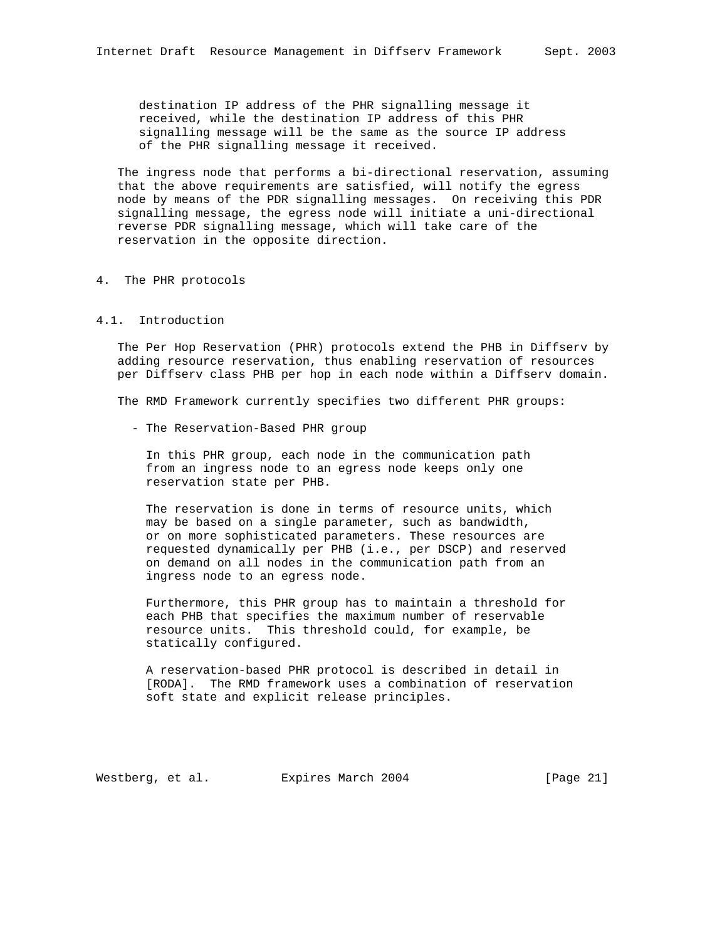destination IP address of the PHR signalling message it received, while the destination IP address of this PHR signalling message will be the same as the source IP address of the PHR signalling message it received.

 The ingress node that performs a bi-directional reservation, assuming that the above requirements are satisfied, will notify the egress node by means of the PDR signalling messages. On receiving this PDR signalling message, the egress node will initiate a uni-directional reverse PDR signalling message, which will take care of the reservation in the opposite direction.

## 4. The PHR protocols

## 4.1. Introduction

 The Per Hop Reservation (PHR) protocols extend the PHB in Diffserv by adding resource reservation, thus enabling reservation of resources per Diffserv class PHB per hop in each node within a Diffserv domain.

The RMD Framework currently specifies two different PHR groups:

- The Reservation-Based PHR group

 In this PHR group, each node in the communication path from an ingress node to an egress node keeps only one reservation state per PHB.

 The reservation is done in terms of resource units, which may be based on a single parameter, such as bandwidth, or on more sophisticated parameters. These resources are requested dynamically per PHB (i.e., per DSCP) and reserved on demand on all nodes in the communication path from an ingress node to an egress node.

 Furthermore, this PHR group has to maintain a threshold for each PHB that specifies the maximum number of reservable resource units. This threshold could, for example, be statically configured.

 A reservation-based PHR protocol is described in detail in [RODA]. The RMD framework uses a combination of reservation soft state and explicit release principles.

Westberg, et al. Expires March 2004 [Page 21]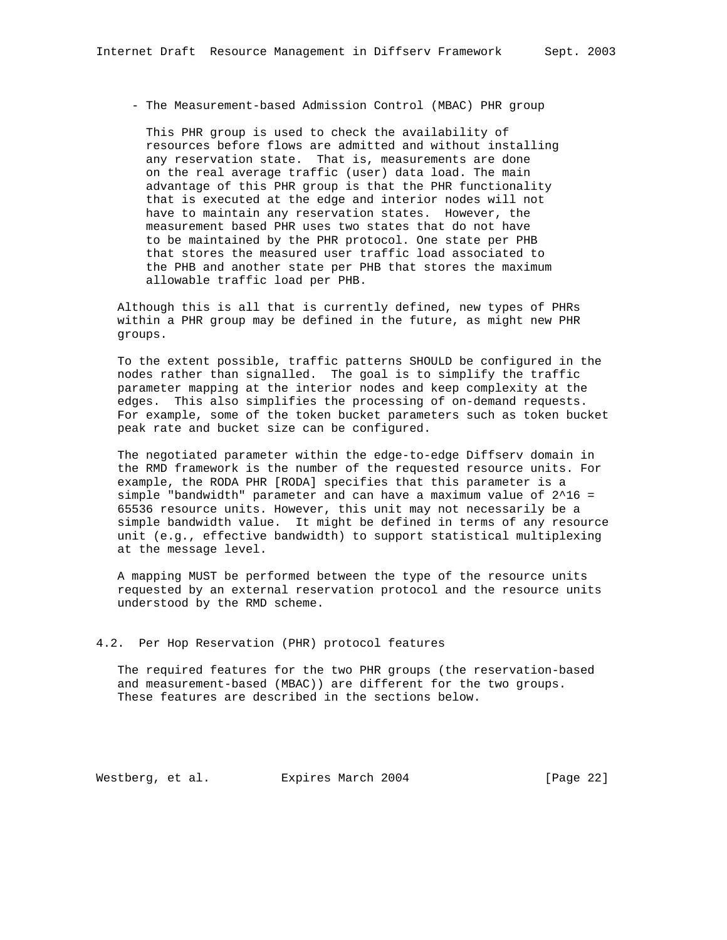- The Measurement-based Admission Control (MBAC) PHR group

 This PHR group is used to check the availability of resources before flows are admitted and without installing any reservation state. That is, measurements are done on the real average traffic (user) data load. The main advantage of this PHR group is that the PHR functionality that is executed at the edge and interior nodes will not have to maintain any reservation states. However, the measurement based PHR uses two states that do not have to be maintained by the PHR protocol. One state per PHB that stores the measured user traffic load associated to the PHB and another state per PHB that stores the maximum allowable traffic load per PHB.

 Although this is all that is currently defined, new types of PHRs within a PHR group may be defined in the future, as might new PHR groups.

 To the extent possible, traffic patterns SHOULD be configured in the nodes rather than signalled. The goal is to simplify the traffic parameter mapping at the interior nodes and keep complexity at the edges. This also simplifies the processing of on-demand requests. For example, some of the token bucket parameters such as token bucket peak rate and bucket size can be configured.

 The negotiated parameter within the edge-to-edge Diffserv domain in the RMD framework is the number of the requested resource units. For example, the RODA PHR [RODA] specifies that this parameter is a simple "bandwidth" parameter and can have a maximum value of 2^16 = 65536 resource units. However, this unit may not necessarily be a simple bandwidth value. It might be defined in terms of any resource unit (e.g., effective bandwidth) to support statistical multiplexing at the message level.

 A mapping MUST be performed between the type of the resource units requested by an external reservation protocol and the resource units understood by the RMD scheme.

## 4.2. Per Hop Reservation (PHR) protocol features

 The required features for the two PHR groups (the reservation-based and measurement-based (MBAC)) are different for the two groups. These features are described in the sections below.

Westberg, et al. Expires March 2004 [Page 22]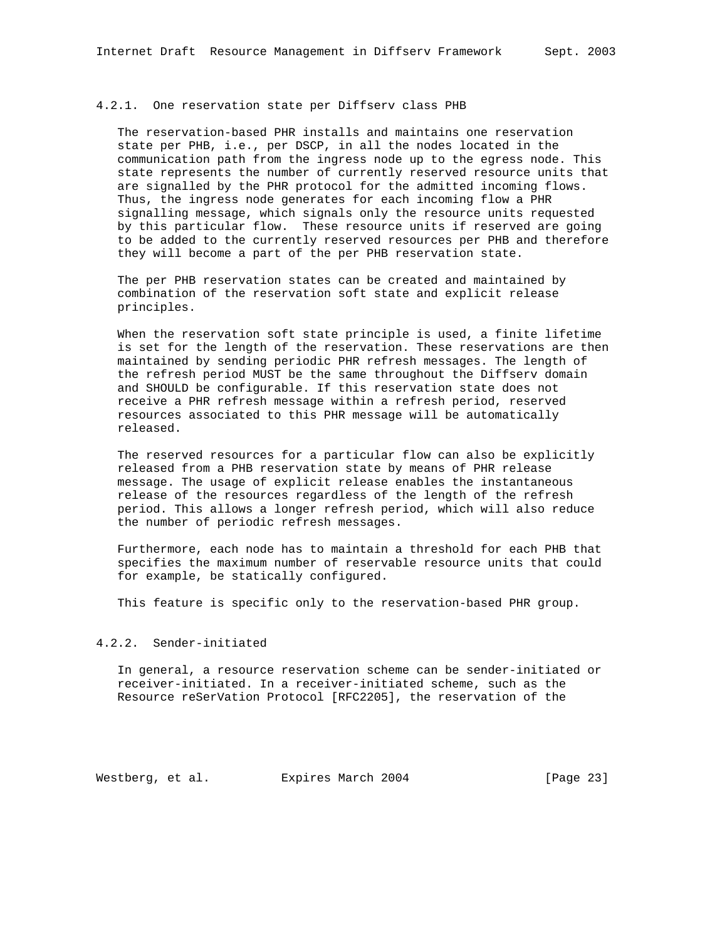#### 4.2.1. One reservation state per Diffserv class PHB

 The reservation-based PHR installs and maintains one reservation state per PHB, i.e., per DSCP, in all the nodes located in the communication path from the ingress node up to the egress node. This state represents the number of currently reserved resource units that are signalled by the PHR protocol for the admitted incoming flows. Thus, the ingress node generates for each incoming flow a PHR signalling message, which signals only the resource units requested by this particular flow. These resource units if reserved are going to be added to the currently reserved resources per PHB and therefore they will become a part of the per PHB reservation state.

 The per PHB reservation states can be created and maintained by combination of the reservation soft state and explicit release principles.

 When the reservation soft state principle is used, a finite lifetime is set for the length of the reservation. These reservations are then maintained by sending periodic PHR refresh messages. The length of the refresh period MUST be the same throughout the Diffserv domain and SHOULD be configurable. If this reservation state does not receive a PHR refresh message within a refresh period, reserved resources associated to this PHR message will be automatically released.

 The reserved resources for a particular flow can also be explicitly released from a PHB reservation state by means of PHR release message. The usage of explicit release enables the instantaneous release of the resources regardless of the length of the refresh period. This allows a longer refresh period, which will also reduce the number of periodic refresh messages.

 Furthermore, each node has to maintain a threshold for each PHB that specifies the maximum number of reservable resource units that could for example, be statically configured.

This feature is specific only to the reservation-based PHR group.

## 4.2.2. Sender-initiated

 In general, a resource reservation scheme can be sender-initiated or receiver-initiated. In a receiver-initiated scheme, such as the Resource reSerVation Protocol [RFC2205], the reservation of the

Westberg, et al. Expires March 2004 [Page 23]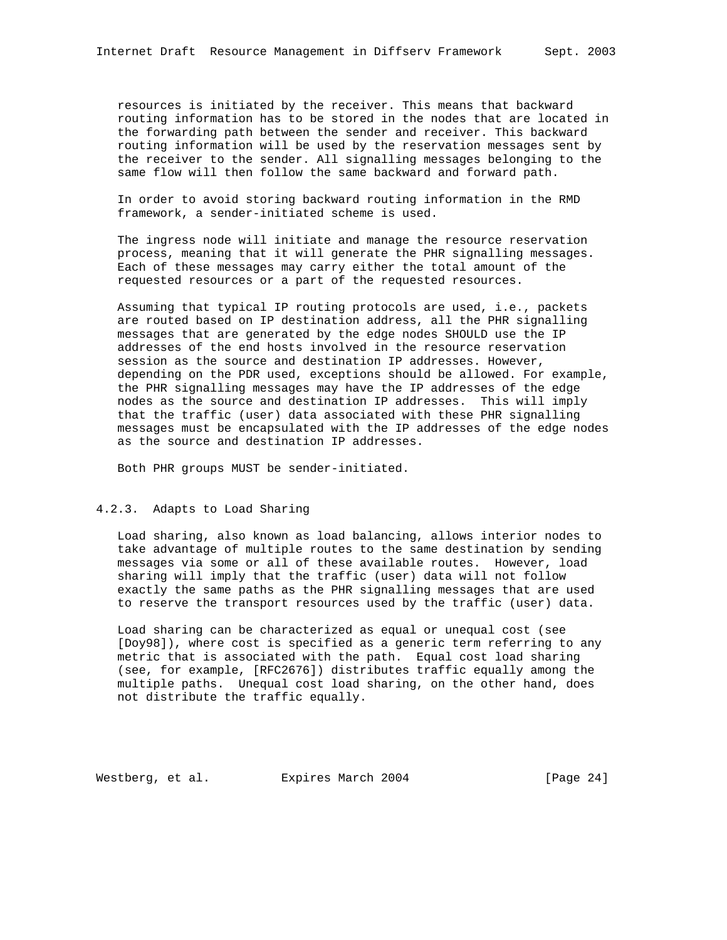resources is initiated by the receiver. This means that backward routing information has to be stored in the nodes that are located in the forwarding path between the sender and receiver. This backward routing information will be used by the reservation messages sent by the receiver to the sender. All signalling messages belonging to the same flow will then follow the same backward and forward path.

 In order to avoid storing backward routing information in the RMD framework, a sender-initiated scheme is used.

 The ingress node will initiate and manage the resource reservation process, meaning that it will generate the PHR signalling messages. Each of these messages may carry either the total amount of the requested resources or a part of the requested resources.

 Assuming that typical IP routing protocols are used, i.e., packets are routed based on IP destination address, all the PHR signalling messages that are generated by the edge nodes SHOULD use the IP addresses of the end hosts involved in the resource reservation session as the source and destination IP addresses. However, depending on the PDR used, exceptions should be allowed. For example, the PHR signalling messages may have the IP addresses of the edge nodes as the source and destination IP addresses. This will imply that the traffic (user) data associated with these PHR signalling messages must be encapsulated with the IP addresses of the edge nodes as the source and destination IP addresses.

Both PHR groups MUST be sender-initiated.

## 4.2.3. Adapts to Load Sharing

 Load sharing, also known as load balancing, allows interior nodes to take advantage of multiple routes to the same destination by sending messages via some or all of these available routes. However, load sharing will imply that the traffic (user) data will not follow exactly the same paths as the PHR signalling messages that are used to reserve the transport resources used by the traffic (user) data.

 Load sharing can be characterized as equal or unequal cost (see [Doy98]), where cost is specified as a generic term referring to any metric that is associated with the path. Equal cost load sharing (see, for example, [RFC2676]) distributes traffic equally among the multiple paths. Unequal cost load sharing, on the other hand, does not distribute the traffic equally.

Westberg, et al. Expires March 2004 [Page 24]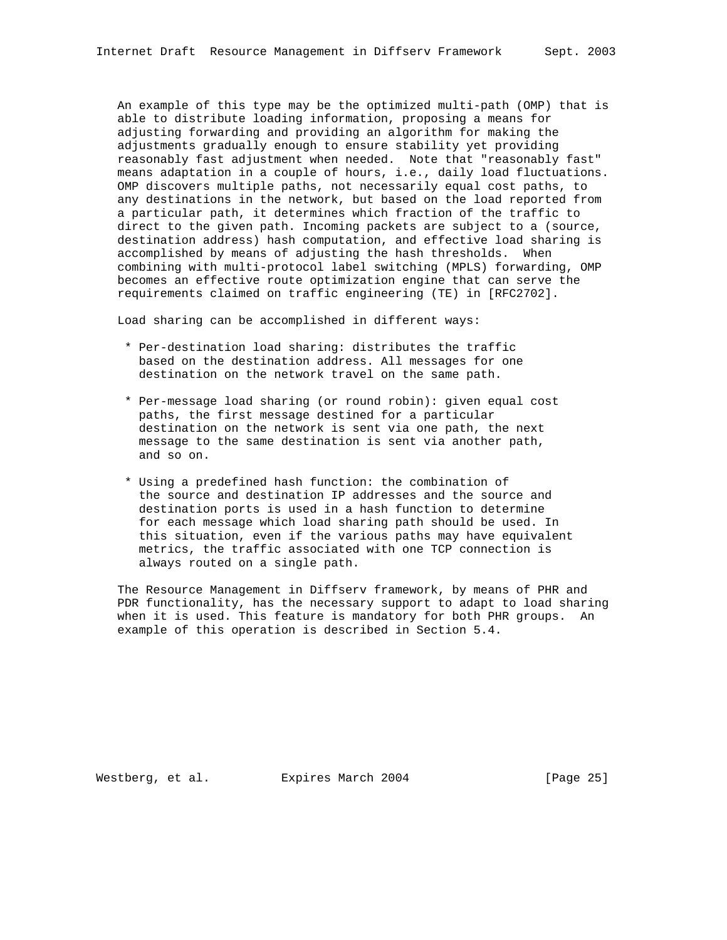An example of this type may be the optimized multi-path (OMP) that is able to distribute loading information, proposing a means for adjusting forwarding and providing an algorithm for making the adjustments gradually enough to ensure stability yet providing reasonably fast adjustment when needed. Note that "reasonably fast" means adaptation in a couple of hours, i.e., daily load fluctuations. OMP discovers multiple paths, not necessarily equal cost paths, to any destinations in the network, but based on the load reported from a particular path, it determines which fraction of the traffic to direct to the given path. Incoming packets are subject to a (source, destination address) hash computation, and effective load sharing is accomplished by means of adjusting the hash thresholds. When combining with multi-protocol label switching (MPLS) forwarding, OMP becomes an effective route optimization engine that can serve the requirements claimed on traffic engineering (TE) in [RFC2702].

Load sharing can be accomplished in different ways:

- \* Per-destination load sharing: distributes the traffic based on the destination address. All messages for one destination on the network travel on the same path.
- \* Per-message load sharing (or round robin): given equal cost paths, the first message destined for a particular destination on the network is sent via one path, the next message to the same destination is sent via another path, and so on.
- \* Using a predefined hash function: the combination of the source and destination IP addresses and the source and destination ports is used in a hash function to determine for each message which load sharing path should be used. In this situation, even if the various paths may have equivalent metrics, the traffic associated with one TCP connection is always routed on a single path.

 The Resource Management in Diffserv framework, by means of PHR and PDR functionality, has the necessary support to adapt to load sharing when it is used. This feature is mandatory for both PHR groups. An example of this operation is described in Section 5.4.

Westberg, et al. Expires March 2004 [Page 25]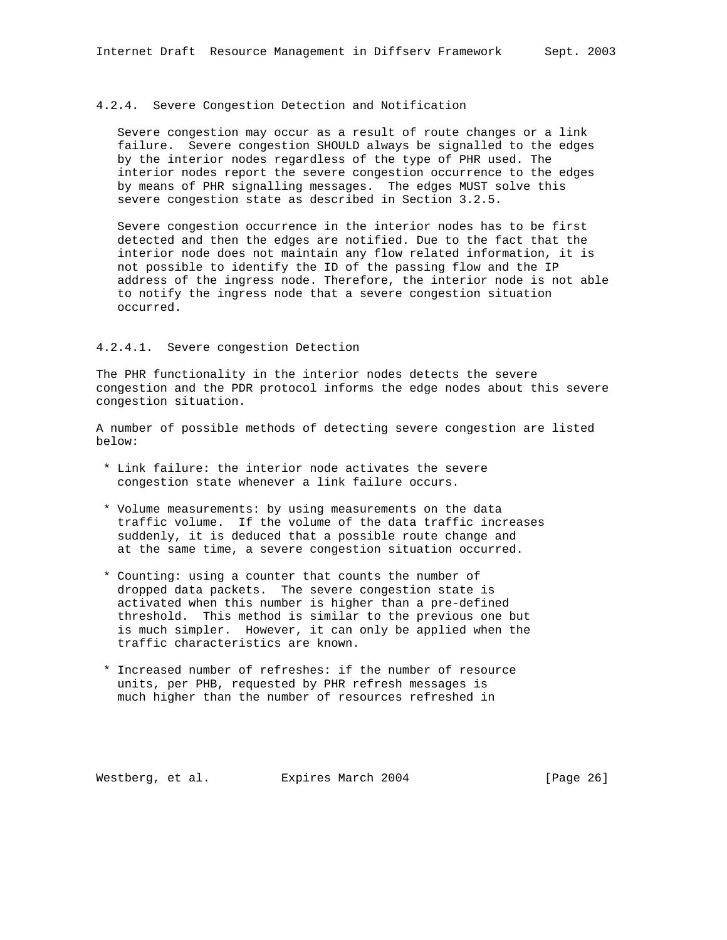#### 4.2.4. Severe Congestion Detection and Notification

 Severe congestion may occur as a result of route changes or a link failure. Severe congestion SHOULD always be signalled to the edges by the interior nodes regardless of the type of PHR used. The interior nodes report the severe congestion occurrence to the edges by means of PHR signalling messages. The edges MUST solve this severe congestion state as described in Section 3.2.5.

 Severe congestion occurrence in the interior nodes has to be first detected and then the edges are notified. Due to the fact that the interior node does not maintain any flow related information, it is not possible to identify the ID of the passing flow and the IP address of the ingress node. Therefore, the interior node is not able to notify the ingress node that a severe congestion situation occurred.

## 4.2.4.1. Severe congestion Detection

The PHR functionality in the interior nodes detects the severe congestion and the PDR protocol informs the edge nodes about this severe congestion situation.

A number of possible methods of detecting severe congestion are listed below:

- \* Link failure: the interior node activates the severe congestion state whenever a link failure occurs.
- \* Volume measurements: by using measurements on the data traffic volume. If the volume of the data traffic increases suddenly, it is deduced that a possible route change and at the same time, a severe congestion situation occurred.
- \* Counting: using a counter that counts the number of dropped data packets. The severe congestion state is activated when this number is higher than a pre-defined threshold. This method is similar to the previous one but is much simpler. However, it can only be applied when the traffic characteristics are known.
- \* Increased number of refreshes: if the number of resource units, per PHB, requested by PHR refresh messages is much higher than the number of resources refreshed in

Westberg, et al. Expires March 2004 [Page 26]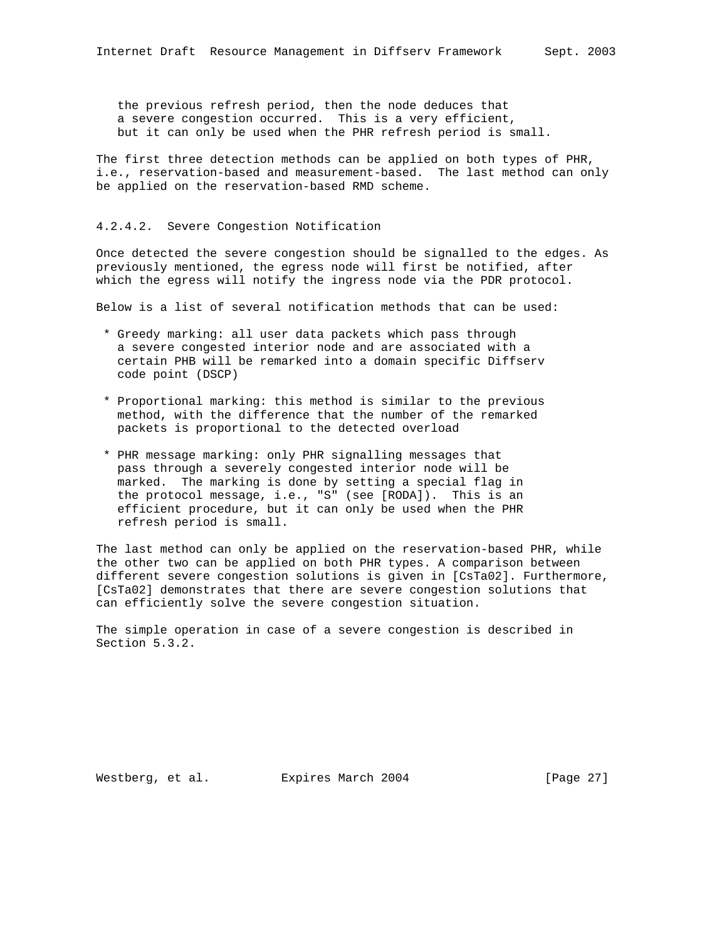The first three detection methods can be applied on both types of PHR, i.e., reservation-based and measurement-based. The last method can only be applied on the reservation-based RMD scheme.

## 4.2.4.2. Severe Congestion Notification

Once detected the severe congestion should be signalled to the edges. As previously mentioned, the egress node will first be notified, after which the egress will notify the ingress node via the PDR protocol.

Below is a list of several notification methods that can be used:

- \* Greedy marking: all user data packets which pass through a severe congested interior node and are associated with a certain PHB will be remarked into a domain specific Diffserv code point (DSCP)
- \* Proportional marking: this method is similar to the previous method, with the difference that the number of the remarked packets is proportional to the detected overload
- \* PHR message marking: only PHR signalling messages that pass through a severely congested interior node will be marked. The marking is done by setting a special flag in the protocol message, i.e., "S" (see [RODA]). This is an efficient procedure, but it can only be used when the PHR refresh period is small.

The last method can only be applied on the reservation-based PHR, while the other two can be applied on both PHR types. A comparison between different severe congestion solutions is given in [CsTa02]. Furthermore, [CsTa02] demonstrates that there are severe congestion solutions that can efficiently solve the severe congestion situation.

The simple operation in case of a severe congestion is described in Section 5.3.2.

Westberg, et al. Expires March 2004 [Page 27]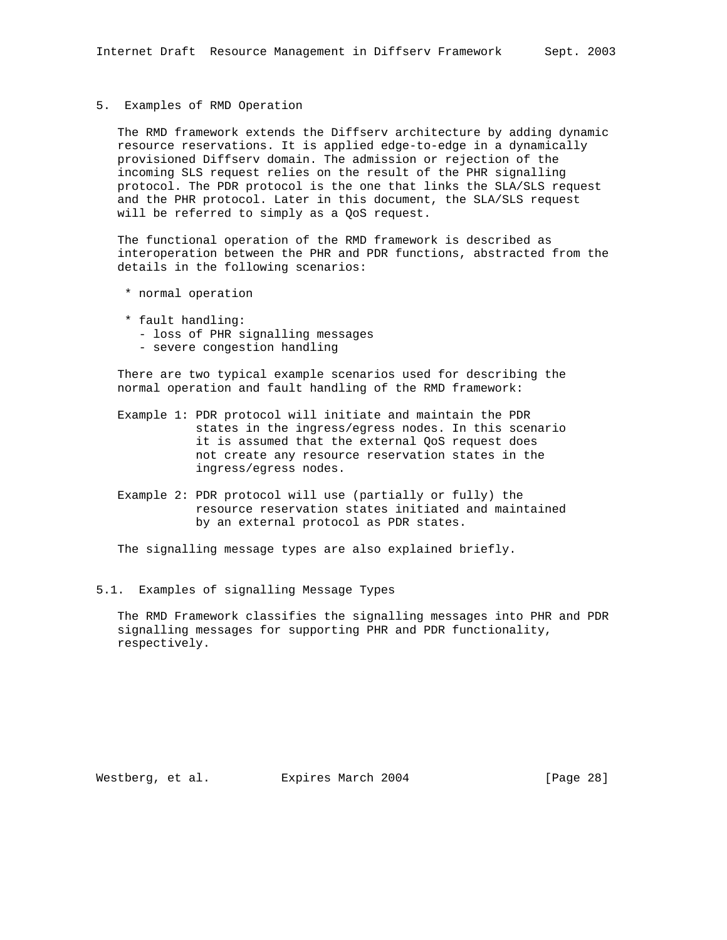5. Examples of RMD Operation

 The RMD framework extends the Diffserv architecture by adding dynamic resource reservations. It is applied edge-to-edge in a dynamically provisioned Diffserv domain. The admission or rejection of the incoming SLS request relies on the result of the PHR signalling protocol. The PDR protocol is the one that links the SLA/SLS request and the PHR protocol. Later in this document, the SLA/SLS request will be referred to simply as a QoS request.

 The functional operation of the RMD framework is described as interoperation between the PHR and PDR functions, abstracted from the details in the following scenarios:

- \* normal operation
- \* fault handling:
	- loss of PHR signalling messages
	- severe congestion handling

 There are two typical example scenarios used for describing the normal operation and fault handling of the RMD framework:

- Example 1: PDR protocol will initiate and maintain the PDR states in the ingress/egress nodes. In this scenario it is assumed that the external QoS request does not create any resource reservation states in the ingress/egress nodes.
- Example 2: PDR protocol will use (partially or fully) the resource reservation states initiated and maintained by an external protocol as PDR states.

The signalling message types are also explained briefly.

5.1. Examples of signalling Message Types

 The RMD Framework classifies the signalling messages into PHR and PDR signalling messages for supporting PHR and PDR functionality, respectively.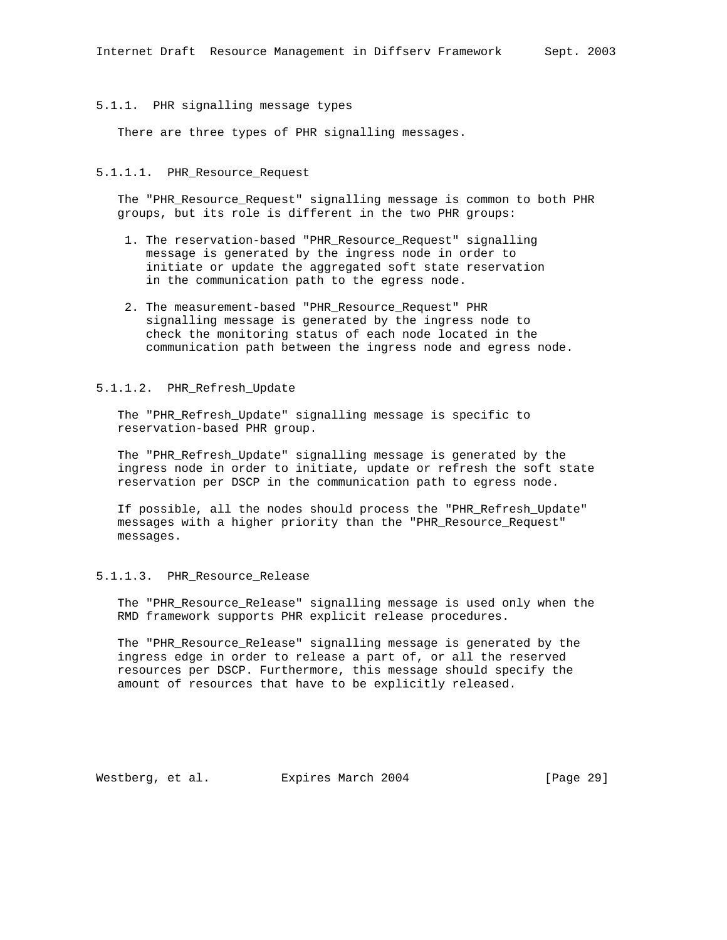## 5.1.1. PHR signalling message types

There are three types of PHR signalling messages.

# 5.1.1.1. PHR\_Resource\_Request

 The "PHR\_Resource\_Request" signalling message is common to both PHR groups, but its role is different in the two PHR groups:

- 1. The reservation-based "PHR\_Resource\_Request" signalling message is generated by the ingress node in order to initiate or update the aggregated soft state reservation in the communication path to the egress node.
- 2. The measurement-based "PHR\_Resource\_Request" PHR signalling message is generated by the ingress node to check the monitoring status of each node located in the communication path between the ingress node and egress node.

#### 5.1.1.2. PHR\_Refresh\_Update

 The "PHR\_Refresh\_Update" signalling message is specific to reservation-based PHR group.

 The "PHR\_Refresh\_Update" signalling message is generated by the ingress node in order to initiate, update or refresh the soft state reservation per DSCP in the communication path to egress node.

 If possible, all the nodes should process the "PHR\_Refresh\_Update" messages with a higher priority than the "PHR\_Resource\_Request" messages.

#### 5.1.1.3. PHR\_Resource\_Release

 The "PHR\_Resource\_Release" signalling message is used only when the RMD framework supports PHR explicit release procedures.

 The "PHR\_Resource\_Release" signalling message is generated by the ingress edge in order to release a part of, or all the reserved resources per DSCP. Furthermore, this message should specify the amount of resources that have to be explicitly released.

Westberg, et al. Expires March 2004 [Page 29]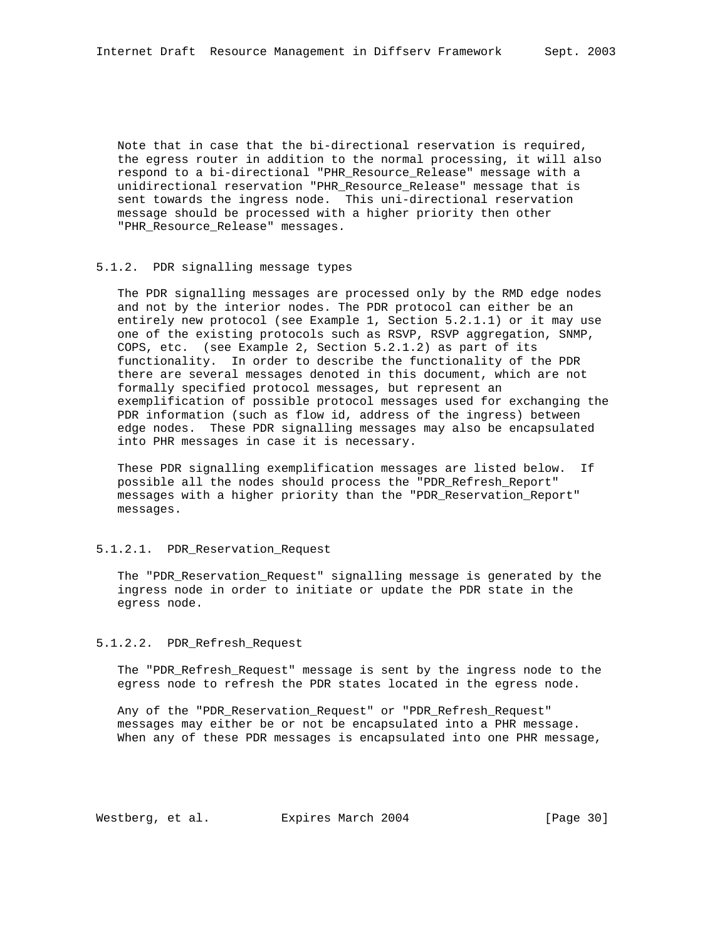Note that in case that the bi-directional reservation is required, the egress router in addition to the normal processing, it will also respond to a bi-directional "PHR\_Resource\_Release" message with a unidirectional reservation "PHR\_Resource\_Release" message that is sent towards the ingress node. This uni-directional reservation message should be processed with a higher priority then other "PHR\_Resource\_Release" messages.

## 5.1.2. PDR signalling message types

 The PDR signalling messages are processed only by the RMD edge nodes and not by the interior nodes. The PDR protocol can either be an entirely new protocol (see Example 1, Section 5.2.1.1) or it may use one of the existing protocols such as RSVP, RSVP aggregation, SNMP, COPS, etc. (see Example 2, Section 5.2.1.2) as part of its functionality. In order to describe the functionality of the PDR there are several messages denoted in this document, which are not formally specified protocol messages, but represent an exemplification of possible protocol messages used for exchanging the PDR information (such as flow id, address of the ingress) between edge nodes. These PDR signalling messages may also be encapsulated into PHR messages in case it is necessary.

 These PDR signalling exemplification messages are listed below. If possible all the nodes should process the "PDR\_Refresh\_Report" messages with a higher priority than the "PDR\_Reservation\_Report" messages.

## 5.1.2.1. PDR\_Reservation\_Request

 The "PDR\_Reservation\_Request" signalling message is generated by the ingress node in order to initiate or update the PDR state in the egress node.

## 5.1.2.2. PDR\_Refresh\_Request

 The "PDR\_Refresh\_Request" message is sent by the ingress node to the egress node to refresh the PDR states located in the egress node.

 Any of the "PDR\_Reservation\_Request" or "PDR\_Refresh\_Request" messages may either be or not be encapsulated into a PHR message. When any of these PDR messages is encapsulated into one PHR message,

Westberg, et al. Expires March 2004 [Page 30]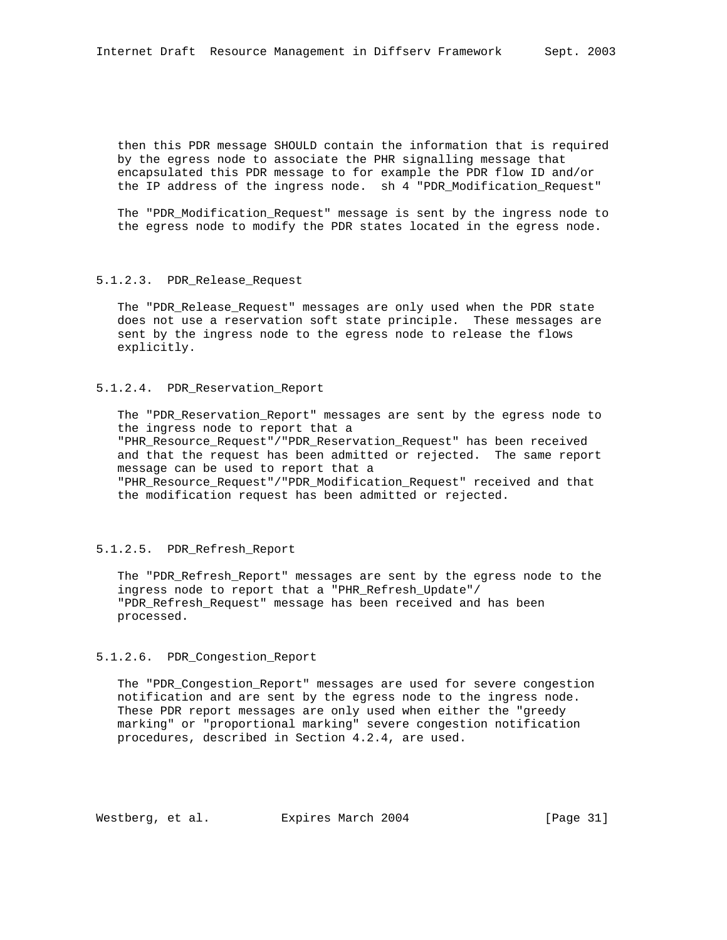then this PDR message SHOULD contain the information that is required by the egress node to associate the PHR signalling message that encapsulated this PDR message to for example the PDR flow ID and/or the IP address of the ingress node. sh 4 "PDR\_Modification\_Request"

 The "PDR\_Modification\_Request" message is sent by the ingress node to the egress node to modify the PDR states located in the egress node.

## 5.1.2.3. PDR\_Release\_Request

 The "PDR\_Release\_Request" messages are only used when the PDR state does not use a reservation soft state principle. These messages are sent by the ingress node to the egress node to release the flows explicitly.

### 5.1.2.4. PDR\_Reservation\_Report

 The "PDR\_Reservation\_Report" messages are sent by the egress node to the ingress node to report that a "PHR\_Resource\_Request"/"PDR\_Reservation\_Request" has been received

 and that the request has been admitted or rejected. The same report message can be used to report that a

 "PHR\_Resource\_Request"/"PDR\_Modification\_Request" received and that the modification request has been admitted or rejected.

## 5.1.2.5. PDR\_Refresh\_Report

 The "PDR\_Refresh\_Report" messages are sent by the egress node to the ingress node to report that a "PHR\_Refresh\_Update"/ "PDR\_Refresh\_Request" message has been received and has been processed.

#### 5.1.2.6. PDR\_Congestion\_Report

 The "PDR\_Congestion\_Report" messages are used for severe congestion notification and are sent by the egress node to the ingress node. These PDR report messages are only used when either the "greedy marking" or "proportional marking" severe congestion notification procedures, described in Section 4.2.4, are used.

Westberg, et al. Expires March 2004 [Page 31]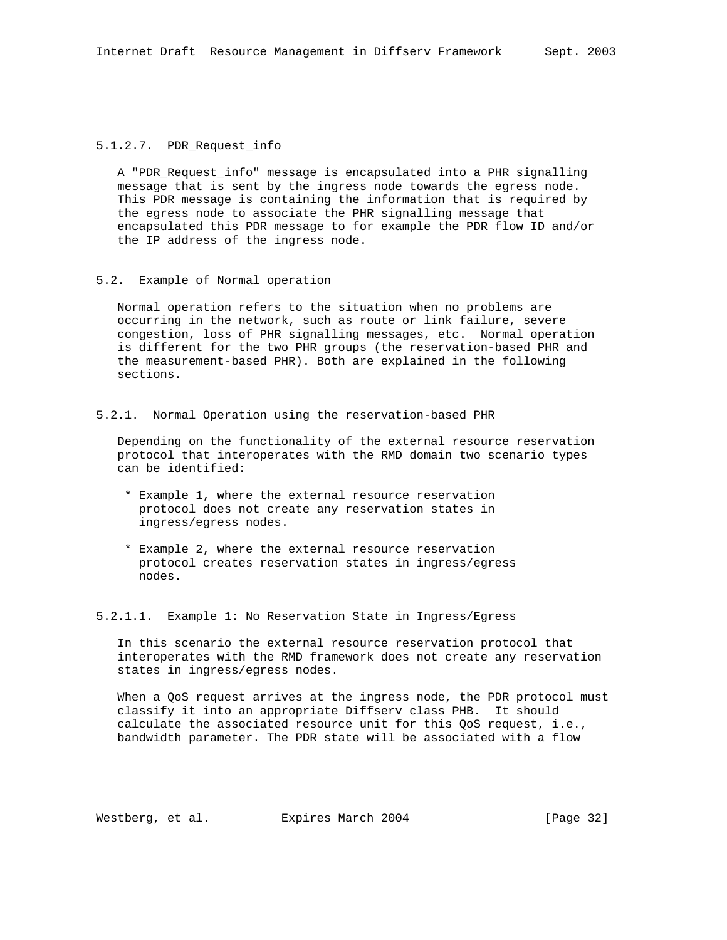## 5.1.2.7. PDR\_Request\_info

 A "PDR\_Request\_info" message is encapsulated into a PHR signalling message that is sent by the ingress node towards the egress node. This PDR message is containing the information that is required by the egress node to associate the PHR signalling message that encapsulated this PDR message to for example the PDR flow ID and/or the IP address of the ingress node.

## 5.2. Example of Normal operation

 Normal operation refers to the situation when no problems are occurring in the network, such as route or link failure, severe congestion, loss of PHR signalling messages, etc. Normal operation is different for the two PHR groups (the reservation-based PHR and the measurement-based PHR). Both are explained in the following sections.

5.2.1. Normal Operation using the reservation-based PHR

 Depending on the functionality of the external resource reservation protocol that interoperates with the RMD domain two scenario types can be identified:

- \* Example 1, where the external resource reservation protocol does not create any reservation states in ingress/egress nodes.
- \* Example 2, where the external resource reservation protocol creates reservation states in ingress/egress nodes.

5.2.1.1. Example 1: No Reservation State in Ingress/Egress

 In this scenario the external resource reservation protocol that interoperates with the RMD framework does not create any reservation states in ingress/egress nodes.

 When a QoS request arrives at the ingress node, the PDR protocol must classify it into an appropriate Diffserv class PHB. It should calculate the associated resource unit for this QoS request, i.e., bandwidth parameter. The PDR state will be associated with a flow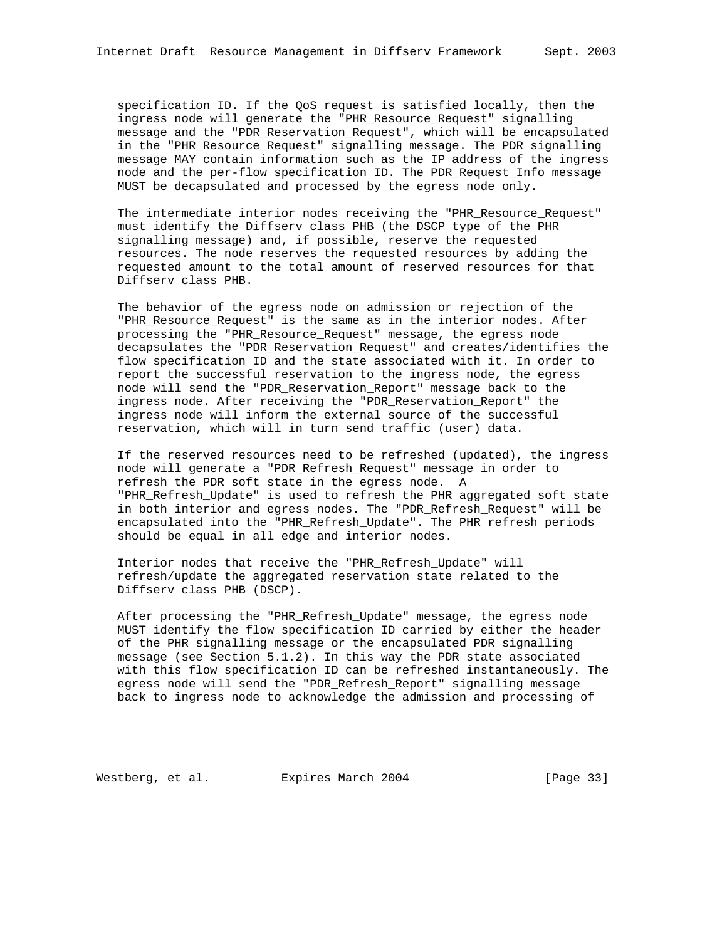specification ID. If the QoS request is satisfied locally, then the ingress node will generate the "PHR\_Resource\_Request" signalling message and the "PDR\_Reservation\_Request", which will be encapsulated in the "PHR\_Resource\_Request" signalling message. The PDR signalling message MAY contain information such as the IP address of the ingress node and the per-flow specification ID. The PDR\_Request\_Info message MUST be decapsulated and processed by the egress node only.

 The intermediate interior nodes receiving the "PHR\_Resource\_Request" must identify the Diffserv class PHB (the DSCP type of the PHR signalling message) and, if possible, reserve the requested resources. The node reserves the requested resources by adding the requested amount to the total amount of reserved resources for that Diffserv class PHB.

 The behavior of the egress node on admission or rejection of the "PHR\_Resource\_Request" is the same as in the interior nodes. After processing the "PHR\_Resource\_Request" message, the egress node decapsulates the "PDR\_Reservation\_Request" and creates/identifies the flow specification ID and the state associated with it. In order to report the successful reservation to the ingress node, the egress node will send the "PDR\_Reservation\_Report" message back to the ingress node. After receiving the "PDR\_Reservation\_Report" the ingress node will inform the external source of the successful reservation, which will in turn send traffic (user) data.

 If the reserved resources need to be refreshed (updated), the ingress node will generate a "PDR\_Refresh\_Request" message in order to refresh the PDR soft state in the egress node. A "PHR\_Refresh\_Update" is used to refresh the PHR aggregated soft state in both interior and egress nodes. The "PDR\_Refresh\_Request" will be encapsulated into the "PHR\_Refresh\_Update". The PHR refresh periods should be equal in all edge and interior nodes.

 Interior nodes that receive the "PHR\_Refresh\_Update" will refresh/update the aggregated reservation state related to the Diffserv class PHB (DSCP).

After processing the "PHR Refresh Update" message, the egress node MUST identify the flow specification ID carried by either the header of the PHR signalling message or the encapsulated PDR signalling message (see Section 5.1.2). In this way the PDR state associated with this flow specification ID can be refreshed instantaneously. The egress node will send the "PDR\_Refresh\_Report" signalling message back to ingress node to acknowledge the admission and processing of

Westberg, et al. Expires March 2004 [Page 33]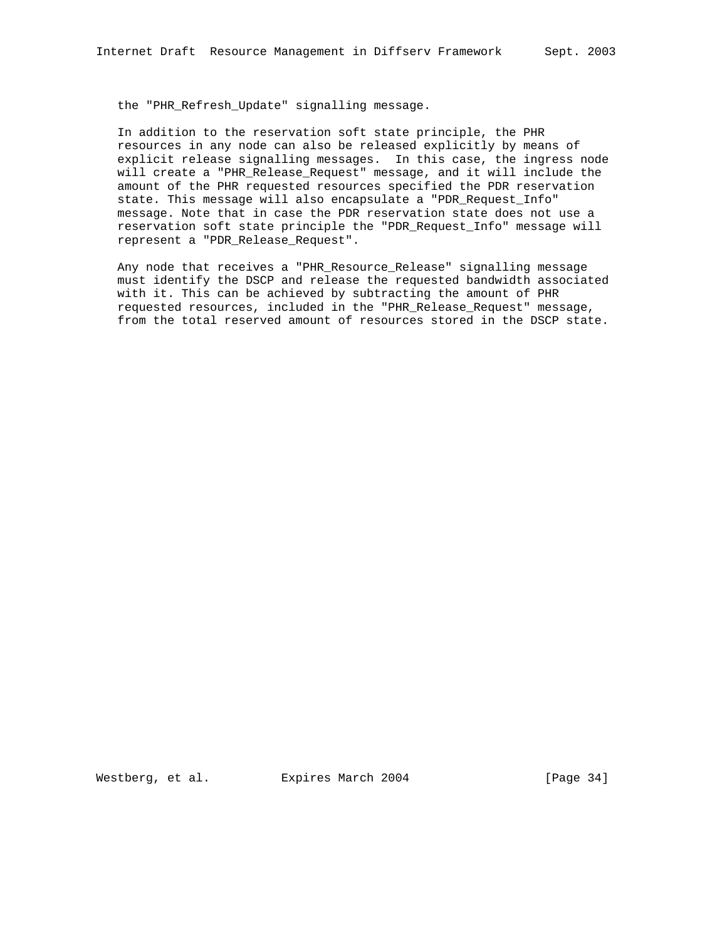the "PHR Refresh Update" signalling message.

 In addition to the reservation soft state principle, the PHR resources in any node can also be released explicitly by means of explicit release signalling messages. In this case, the ingress node will create a "PHR\_Release\_Request" message, and it will include the amount of the PHR requested resources specified the PDR reservation state. This message will also encapsulate a "PDR\_Request\_Info" message. Note that in case the PDR reservation state does not use a reservation soft state principle the "PDR\_Request\_Info" message will represent a "PDR\_Release\_Request".

 Any node that receives a "PHR\_Resource\_Release" signalling message must identify the DSCP and release the requested bandwidth associated with it. This can be achieved by subtracting the amount of PHR requested resources, included in the "PHR\_Release\_Request" message, from the total reserved amount of resources stored in the DSCP state.

Westberg, et al. Expires March 2004 [Page 34]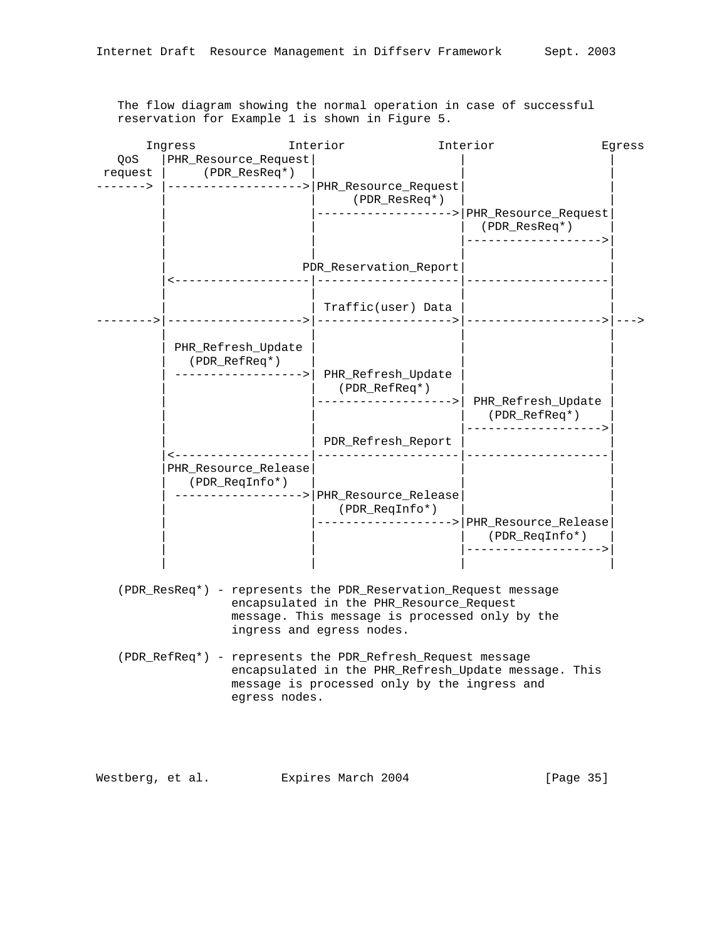The flow diagram showing the normal operation in case of successful reservation for Example 1 is shown in Figure 5.

| Ingress |                      | Interior |                                                                | Interior                                               | Eqress |
|---------|----------------------|----------|----------------------------------------------------------------|--------------------------------------------------------|--------|
| QoS     | PHR_Resource_Request |          |                                                                |                                                        |        |
| request | (PDR_ResReq*)        |          |                                                                |                                                        |        |
| ----->  | .                    |          | PHR_Resource_Request                                           |                                                        |        |
|         |                      |          | (PDR_ResReq*)                                                  |                                                        |        |
|         |                      |          | ---------                                                      | --> PHR_Resource_Request                               |        |
|         |                      |          |                                                                | $(PDR\_ResReg*)$                                       |        |
|         |                      |          |                                                                | . _ _ _ _ _ _ _ _ _ .                                  |        |
|         |                      |          | PDR_Reservation_Report                                         |                                                        |        |
|         |                      |          |                                                                |                                                        |        |
|         |                      |          | Traffic(user) Data                                             |                                                        |        |
|         |                      |          |                                                                |                                                        |        |
|         |                      |          |                                                                |                                                        |        |
|         | PHR_Refresh_Update   |          |                                                                |                                                        |        |
|         | (PDR_RefReq*)        |          |                                                                |                                                        |        |
|         |                      |          | PHR_Refresh_Update<br>(PDR_RefReq*)                            |                                                        |        |
|         |                      |          |                                                                | ----------------->  PHR_Refresh_Update                 |        |
|         |                      |          |                                                                | (PDR_RefReq*)                                          |        |
|         |                      |          |                                                                | ----------                                             |        |
|         |                      |          | PDR_Refresh_Report                                             |                                                        |        |
|         | PHR_Resource_Release |          |                                                                |                                                        |        |
|         | (PDR_ReqInfo*)       |          |                                                                |                                                        |        |
|         |                      |          | --------------> PHR_Resource_Release                           |                                                        |        |
|         |                      |          | (PDR_ReqInfo*)                                                 |                                                        |        |
|         |                      |          |                                                                | --------------> PHR_Resource_Release<br>(PDR_ReqInfo*) |        |
|         |                      |          |                                                                | . _ _ _ _ _ _ _ _ _ _ _ _ .                            |        |
|         |                      |          |                                                                |                                                        |        |
|         |                      |          | (PDR_ResReq*) - represents the PDR_Reservation_Request message |                                                        |        |
|         |                      |          | encapsulated in the PHR_Resource_Request                       |                                                        |        |
|         |                      |          | message. This message is processed only by the                 |                                                        |        |
|         |                      |          | ingress and egress nodes.                                      |                                                        |        |
|         |                      |          |                                                                |                                                        |        |

 (PDR\_RefReq\*) - represents the PDR\_Refresh\_Request message encapsulated in the PHR\_Refresh\_Update message. This message is processed only by the ingress and egress nodes.

Westberg, et al. Expires March 2004 [Page 35]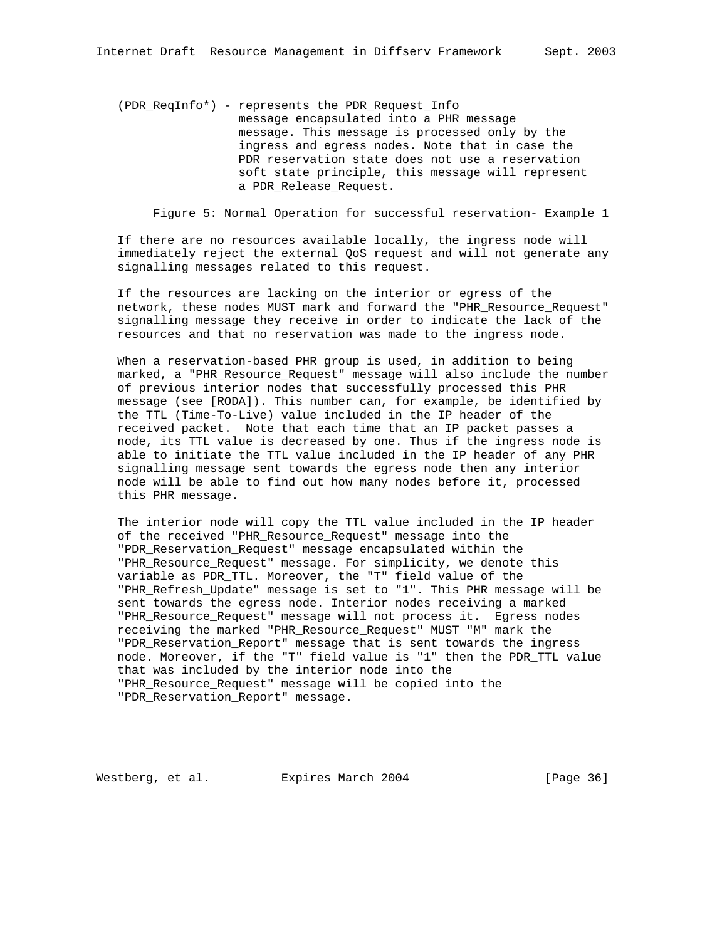(PDR\_ReqInfo\*) - represents the PDR\_Request\_Info message encapsulated into a PHR message message. This message is processed only by the ingress and egress nodes. Note that in case the PDR reservation state does not use a reservation soft state principle, this message will represent a PDR\_Release\_Request.

Figure 5: Normal Operation for successful reservation- Example 1

 If there are no resources available locally, the ingress node will immediately reject the external QoS request and will not generate any signalling messages related to this request.

 If the resources are lacking on the interior or egress of the network, these nodes MUST mark and forward the "PHR\_Resource\_Request" signalling message they receive in order to indicate the lack of the resources and that no reservation was made to the ingress node.

 When a reservation-based PHR group is used, in addition to being marked, a "PHR\_Resource\_Request" message will also include the number of previous interior nodes that successfully processed this PHR message (see [RODA]). This number can, for example, be identified by the TTL (Time-To-Live) value included in the IP header of the received packet. Note that each time that an IP packet passes a node, its TTL value is decreased by one. Thus if the ingress node is able to initiate the TTL value included in the IP header of any PHR signalling message sent towards the egress node then any interior node will be able to find out how many nodes before it, processed this PHR message.

 The interior node will copy the TTL value included in the IP header of the received "PHR\_Resource\_Request" message into the "PDR\_Reservation\_Request" message encapsulated within the "PHR\_Resource\_Request" message. For simplicity, we denote this variable as PDR\_TTL. Moreover, the "T" field value of the "PHR\_Refresh\_Update" message is set to "1". This PHR message will be sent towards the egress node. Interior nodes receiving a marked "PHR Resource Request" message will not process it. Egress nodes receiving the marked "PHR\_Resource\_Request" MUST "M" mark the "PDR\_Reservation\_Report" message that is sent towards the ingress node. Moreover, if the "T" field value is "1" then the PDR\_TTL value that was included by the interior node into the "PHR\_Resource\_Request" message will be copied into the "PDR\_Reservation\_Report" message.

Westberg, et al. Expires March 2004 [Page 36]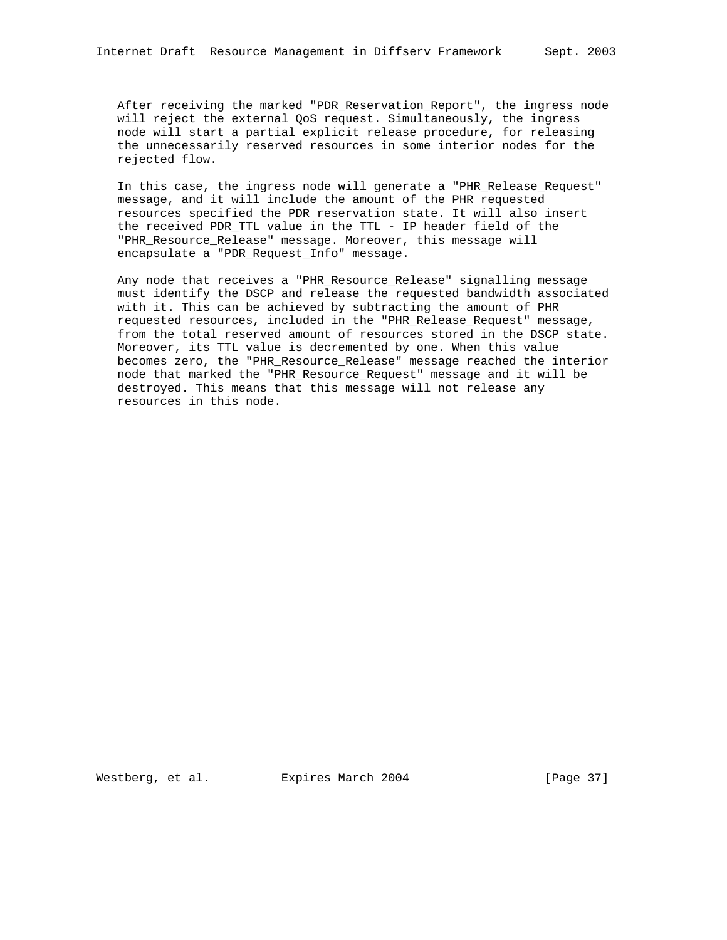After receiving the marked "PDR Reservation Report", the ingress node will reject the external QoS request. Simultaneously, the ingress node will start a partial explicit release procedure, for releasing the unnecessarily reserved resources in some interior nodes for the rejected flow.

 In this case, the ingress node will generate a "PHR\_Release\_Request" message, and it will include the amount of the PHR requested resources specified the PDR reservation state. It will also insert the received PDR\_TTL value in the TTL - IP header field of the "PHR\_Resource\_Release" message. Moreover, this message will encapsulate a "PDR\_Request\_Info" message.

 Any node that receives a "PHR\_Resource\_Release" signalling message must identify the DSCP and release the requested bandwidth associated with it. This can be achieved by subtracting the amount of PHR requested resources, included in the "PHR\_Release\_Request" message, from the total reserved amount of resources stored in the DSCP state. Moreover, its TTL value is decremented by one. When this value becomes zero, the "PHR\_Resource\_Release" message reached the interior node that marked the "PHR\_Resource\_Request" message and it will be destroyed. This means that this message will not release any resources in this node.

Westberg, et al. Expires March 2004 [Page 37]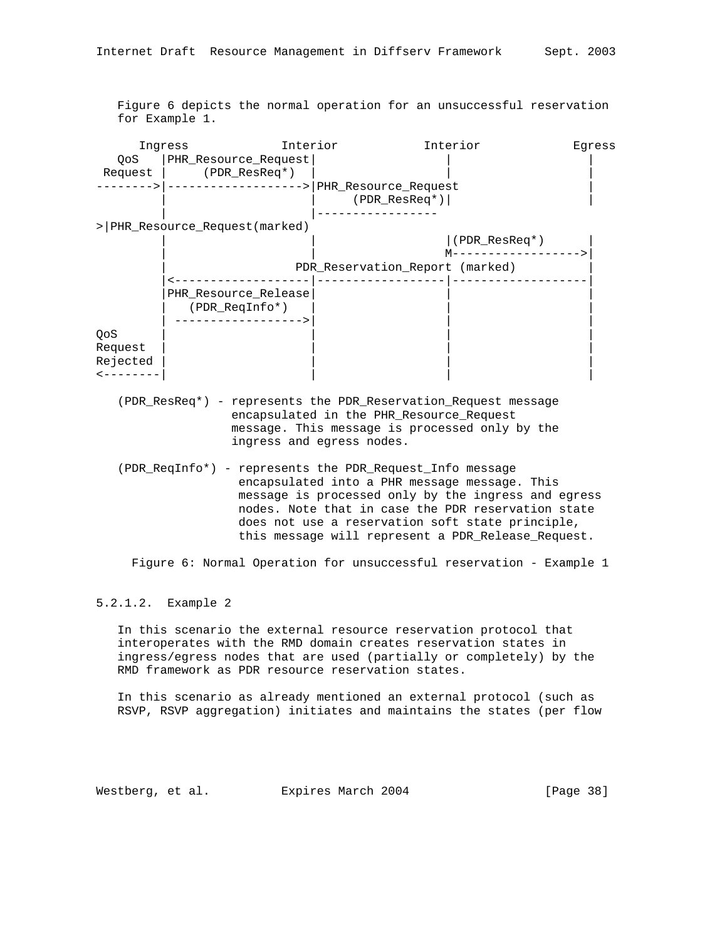Figure 6 depicts the normal operation for an unsuccessful reservation for Example 1.

|                                                                                                                                                                                                                                                                                                                                  | Ingress                                                        | Interior                  |                                          | Interior                                                                                                                                                                                                   | Eqress |
|----------------------------------------------------------------------------------------------------------------------------------------------------------------------------------------------------------------------------------------------------------------------------------------------------------------------------------|----------------------------------------------------------------|---------------------------|------------------------------------------|------------------------------------------------------------------------------------------------------------------------------------------------------------------------------------------------------------|--------|
| QoS                                                                                                                                                                                                                                                                                                                              | PHR_Resource_Request                                           |                           |                                          |                                                                                                                                                                                                            |        |
|                                                                                                                                                                                                                                                                                                                                  | Request   (PDR_ResReq*)                                        |                           |                                          |                                                                                                                                                                                                            |        |
|                                                                                                                                                                                                                                                                                                                                  | -------> -------------------> PHR_Resource_Request             |                           |                                          |                                                                                                                                                                                                            |        |
|                                                                                                                                                                                                                                                                                                                                  |                                                                |                           | $(PDR\_ResReg*)$                         |                                                                                                                                                                                                            |        |
|                                                                                                                                                                                                                                                                                                                                  |                                                                |                           | -----------                              |                                                                                                                                                                                                            |        |
|                                                                                                                                                                                                                                                                                                                                  | >   PHR_Resource_Request(marked)                               |                           |                                          |                                                                                                                                                                                                            |        |
|                                                                                                                                                                                                                                                                                                                                  |                                                                |                           |                                          | $ $ (PDR_ResReq*)                                                                                                                                                                                          |        |
|                                                                                                                                                                                                                                                                                                                                  |                                                                |                           |                                          | $M$ ----------------->                                                                                                                                                                                     |        |
|                                                                                                                                                                                                                                                                                                                                  |                                                                |                           | PDR_Reservation_Report (marked)          |                                                                                                                                                                                                            |        |
|                                                                                                                                                                                                                                                                                                                                  |                                                                |                           |                                          |                                                                                                                                                                                                            |        |
|                                                                                                                                                                                                                                                                                                                                  | PHR Resource Release                                           |                           |                                          |                                                                                                                                                                                                            |        |
|                                                                                                                                                                                                                                                                                                                                  | (PDR_ReqInfo*)                                                 |                           |                                          |                                                                                                                                                                                                            |        |
|                                                                                                                                                                                                                                                                                                                                  | -------------->                                                |                           |                                          |                                                                                                                                                                                                            |        |
| QoS                                                                                                                                                                                                                                                                                                                              |                                                                |                           |                                          |                                                                                                                                                                                                            |        |
| Request                                                                                                                                                                                                                                                                                                                          |                                                                |                           |                                          |                                                                                                                                                                                                            |        |
| Rejected                                                                                                                                                                                                                                                                                                                         |                                                                |                           |                                          |                                                                                                                                                                                                            |        |
| $- - - - - - - -$                                                                                                                                                                                                                                                                                                                |                                                                |                           |                                          |                                                                                                                                                                                                            |        |
|                                                                                                                                                                                                                                                                                                                                  | (PDR_ResReq*) - represents the PDR_Reservation_Request message | ingress and egress nodes. | encapsulated in the PHR_Resource_Request | message. This message is processed only by the                                                                                                                                                             |        |
| (PDR_ReqInfo*) - represents the PDR_Request_Info message<br>encapsulated into a PHR message message. This<br>message is processed only by the ingress and egress<br>nodes. Note that in case the PDR reservation state<br>does not use a reservation soft state principle,<br>this message will represent a PDR_Release_Request. |                                                                |                           |                                          |                                                                                                                                                                                                            |        |
|                                                                                                                                                                                                                                                                                                                                  |                                                                |                           |                                          | Figure 6: Normal Operation for unsuccessful reservation - Example 1                                                                                                                                        |        |
| 5.2.1.2. Example 2                                                                                                                                                                                                                                                                                                               |                                                                |                           |                                          |                                                                                                                                                                                                            |        |
|                                                                                                                                                                                                                                                                                                                                  |                                                                |                           |                                          | In this scenario the external resource reservation protocol that<br>interoperates with the RMD domain creates reservation states in<br>ingress/egress nodes that are used (partially or completely) by the |        |

 In this scenario as already mentioned an external protocol (such as RSVP, RSVP aggregation) initiates and maintains the states (per flow

Westberg, et al. Expires March 2004 [Page 38]

RMD framework as PDR resource reservation states.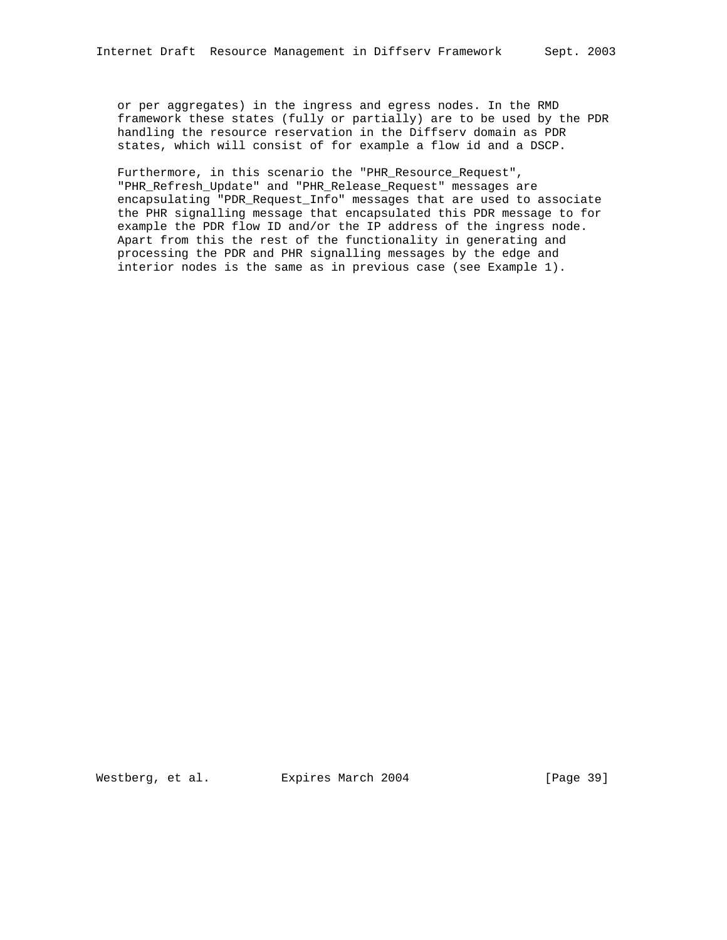or per aggregates) in the ingress and egress nodes. In the RMD framework these states (fully or partially) are to be used by the PDR handling the resource reservation in the Diffserv domain as PDR states, which will consist of for example a flow id and a DSCP.

 Furthermore, in this scenario the "PHR\_Resource\_Request", "PHR\_Refresh\_Update" and "PHR\_Release\_Request" messages are encapsulating "PDR\_Request\_Info" messages that are used to associate the PHR signalling message that encapsulated this PDR message to for example the PDR flow ID and/or the IP address of the ingress node. Apart from this the rest of the functionality in generating and processing the PDR and PHR signalling messages by the edge and interior nodes is the same as in previous case (see Example 1).

Westberg, et al. Expires March 2004 [Page 39]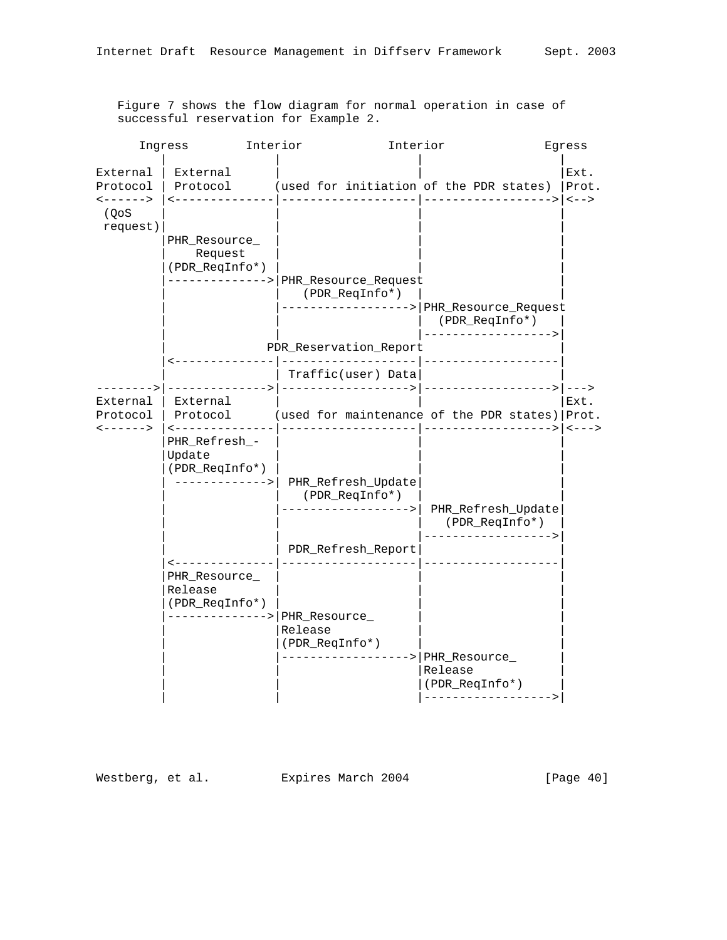|                                                                                      | Interior<br>Ingress                                                                        |                                                                                                                         | Interior                                                                     | Egress                                     |
|--------------------------------------------------------------------------------------|--------------------------------------------------------------------------------------------|-------------------------------------------------------------------------------------------------------------------------|------------------------------------------------------------------------------|--------------------------------------------|
| External<br>Protocol<br>$\left\langle - - - - - - \right\rangle$<br>(QoS<br>request) | External                                                                                   | Protocol (used for initiation of the PDR states)                                                                        |                                                                              | Ext.<br>Prot.                              |
|                                                                                      | PHR_Resource_<br>Request<br>(PDR_ReqInfo*)                                                 | ------------->   PHR_Resource_Request<br>(PDR_ReqInfo*)                                                                 | --------------> PHR_Resource_Request<br>(PDR_ReqInfo*)<br>-----------------> |                                            |
|                                                                                      |                                                                                            | PDR_Reservation_Report                                                                                                  |                                                                              |                                            |
|                                                                                      |                                                                                            | Traffic(user) Data                                                                                                      | ________________                                                             |                                            |
| External<br>Protocol<br>$\leftarrow$ - - - - - >                                     | External<br><--------------<br>PHR_Refresh_-<br>Update<br>(PDR_ReqInfo*)<br>-------------> | Protocol (used for maintenance of the PDR states)   Prot.<br>PHR_Refresh_Update<br>(PDR_ReqInfo*)<br>-----------------> | PHR_Refresh_Update                                                           | Ext.<br>$\left\langle - - - \right\rangle$ |
|                                                                                      | --------------                                                                             | PDR_Refresh_Report<br>_____________________                                                                             | (PDR_ReqInfo*)<br>----------------->                                         |                                            |
|                                                                                      | PHR_Resource_<br>Release<br>(PDR_ReqInfo*)                                                 | -------------> PHR_Resource_<br>Release<br>(PDR_ReqInfo*)<br>------------------> PHR_Resource_                          | Release<br>(PDR_ReqInfo*)<br>------------------>                             |                                            |

 Figure 7 shows the flow diagram for normal operation in case of successful reservation for Example 2.

Westberg, et al. Expires March 2004 [Page 40]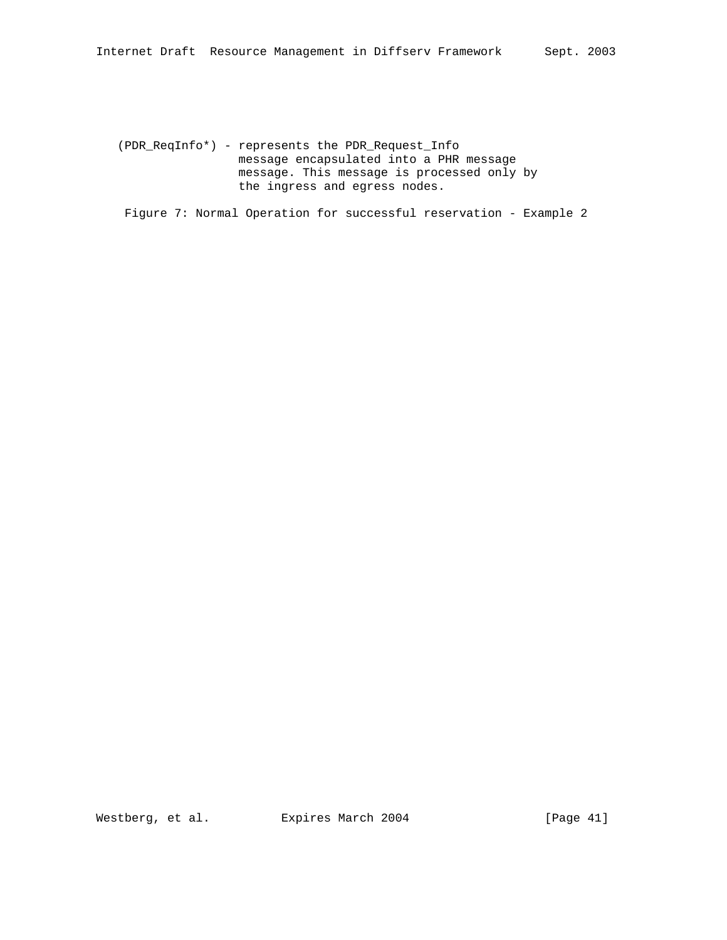(PDR\_ReqInfo\*) - represents the PDR\_Request\_Info message encapsulated into a PHR message message. This message is processed only by the ingress and egress nodes.

Figure 7: Normal Operation for successful reservation - Example 2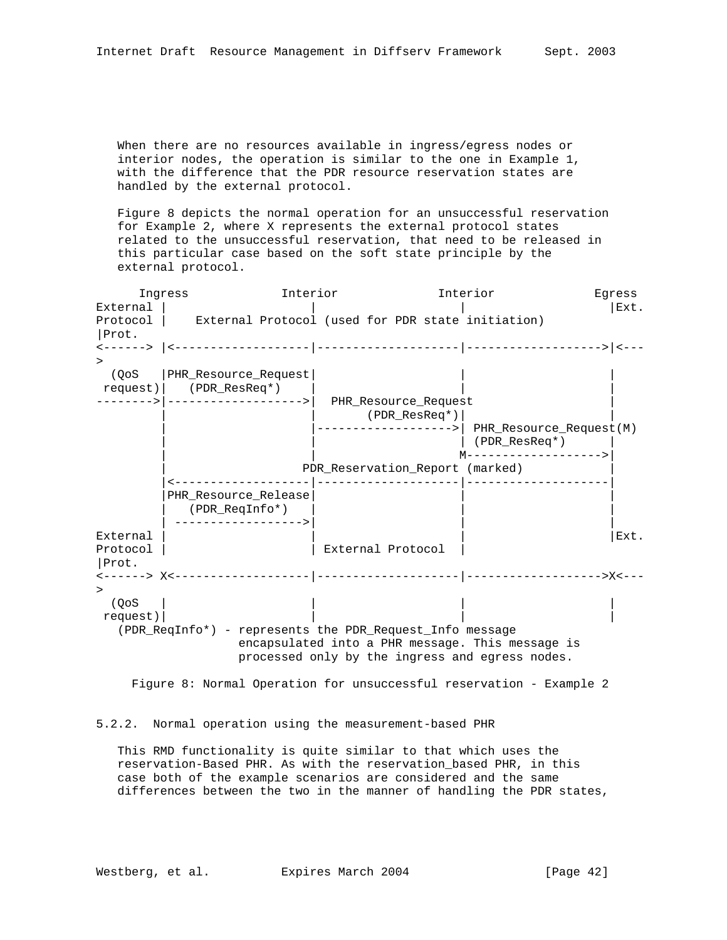When there are no resources available in ingress/egress nodes or interior nodes, the operation is similar to the one in Example 1, with the difference that the PDR resource reservation states are handled by the external protocol.

 Figure 8 depicts the normal operation for an unsuccessful reservation for Example 2, where X represents the external protocol states related to the unsuccessful reservation, that need to be released in this particular case based on the soft state principle by the external protocol.

 Ingress Interior Interior Egress External  $|\hspace{.1cm} |$ Protocol | External Protocol (used for PDR state initiation) |Prot. <------> |<-------------------|--------------------|------------------->|<--- > (QoS |PHR\_Resource\_Request| | | request)| (PDR\_ResReq\*) -------->|------------------->| PHR\_Resource\_Request | | | (PDR\_ResReq\*)| | |------------------>| PHR Resource Request(M) | | | (PDR\_ResReq\*) | | | M------------------->| PDR\_Reservation\_Report (marked) |<-------------------|--------------------|--------------------| |PHR\_Resource\_Release| | | | (PDR\_ReqInfo\*) | | | | ------------------>| | | External  $|\hspace{.1cm} | \hspace{.1cm} |\hspace{.1cm} \rangle$ Protocol | | External Protocol | |Prot. <------> X<-------------------|--------------------|------------------->X<---  $>$  (QoS | | | | request)| | | | (PDR\_ReqInfo\*) - represents the PDR\_Request\_Info message encapsulated into a PHR message. This message is processed only by the ingress and egress nodes.

Figure 8: Normal Operation for unsuccessful reservation - Example 2

## 5.2.2. Normal operation using the measurement-based PHR

 This RMD functionality is quite similar to that which uses the reservation-Based PHR. As with the reservation\_based PHR, in this case both of the example scenarios are considered and the same differences between the two in the manner of handling the PDR states,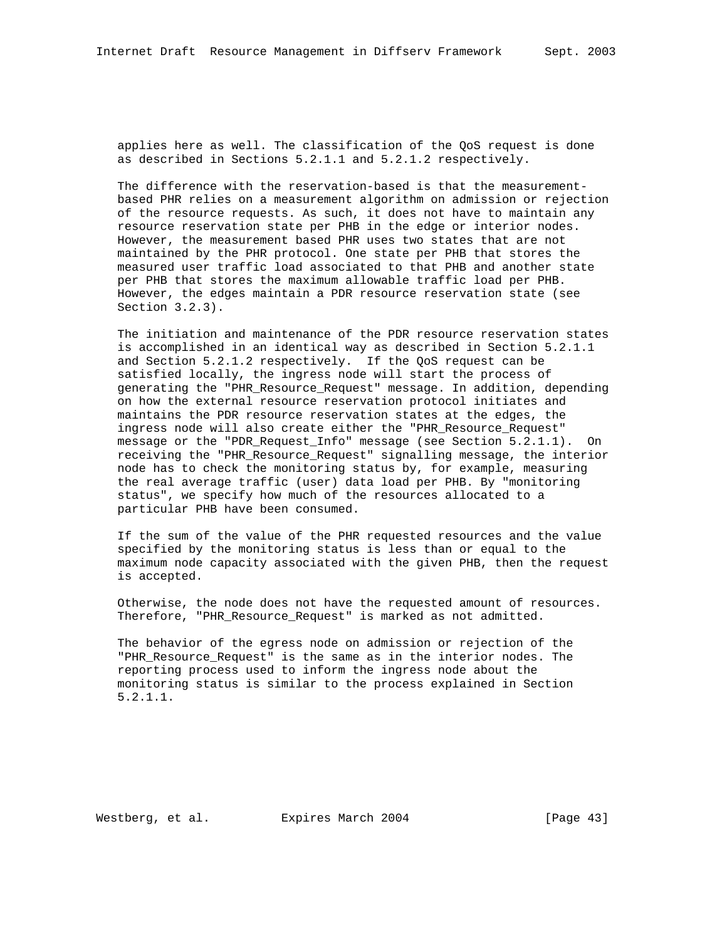applies here as well. The classification of the QoS request is done as described in Sections 5.2.1.1 and 5.2.1.2 respectively.

 The difference with the reservation-based is that the measurement based PHR relies on a measurement algorithm on admission or rejection of the resource requests. As such, it does not have to maintain any resource reservation state per PHB in the edge or interior nodes. However, the measurement based PHR uses two states that are not maintained by the PHR protocol. One state per PHB that stores the measured user traffic load associated to that PHB and another state per PHB that stores the maximum allowable traffic load per PHB. However, the edges maintain a PDR resource reservation state (see Section 3.2.3).

 The initiation and maintenance of the PDR resource reservation states is accomplished in an identical way as described in Section 5.2.1.1 and Section 5.2.1.2 respectively. If the QoS request can be satisfied locally, the ingress node will start the process of generating the "PHR\_Resource\_Request" message. In addition, depending on how the external resource reservation protocol initiates and maintains the PDR resource reservation states at the edges, the ingress node will also create either the "PHR\_Resource\_Request" message or the "PDR\_Request\_Info" message (see Section 5.2.1.1). On receiving the "PHR\_Resource\_Request" signalling message, the interior node has to check the monitoring status by, for example, measuring the real average traffic (user) data load per PHB. By "monitoring status", we specify how much of the resources allocated to a particular PHB have been consumed.

 If the sum of the value of the PHR requested resources and the value specified by the monitoring status is less than or equal to the maximum node capacity associated with the given PHB, then the request is accepted.

 Otherwise, the node does not have the requested amount of resources. Therefore, "PHR\_Resource\_Request" is marked as not admitted.

 The behavior of the egress node on admission or rejection of the "PHR\_Resource\_Request" is the same as in the interior nodes. The reporting process used to inform the ingress node about the monitoring status is similar to the process explained in Section 5.2.1.1.

Westberg, et al. Expires March 2004 [Page 43]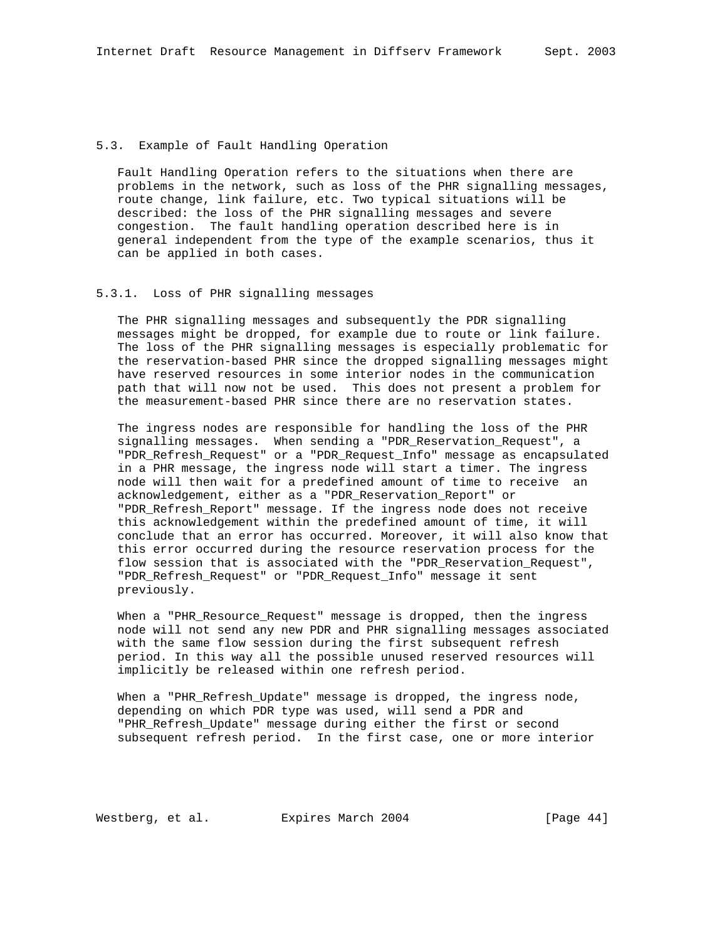## 5.3. Example of Fault Handling Operation

 Fault Handling Operation refers to the situations when there are problems in the network, such as loss of the PHR signalling messages, route change, link failure, etc. Two typical situations will be described: the loss of the PHR signalling messages and severe congestion. The fault handling operation described here is in general independent from the type of the example scenarios, thus it can be applied in both cases.

## 5.3.1. Loss of PHR signalling messages

 The PHR signalling messages and subsequently the PDR signalling messages might be dropped, for example due to route or link failure. The loss of the PHR signalling messages is especially problematic for the reservation-based PHR since the dropped signalling messages might have reserved resources in some interior nodes in the communication path that will now not be used. This does not present a problem for the measurement-based PHR since there are no reservation states.

 The ingress nodes are responsible for handling the loss of the PHR signalling messages. When sending a "PDR\_Reservation\_Request", a "PDR\_Refresh\_Request" or a "PDR\_Request\_Info" message as encapsulated in a PHR message, the ingress node will start a timer. The ingress node will then wait for a predefined amount of time to receive an acknowledgement, either as a "PDR\_Reservation\_Report" or "PDR\_Refresh\_Report" message. If the ingress node does not receive this acknowledgement within the predefined amount of time, it will conclude that an error has occurred. Moreover, it will also know that this error occurred during the resource reservation process for the flow session that is associated with the "PDR\_Reservation\_Request", "PDR\_Refresh\_Request" or "PDR\_Request\_Info" message it sent previously.

When a "PHR Resource Request" message is dropped, then the ingress node will not send any new PDR and PHR signalling messages associated with the same flow session during the first subsequent refresh period. In this way all the possible unused reserved resources will implicitly be released within one refresh period.

 When a "PHR\_Refresh\_Update" message is dropped, the ingress node, depending on which PDR type was used, will send a PDR and "PHR\_Refresh\_Update" message during either the first or second subsequent refresh period. In the first case, one or more interior

Westberg, et al. Expires March 2004 [Page 44]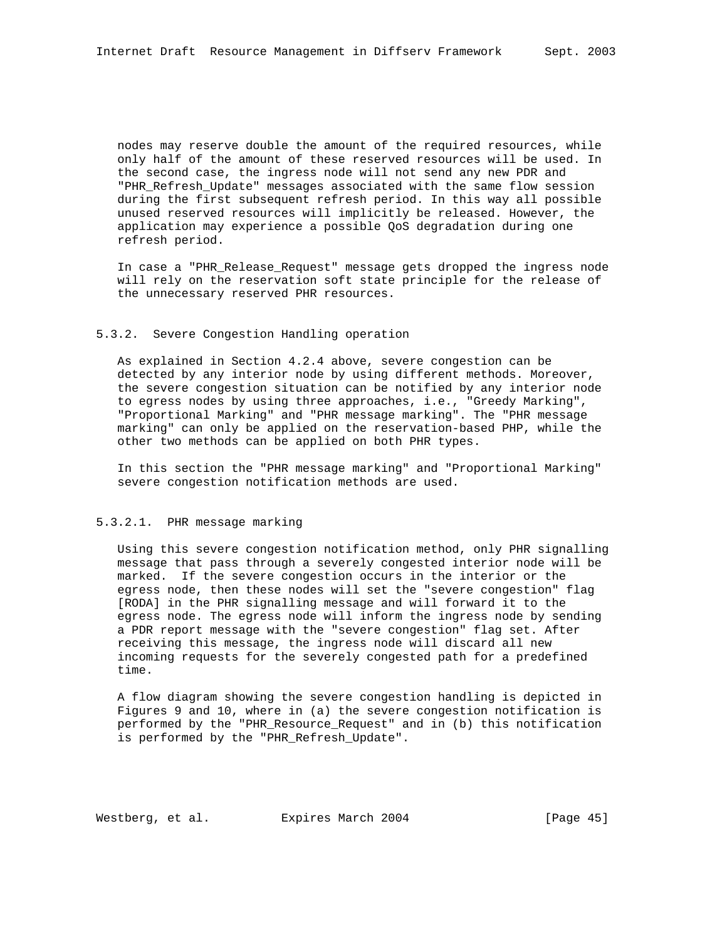nodes may reserve double the amount of the required resources, while only half of the amount of these reserved resources will be used. In the second case, the ingress node will not send any new PDR and "PHR\_Refresh\_Update" messages associated with the same flow session during the first subsequent refresh period. In this way all possible unused reserved resources will implicitly be released. However, the application may experience a possible QoS degradation during one refresh period.

 In case a "PHR\_Release\_Request" message gets dropped the ingress node will rely on the reservation soft state principle for the release of the unnecessary reserved PHR resources.

#### 5.3.2. Severe Congestion Handling operation

 As explained in Section 4.2.4 above, severe congestion can be detected by any interior node by using different methods. Moreover, the severe congestion situation can be notified by any interior node to egress nodes by using three approaches, i.e., "Greedy Marking", "Proportional Marking" and "PHR message marking". The "PHR message marking" can only be applied on the reservation-based PHP, while the other two methods can be applied on both PHR types.

 In this section the "PHR message marking" and "Proportional Marking" severe congestion notification methods are used.

## 5.3.2.1. PHR message marking

 Using this severe congestion notification method, only PHR signalling message that pass through a severely congested interior node will be marked. If the severe congestion occurs in the interior or the egress node, then these nodes will set the "severe congestion" flag [RODA] in the PHR signalling message and will forward it to the egress node. The egress node will inform the ingress node by sending a PDR report message with the "severe congestion" flag set. After receiving this message, the ingress node will discard all new incoming requests for the severely congested path for a predefined time.

 A flow diagram showing the severe congestion handling is depicted in Figures 9 and 10, where in (a) the severe congestion notification is performed by the "PHR\_Resource\_Request" and in (b) this notification is performed by the "PHR\_Refresh\_Update".

Westberg, et al. Expires March 2004 [Page 45]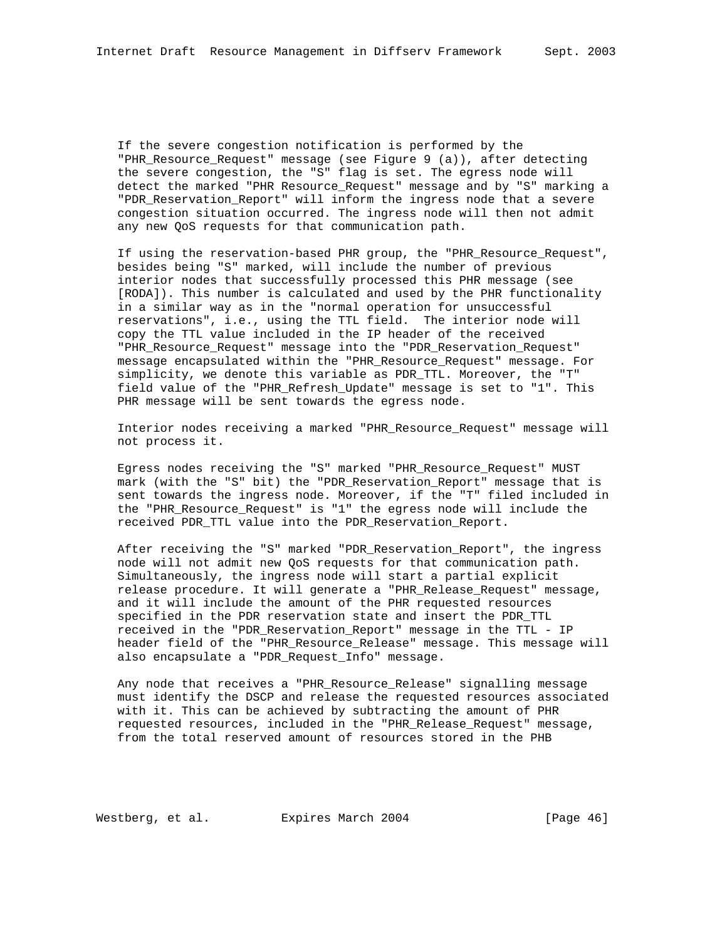If the severe congestion notification is performed by the "PHR Resource Request" message (see Figure 9 (a)), after detecting the severe congestion, the "S" flag is set. The egress node will detect the marked "PHR Resource\_Request" message and by "S" marking a "PDR\_Reservation\_Report" will inform the ingress node that a severe congestion situation occurred. The ingress node will then not admit any new QoS requests for that communication path.

 If using the reservation-based PHR group, the "PHR\_Resource\_Request", besides being "S" marked, will include the number of previous interior nodes that successfully processed this PHR message (see [RODA]). This number is calculated and used by the PHR functionality in a similar way as in the "normal operation for unsuccessful reservations", i.e., using the TTL field. The interior node will copy the TTL value included in the IP header of the received "PHR\_Resource\_Request" message into the "PDR\_Reservation\_Request" message encapsulated within the "PHR\_Resource\_Request" message. For simplicity, we denote this variable as PDR\_TTL. Moreover, the "T" field value of the "PHR\_Refresh\_Update" message is set to "1". This PHR message will be sent towards the egress node.

 Interior nodes receiving a marked "PHR\_Resource\_Request" message will not process it.

 Egress nodes receiving the "S" marked "PHR\_Resource\_Request" MUST mark (with the "S" bit) the "PDR\_Reservation\_Report" message that is sent towards the ingress node. Moreover, if the "T" filed included in the "PHR\_Resource\_Request" is "1" the egress node will include the received PDR\_TTL value into the PDR\_Reservation\_Report.

 After receiving the "S" marked "PDR\_Reservation\_Report", the ingress node will not admit new QoS requests for that communication path. Simultaneously, the ingress node will start a partial explicit release procedure. It will generate a "PHR\_Release\_Request" message, and it will include the amount of the PHR requested resources specified in the PDR reservation state and insert the PDR\_TTL received in the "PDR\_Reservation\_Report" message in the TTL - IP header field of the "PHR\_Resource\_Release" message. This message will also encapsulate a "PDR\_Request\_Info" message.

 Any node that receives a "PHR\_Resource\_Release" signalling message must identify the DSCP and release the requested resources associated with it. This can be achieved by subtracting the amount of PHR requested resources, included in the "PHR\_Release\_Request" message, from the total reserved amount of resources stored in the PHB

Westberg, et al. Expires March 2004 [Page 46]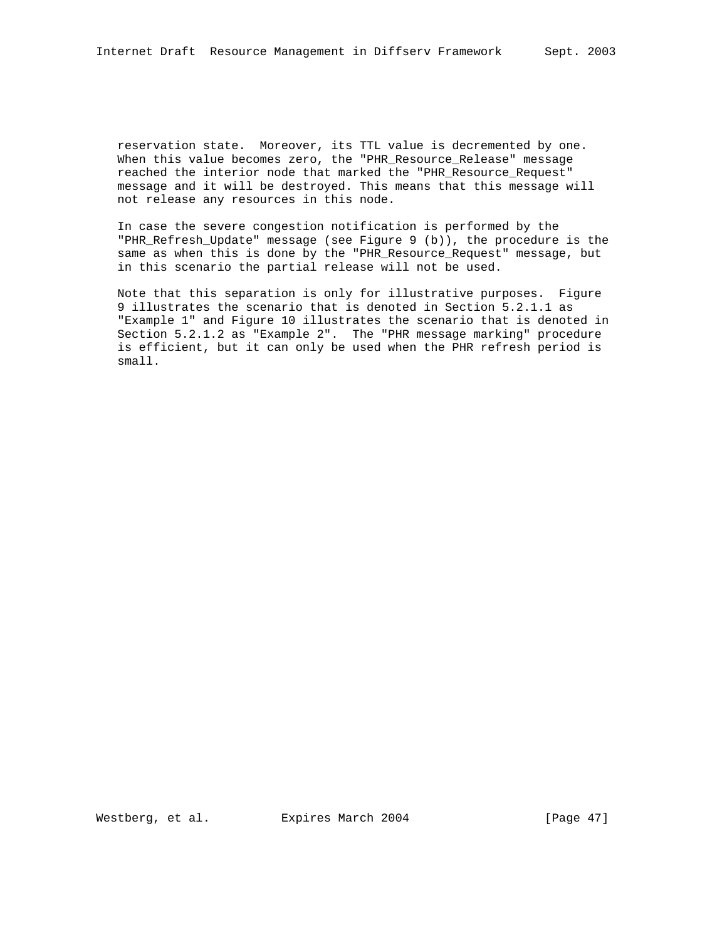reservation state. Moreover, its TTL value is decremented by one. When this value becomes zero, the "PHR Resource Release" message reached the interior node that marked the "PHR\_Resource\_Request" message and it will be destroyed. This means that this message will not release any resources in this node.

 In case the severe congestion notification is performed by the "PHR\_Refresh\_Update" message (see Figure 9 (b)), the procedure is the same as when this is done by the "PHR\_Resource\_Request" message, but in this scenario the partial release will not be used.

 Note that this separation is only for illustrative purposes. Figure 9 illustrates the scenario that is denoted in Section 5.2.1.1 as "Example 1" and Figure 10 illustrates the scenario that is denoted in Section 5.2.1.2 as "Example 2". The "PHR message marking" procedure is efficient, but it can only be used when the PHR refresh period is small.

Westberg, et al. Expires March 2004 [Page 47]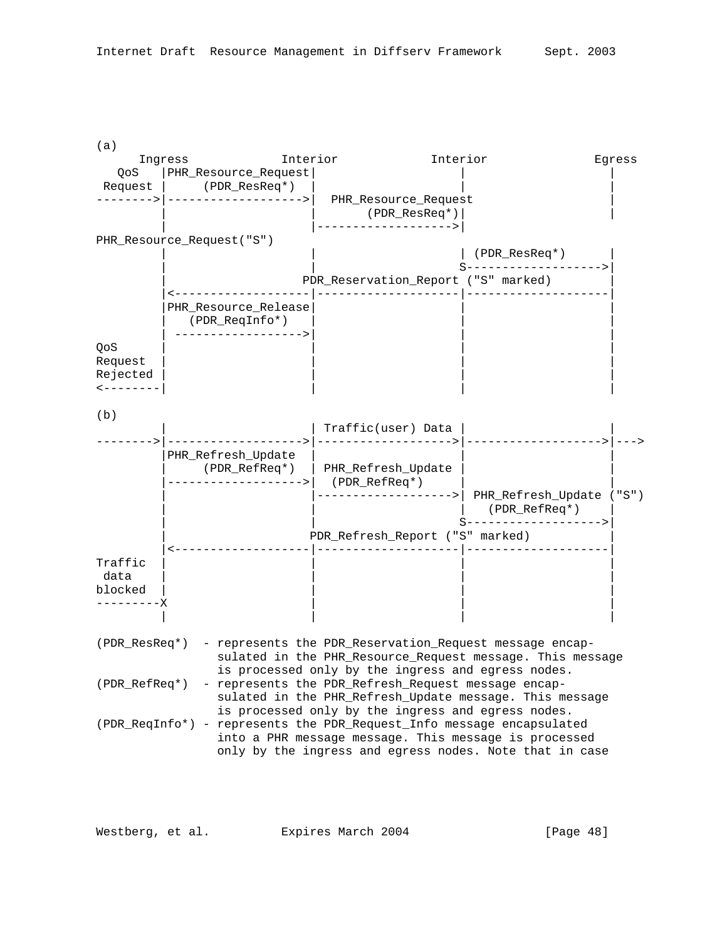

Westberg, et al. Expires March 2004 [Page 48]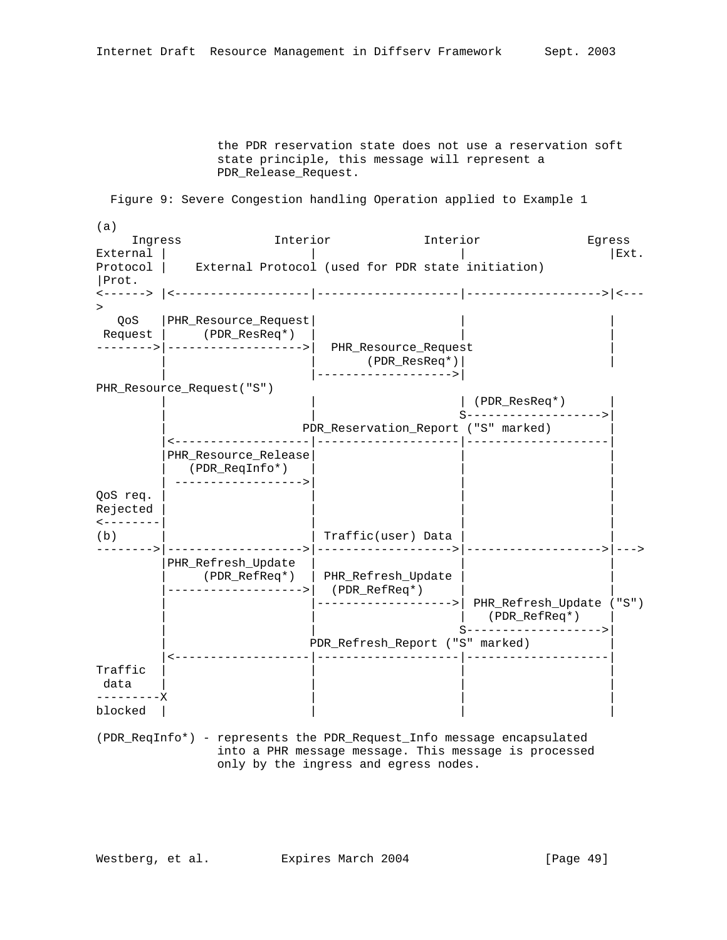the PDR reservation state does not use a reservation soft state principle, this message will represent a PDR\_Release\_Request.

Figure 9: Severe Congestion handling Operation applied to Example 1

(a) Ingress Interior Interior Egress External  $|\hspace{.1cm} |$ Protocol | External Protocol (used for PDR state initiation) |Prot. <------> |<-------------------|--------------------|------------------->|<--- > QoS |PHR\_Resource\_Request| | | Request | (PDR\_ResReq\*) | | | -------->|------------------->| PHR\_Resource\_Request | | | (PDR\_ResReq\*)| | | |------------------->| PHR Resource Request("S") | | | (PDR\_ResReq\*) | | | S------------------->| | PDR\_Reservation\_Report ("S" marked) | |<-------------------|--------------------|--------------------| |PHR\_Resource\_Release| | | | (PDR\_ReqInfo\*) | | | | ------------------>| | | QoS req. Rejected | | | | <--------| | | | (b)  $|$  Traffic(user) Data  $|$ -------->|------------------->|------------------->|------------------->|---> | PHR\_Refresh\_Update | (PDR\_RefReq\*) | PHR\_Refresh\_Update | | |------------------->| (PDR\_RefReq\*) | | |------------------->| PHR Refresh Update ("S") | | | (PDR\_RefReq\*) | | S--------------------> | PDR\_Refresh\_Report ("S" marked) | |<-------------------|--------------------|--------------------|  $\texttt{Traffic}$  |  $|\hspace{.1cm}$  data | | | | ---------X | | | blocked | (PDR\_ReqInfo\*) - represents the PDR\_Request\_Info message encapsulated

 into a PHR message message. This message is processed only by the ingress and egress nodes.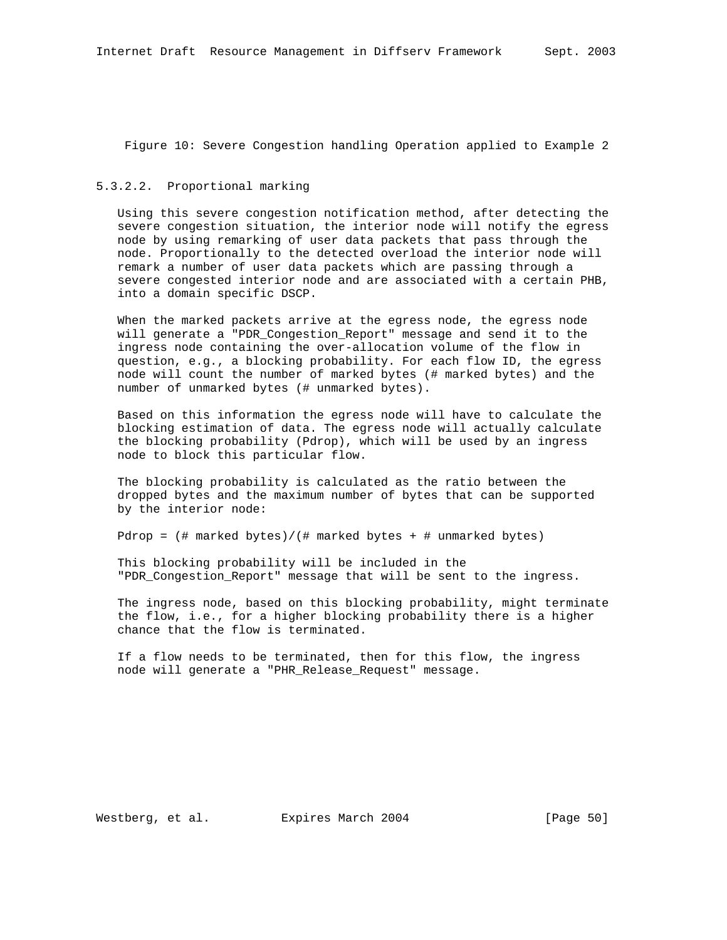Figure 10: Severe Congestion handling Operation applied to Example 2

## 5.3.2.2. Proportional marking

 Using this severe congestion notification method, after detecting the severe congestion situation, the interior node will notify the egress node by using remarking of user data packets that pass through the node. Proportionally to the detected overload the interior node will remark a number of user data packets which are passing through a severe congested interior node and are associated with a certain PHB, into a domain specific DSCP.

 When the marked packets arrive at the egress node, the egress node will generate a "PDR\_Congestion\_Report" message and send it to the ingress node containing the over-allocation volume of the flow in question, e.g., a blocking probability. For each flow ID, the egress node will count the number of marked bytes (# marked bytes) and the number of unmarked bytes (# unmarked bytes).

 Based on this information the egress node will have to calculate the blocking estimation of data. The egress node will actually calculate the blocking probability (Pdrop), which will be used by an ingress node to block this particular flow.

 The blocking probability is calculated as the ratio between the dropped bytes and the maximum number of bytes that can be supported by the interior node:

Pdrop = (# marked bytes)/(# marked bytes + # unmarked bytes)

 This blocking probability will be included in the "PDR\_Congestion\_Report" message that will be sent to the ingress.

 The ingress node, based on this blocking probability, might terminate the flow, i.e., for a higher blocking probability there is a higher chance that the flow is terminated.

 If a flow needs to be terminated, then for this flow, the ingress node will generate a "PHR\_Release\_Request" message.

Westberg, et al. Expires March 2004 [Page 50]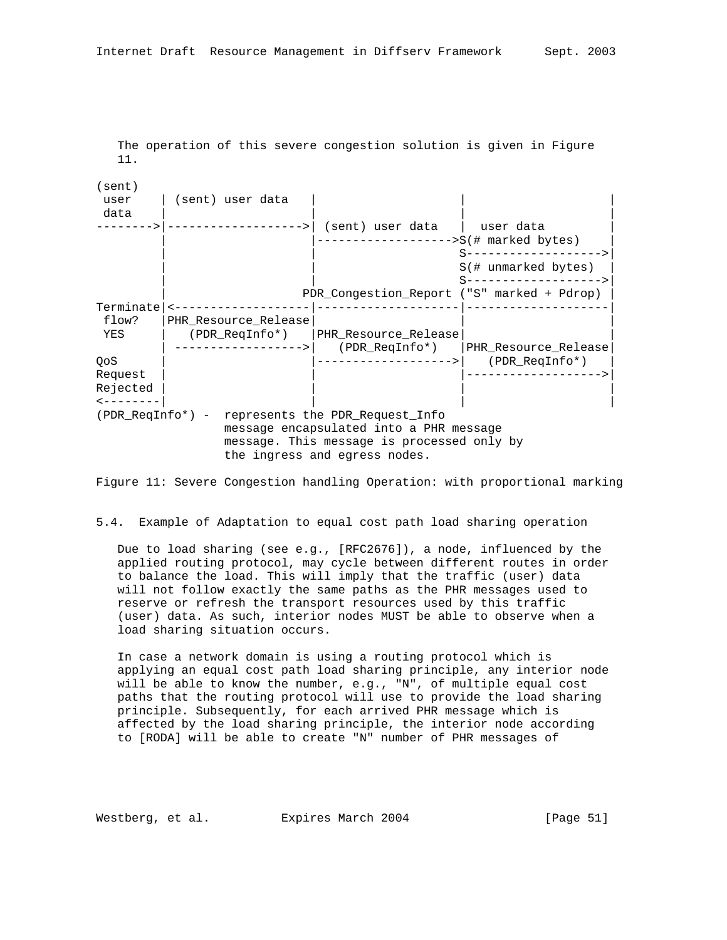The operation of this severe congestion solution is given in Figure 11.

(sent) user | (sent) user data data | | | | -------->|------------------->| (sent) user data | user data |  $|$ ------------------->S(# marked bytes) | S--------------------> S(# unmarked bytes) | | S------------------->| PDR\_Congestion\_Report ("S" marked + Pdrop) Terminate|<-------------------|--------------------|--------------------| flow? |PHR\_Resource\_Release| | | YES | (PDR\_ReqInfo\*) |PHR\_Resource\_Release| | | ------------------>| (PDR\_ReqInfo\*) |PHR\_Resource\_Release| |------------------->| (PDR\_ReqInfo\*) Request | | |------------------->| Rejected <--------| | | | (PDR\_ReqInfo\*) - represents the PDR\_Request\_Info message encapsulated into a PHR message message. This message is processed only by the ingress and egress nodes.

Figure 11: Severe Congestion handling Operation: with proportional marking

5.4. Example of Adaptation to equal cost path load sharing operation

 Due to load sharing (see e.g., [RFC2676]), a node, influenced by the applied routing protocol, may cycle between different routes in order to balance the load. This will imply that the traffic (user) data will not follow exactly the same paths as the PHR messages used to reserve or refresh the transport resources used by this traffic (user) data. As such, interior nodes MUST be able to observe when a load sharing situation occurs.

 In case a network domain is using a routing protocol which is applying an equal cost path load sharing principle, any interior node will be able to know the number, e.g., "N", of multiple equal cost paths that the routing protocol will use to provide the load sharing principle. Subsequently, for each arrived PHR message which is affected by the load sharing principle, the interior node according to [RODA] will be able to create "N" number of PHR messages of

Westberg, et al. Expires March 2004 [Page 51]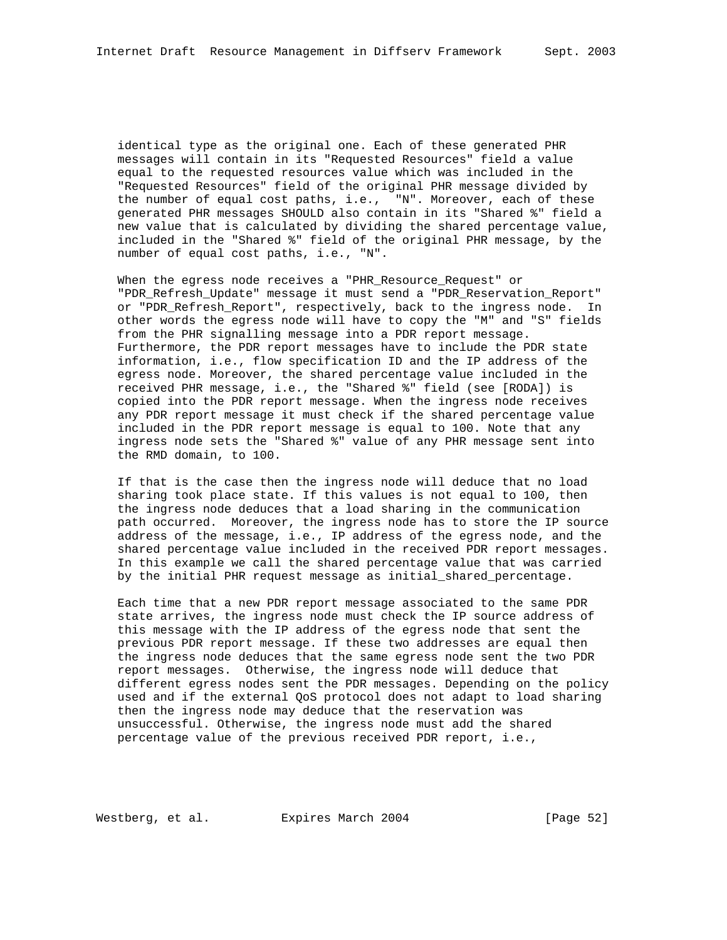identical type as the original one. Each of these generated PHR messages will contain in its "Requested Resources" field a value equal to the requested resources value which was included in the "Requested Resources" field of the original PHR message divided by the number of equal cost paths, i.e., "N". Moreover, each of these generated PHR messages SHOULD also contain in its "Shared %" field a new value that is calculated by dividing the shared percentage value, included in the "Shared %" field of the original PHR message, by the number of equal cost paths, i.e., "N".

 When the egress node receives a "PHR\_Resource\_Request" or "PDR\_Refresh\_Update" message it must send a "PDR\_Reservation\_Report" or "PDR\_Refresh\_Report", respectively, back to the ingress node. In other words the egress node will have to copy the "M" and "S" fields from the PHR signalling message into a PDR report message. Furthermore, the PDR report messages have to include the PDR state information, i.e., flow specification ID and the IP address of the egress node. Moreover, the shared percentage value included in the received PHR message, i.e., the "Shared %" field (see [RODA]) is copied into the PDR report message. When the ingress node receives any PDR report message it must check if the shared percentage value included in the PDR report message is equal to 100. Note that any ingress node sets the "Shared %" value of any PHR message sent into the RMD domain, to 100.

 If that is the case then the ingress node will deduce that no load sharing took place state. If this values is not equal to 100, then the ingress node deduces that a load sharing in the communication path occurred. Moreover, the ingress node has to store the IP source address of the message, i.e., IP address of the egress node, and the shared percentage value included in the received PDR report messages. In this example we call the shared percentage value that was carried by the initial PHR request message as initial\_shared\_percentage.

 Each time that a new PDR report message associated to the same PDR state arrives, the ingress node must check the IP source address of this message with the IP address of the egress node that sent the previous PDR report message. If these two addresses are equal then the ingress node deduces that the same egress node sent the two PDR report messages. Otherwise, the ingress node will deduce that different egress nodes sent the PDR messages. Depending on the policy used and if the external QoS protocol does not adapt to load sharing then the ingress node may deduce that the reservation was unsuccessful. Otherwise, the ingress node must add the shared percentage value of the previous received PDR report, i.e.,

Westberg, et al. Expires March 2004 [Page 52]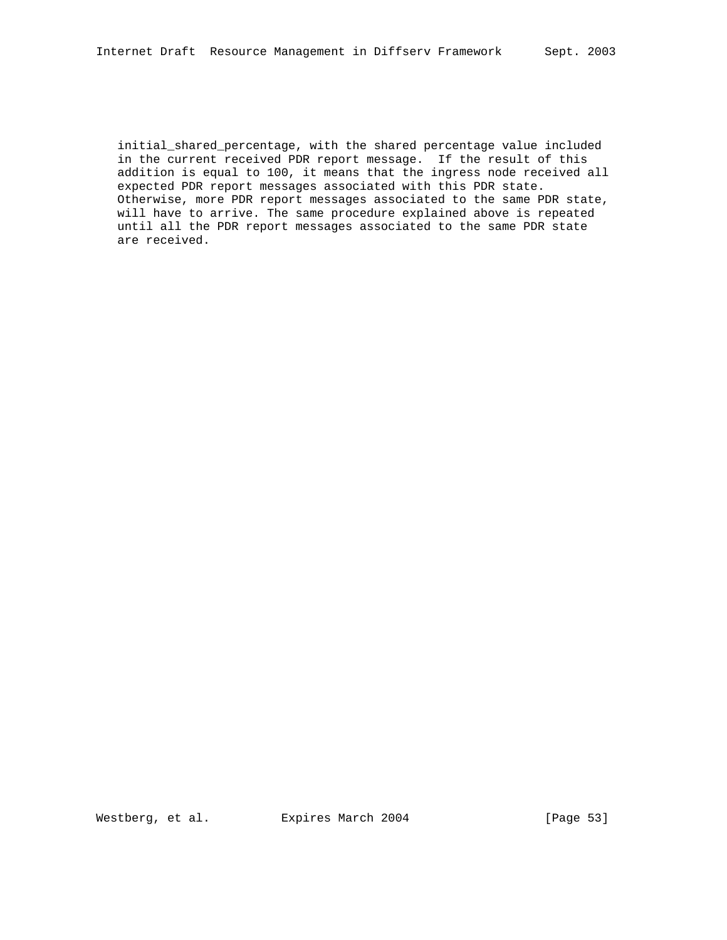initial\_shared\_percentage, with the shared percentage value included in the current received PDR report message. If the result of this addition is equal to 100, it means that the ingress node received all expected PDR report messages associated with this PDR state. Otherwise, more PDR report messages associated to the same PDR state, will have to arrive. The same procedure explained above is repeated until all the PDR report messages associated to the same PDR state are received.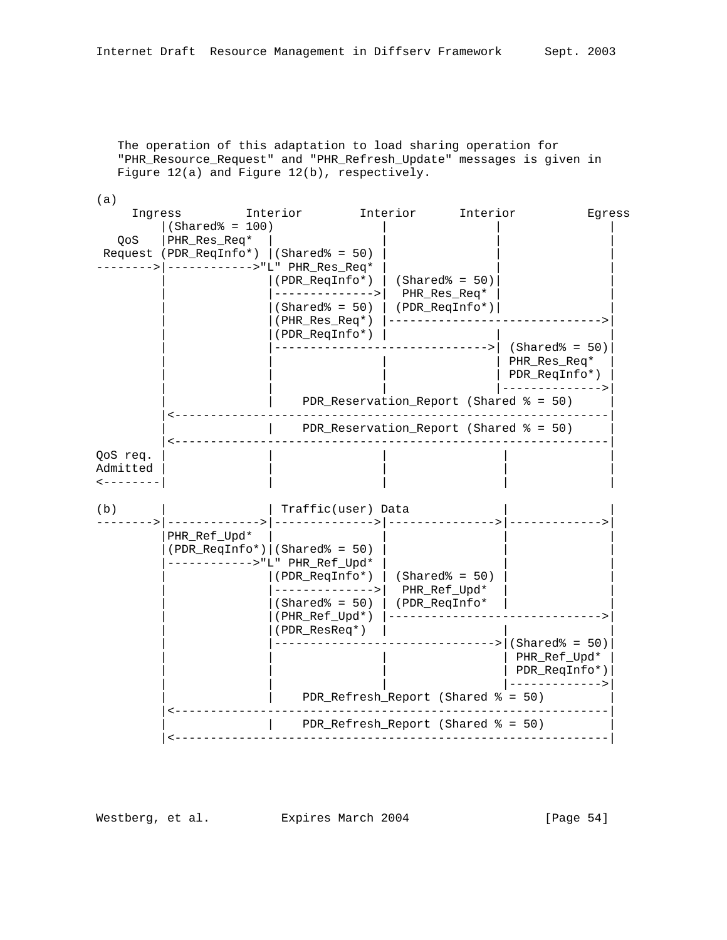The operation of this adaptation to load sharing operation for "PHR\_Resource\_Request" and "PHR\_Refresh\_Update" messages is given in Figure 12(a) and Figure 12(b), respectively.

| (a)                                                |                                   |                                                                                                                                             |                    |                                                    |                                                                     |
|----------------------------------------------------|-----------------------------------|---------------------------------------------------------------------------------------------------------------------------------------------|--------------------|----------------------------------------------------|---------------------------------------------------------------------|
| Ingress                                            |                                   | Interior                                                                                                                                    | Interior           | Interior                                           | Egress                                                              |
| QoS                                                | $(Shared* = 100)$<br>PHR_Res_Req* | Request (PDR_ReqInfo*) $ (Shared* = 50)$<br>(PDR_ReqInfo*)<br>--------------><br>$(Shared$ = 50)<br>(PHR_Res_Req*)<br>(PDR_ReqInfo*)        |                    | $(Shared* = 50)$<br>PHR_Res_Req*<br>(PDR_ReqInfo*) | $(Shared$ = 50)<br>PHR_Res_Req*                                     |
|                                                    |                                   |                                                                                                                                             |                    |                                                    | PDR_ReqInfo*)                                                       |
|                                                    |                                   |                                                                                                                                             |                    | PDR_Reservation_Report (Shared % = 50)             |                                                                     |
|                                                    |                                   |                                                                                                                                             |                    | PDR_Reservation_Report (Shared % = 50)             |                                                                     |
| QoS req.<br>Admitted<br>$\leftarrow$ - - - - - - - |                                   |                                                                                                                                             |                    |                                                    |                                                                     |
| (b)                                                |                                   |                                                                                                                                             | Traffic(user) Data |                                                    |                                                                     |
|                                                    | PHR_Ref_Upd*                      | $(PDR\_Required* )$ (Shared% = 50)<br>---------->"L" PHR_Ref_Upd*<br>(PDR_ReqInfo*)<br>--------------><br>$(Shared$ = 50)<br>(PHR_Ref_Upd*) |                    | $(Shared* = 50)$<br>PHR_Ref_Upd*<br>(PDR_ReqInfo*  |                                                                     |
|                                                    |                                   | (PDR_ResReq*)                                                                                                                               |                    |                                                    | $(Shared* = 50)$<br>PHR_Ref_Upd*<br>PDR_ReqInfo*)<br>-------------> |
|                                                    |                                   |                                                                                                                                             |                    | PDR_Refresh_Report (Shared % = 50)                 |                                                                     |
|                                                    |                                   |                                                                                                                                             |                    | PDR Refresh Report (Shared $\text{\$ = 50}$ )      |                                                                     |

Westberg, et al. Expires March 2004 [Page 54]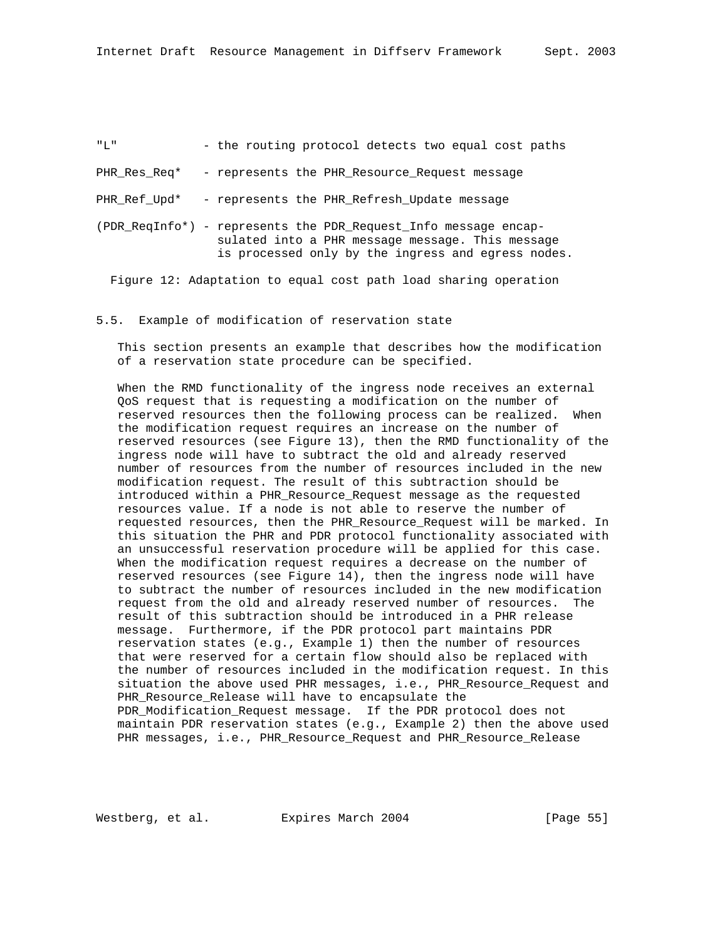| "T"          | - the routing protocol detects two equal cost paths                                                                                                                       |
|--------------|---------------------------------------------------------------------------------------------------------------------------------------------------------------------------|
| PHR Res Req* | - represents the PHR Resource Request message                                                                                                                             |
| PHR Ref Upd* | - represents the PHR Refresh Update message                                                                                                                               |
|              | (PDR RegInfo*) - represents the PDR Request Info message encap-<br>sulated into a PHR message message. This message<br>is processed only by the ingress and egress nodes. |
|              | Figure 12: Adaptation to equal cost path load sharing operation                                                                                                           |

#### 5.5. Example of modification of reservation state

 This section presents an example that describes how the modification of a reservation state procedure can be specified.

 When the RMD functionality of the ingress node receives an external QoS request that is requesting a modification on the number of reserved resources then the following process can be realized. When the modification request requires an increase on the number of reserved resources (see Figure 13), then the RMD functionality of the ingress node will have to subtract the old and already reserved number of resources from the number of resources included in the new modification request. The result of this subtraction should be introduced within a PHR\_Resource\_Request message as the requested resources value. If a node is not able to reserve the number of requested resources, then the PHR\_Resource\_Request will be marked. In this situation the PHR and PDR protocol functionality associated with an unsuccessful reservation procedure will be applied for this case. When the modification request requires a decrease on the number of reserved resources (see Figure 14), then the ingress node will have to subtract the number of resources included in the new modification request from the old and already reserved number of resources. The result of this subtraction should be introduced in a PHR release message. Furthermore, if the PDR protocol part maintains PDR reservation states (e.g., Example 1) then the number of resources that were reserved for a certain flow should also be replaced with the number of resources included in the modification request. In this situation the above used PHR messages, i.e., PHR\_Resource\_Request and PHR\_Resource\_Release will have to encapsulate the PDR\_Modification\_Request message. If the PDR protocol does not maintain PDR reservation states (e.g., Example 2) then the above used PHR messages, i.e., PHR\_Resource\_Request and PHR\_Resource\_Release

Westberg, et al. **Expires March 2004** [Page 55]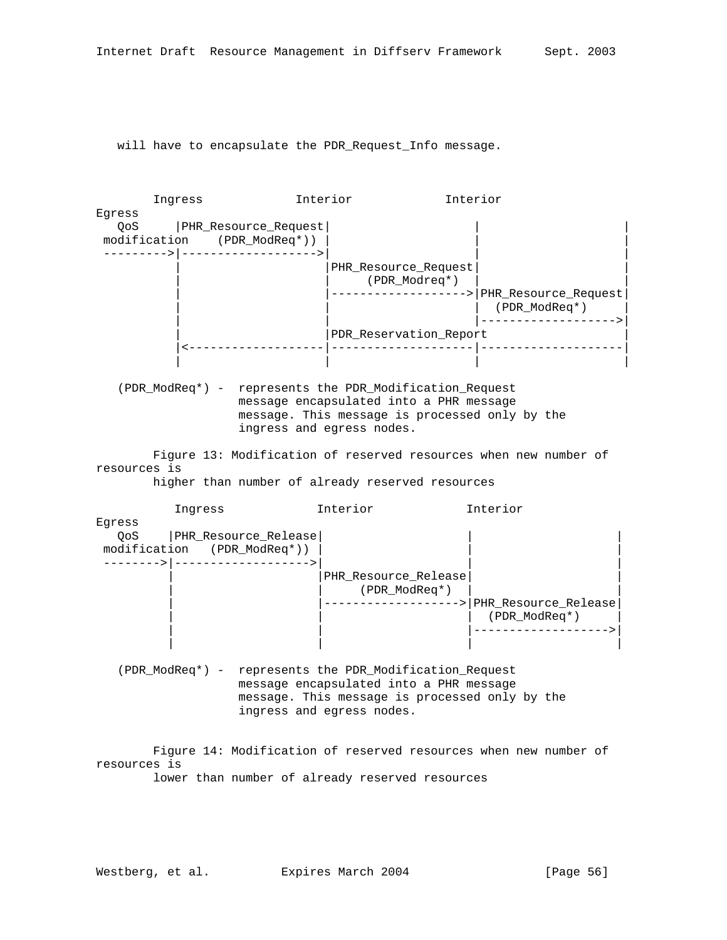will have to encapsulate the PDR\_Request\_Info message.



 (PDR\_ModReq\*) - represents the PDR\_Modification\_Request message encapsulated into a PHR message message. This message is processed only by the ingress and egress nodes.

| | | |

 Figure 14: Modification of reserved resources when new number of resources is

lower than number of already reserved resources

| | |------------------->|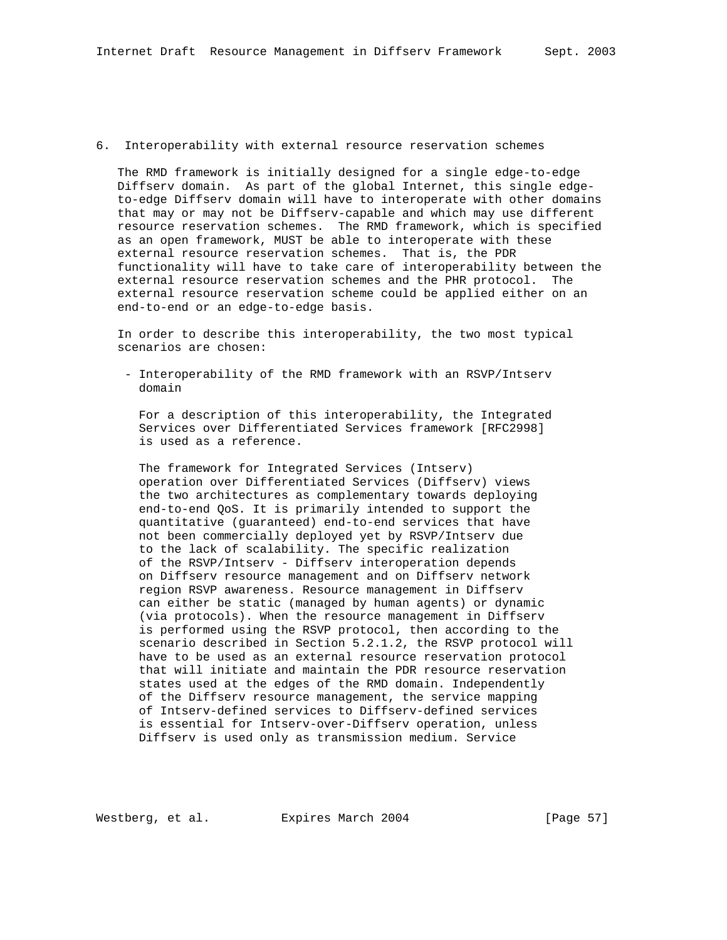## 6. Interoperability with external resource reservation schemes

 The RMD framework is initially designed for a single edge-to-edge Diffserv domain. As part of the global Internet, this single edge to-edge Diffserv domain will have to interoperate with other domains that may or may not be Diffserv-capable and which may use different resource reservation schemes. The RMD framework, which is specified as an open framework, MUST be able to interoperate with these external resource reservation schemes. That is, the PDR functionality will have to take care of interoperability between the external resource reservation schemes and the PHR protocol. The external resource reservation scheme could be applied either on an end-to-end or an edge-to-edge basis.

 In order to describe this interoperability, the two most typical scenarios are chosen:

 - Interoperability of the RMD framework with an RSVP/Intserv domain

 For a description of this interoperability, the Integrated Services over Differentiated Services framework [RFC2998] is used as a reference.

 The framework for Integrated Services (Intserv) operation over Differentiated Services (Diffserv) views the two architectures as complementary towards deploying end-to-end QoS. It is primarily intended to support the quantitative (guaranteed) end-to-end services that have not been commercially deployed yet by RSVP/Intserv due to the lack of scalability. The specific realization of the RSVP/Intserv - Diffserv interoperation depends on Diffserv resource management and on Diffserv network region RSVP awareness. Resource management in Diffserv can either be static (managed by human agents) or dynamic (via protocols). When the resource management in Diffserv is performed using the RSVP protocol, then according to the scenario described in Section 5.2.1.2, the RSVP protocol will have to be used as an external resource reservation protocol that will initiate and maintain the PDR resource reservation states used at the edges of the RMD domain. Independently of the Diffserv resource management, the service mapping of Intserv-defined services to Diffserv-defined services is essential for Intserv-over-Diffserv operation, unless Diffserv is used only as transmission medium. Service

Westberg, et al. Expires March 2004 [Page 57]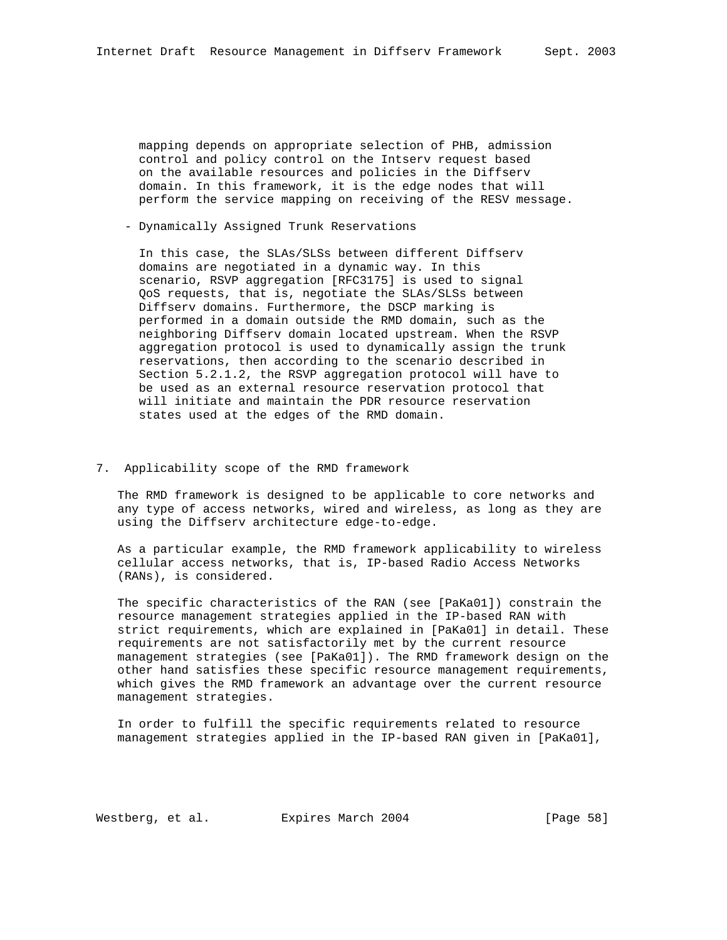mapping depends on appropriate selection of PHB, admission control and policy control on the Intserv request based on the available resources and policies in the Diffserv domain. In this framework, it is the edge nodes that will perform the service mapping on receiving of the RESV message.

- Dynamically Assigned Trunk Reservations

 In this case, the SLAs/SLSs between different Diffserv domains are negotiated in a dynamic way. In this scenario, RSVP aggregation [RFC3175] is used to signal QoS requests, that is, negotiate the SLAs/SLSs between Diffserv domains. Furthermore, the DSCP marking is performed in a domain outside the RMD domain, such as the neighboring Diffserv domain located upstream. When the RSVP aggregation protocol is used to dynamically assign the trunk reservations, then according to the scenario described in Section 5.2.1.2, the RSVP aggregation protocol will have to be used as an external resource reservation protocol that will initiate and maintain the PDR resource reservation states used at the edges of the RMD domain.

## 7. Applicability scope of the RMD framework

 The RMD framework is designed to be applicable to core networks and any type of access networks, wired and wireless, as long as they are using the Diffserv architecture edge-to-edge.

 As a particular example, the RMD framework applicability to wireless cellular access networks, that is, IP-based Radio Access Networks (RANs), is considered.

 The specific characteristics of the RAN (see [PaKa01]) constrain the resource management strategies applied in the IP-based RAN with strict requirements, which are explained in [PaKa01] in detail. These requirements are not satisfactorily met by the current resource management strategies (see [PaKa01]). The RMD framework design on the other hand satisfies these specific resource management requirements, which gives the RMD framework an advantage over the current resource management strategies.

 In order to fulfill the specific requirements related to resource management strategies applied in the IP-based RAN given in [PaKa01],

Westberg, et al. Expires March 2004 [Page 58]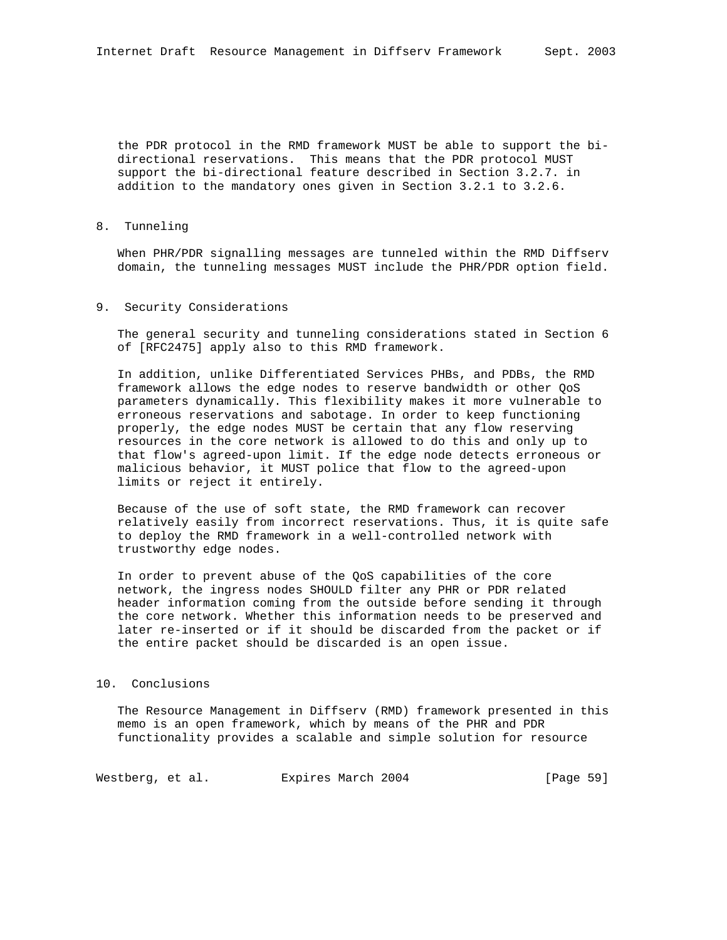the PDR protocol in the RMD framework MUST be able to support the bi directional reservations. This means that the PDR protocol MUST support the bi-directional feature described in Section 3.2.7. in addition to the mandatory ones given in Section 3.2.1 to 3.2.6.

8. Tunneling

 When PHR/PDR signalling messages are tunneled within the RMD Diffserv domain, the tunneling messages MUST include the PHR/PDR option field.

### 9. Security Considerations

 The general security and tunneling considerations stated in Section 6 of [RFC2475] apply also to this RMD framework.

 In addition, unlike Differentiated Services PHBs, and PDBs, the RMD framework allows the edge nodes to reserve bandwidth or other QoS parameters dynamically. This flexibility makes it more vulnerable to erroneous reservations and sabotage. In order to keep functioning properly, the edge nodes MUST be certain that any flow reserving resources in the core network is allowed to do this and only up to that flow's agreed-upon limit. If the edge node detects erroneous or malicious behavior, it MUST police that flow to the agreed-upon limits or reject it entirely.

 Because of the use of soft state, the RMD framework can recover relatively easily from incorrect reservations. Thus, it is quite safe to deploy the RMD framework in a well-controlled network with trustworthy edge nodes.

 In order to prevent abuse of the QoS capabilities of the core network, the ingress nodes SHOULD filter any PHR or PDR related header information coming from the outside before sending it through the core network. Whether this information needs to be preserved and later re-inserted or if it should be discarded from the packet or if the entire packet should be discarded is an open issue.

## 10. Conclusions

 The Resource Management in Diffserv (RMD) framework presented in this memo is an open framework, which by means of the PHR and PDR functionality provides a scalable and simple solution for resource

Westberg, et al. Expires March 2004 [Page 59]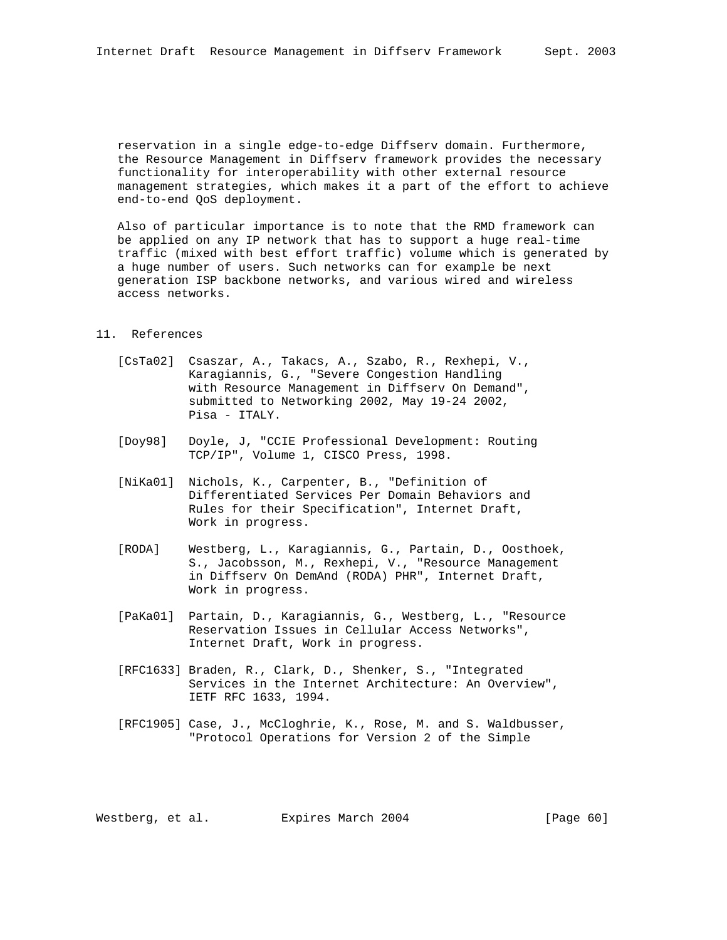reservation in a single edge-to-edge Diffserv domain. Furthermore, the Resource Management in Diffserv framework provides the necessary functionality for interoperability with other external resource management strategies, which makes it a part of the effort to achieve end-to-end QoS deployment.

 Also of particular importance is to note that the RMD framework can be applied on any IP network that has to support a huge real-time traffic (mixed with best effort traffic) volume which is generated by a huge number of users. Such networks can for example be next generation ISP backbone networks, and various wired and wireless access networks.

## 11. References

- [CsTa02] Csaszar, A., Takacs, A., Szabo, R., Rexhepi, V., Karagiannis, G., "Severe Congestion Handling with Resource Management in Diffserv On Demand", submitted to Networking 2002, May 19-24 2002, Pisa - ITALY.
- [Doy98] Doyle, J, "CCIE Professional Development: Routing TCP/IP", Volume 1, CISCO Press, 1998.
- [NiKa01] Nichols, K., Carpenter, B., "Definition of Differentiated Services Per Domain Behaviors and Rules for their Specification", Internet Draft, Work in progress.
- [RODA] Westberg, L., Karagiannis, G., Partain, D., Oosthoek, S., Jacobsson, M., Rexhepi, V., "Resource Management in Diffserv On DemAnd (RODA) PHR", Internet Draft, Work in progress.
- [PaKa01] Partain, D., Karagiannis, G., Westberg, L., "Resource Reservation Issues in Cellular Access Networks", Internet Draft, Work in progress.
- [RFC1633] Braden, R., Clark, D., Shenker, S., "Integrated Services in the Internet Architecture: An Overview", IETF RFC 1633, 1994.
- [RFC1905] Case, J., McCloghrie, K., Rose, M. and S. Waldbusser, "Protocol Operations for Version 2 of the Simple

Westberg, et al. Expires March 2004 [Page 60]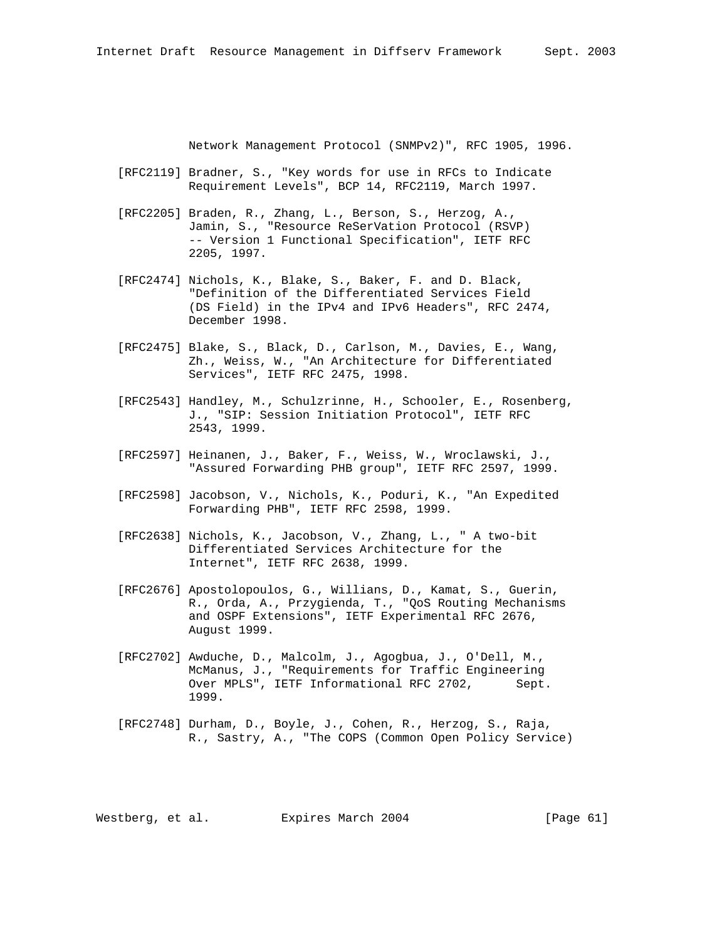Network Management Protocol (SNMPv2)", RFC 1905, 1996.

- [RFC2119] Bradner, S., "Key words for use in RFCs to Indicate Requirement Levels", BCP 14, RFC2119, March 1997.
- [RFC2205] Braden, R., Zhang, L., Berson, S., Herzog, A., Jamin, S., "Resource ReSerVation Protocol (RSVP) -- Version 1 Functional Specification", IETF RFC 2205, 1997.
- [RFC2474] Nichols, K., Blake, S., Baker, F. and D. Black, "Definition of the Differentiated Services Field (DS Field) in the IPv4 and IPv6 Headers", RFC 2474, December 1998.
- [RFC2475] Blake, S., Black, D., Carlson, M., Davies, E., Wang, Zh., Weiss, W., "An Architecture for Differentiated Services", IETF RFC 2475, 1998.
- [RFC2543] Handley, M., Schulzrinne, H., Schooler, E., Rosenberg, J., "SIP: Session Initiation Protocol", IETF RFC 2543, 1999.
- [RFC2597] Heinanen, J., Baker, F., Weiss, W., Wroclawski, J., "Assured Forwarding PHB group", IETF RFC 2597, 1999.
- [RFC2598] Jacobson, V., Nichols, K., Poduri, K., "An Expedited Forwarding PHB", IETF RFC 2598, 1999.
- [RFC2638] Nichols, K., Jacobson, V., Zhang, L., " A two-bit Differentiated Services Architecture for the Internet", IETF RFC 2638, 1999.
- [RFC2676] Apostolopoulos, G., Willians, D., Kamat, S., Guerin, R., Orda, A., Przygienda, T., "QoS Routing Mechanisms and OSPF Extensions", IETF Experimental RFC 2676, August 1999.
- [RFC2702] Awduche, D., Malcolm, J., Agogbua, J., O'Dell, M., McManus, J., "Requirements for Traffic Engineering Over MPLS", IETF Informational RFC 2702, Sept. 1999.
- [RFC2748] Durham, D., Boyle, J., Cohen, R., Herzog, S., Raja, R., Sastry, A., "The COPS (Common Open Policy Service)

Westberg, et al. Expires March 2004 [Page 61]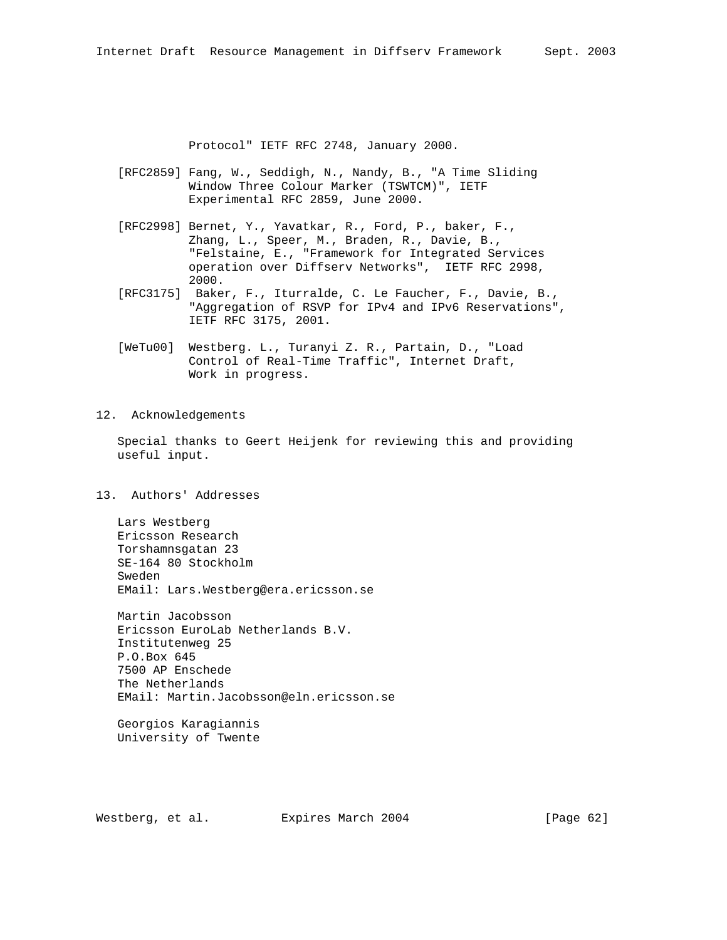Protocol" IETF RFC 2748, January 2000.

- [RFC2859] Fang, W., Seddigh, N., Nandy, B., "A Time Sliding Window Three Colour Marker (TSWTCM)", IETF Experimental RFC 2859, June 2000.
- [RFC2998] Bernet, Y., Yavatkar, R., Ford, P., baker, F., Zhang, L., Speer, M., Braden, R., Davie, B., "Felstaine, E., "Framework for Integrated Services operation over Diffserv Networks", IETF RFC 2998, 2000.
- [RFC3175] Baker, F., Iturralde, C. Le Faucher, F., Davie, B., "Aggregation of RSVP for IPv4 and IPv6 Reservations", IETF RFC 3175, 2001.
- [WeTu00] Westberg. L., Turanyi Z. R., Partain, D., "Load Control of Real-Time Traffic", Internet Draft, Work in progress.

## 12. Acknowledgements

 Special thanks to Geert Heijenk for reviewing this and providing useful input.

# 13. Authors' Addresses

 Lars Westberg Ericsson Research Torshamnsgatan 23 SE-164 80 Stockholm Sweden EMail: Lars.Westberg@era.ericsson.se

 Martin Jacobsson Ericsson EuroLab Netherlands B.V. Institutenweg 25 P.O.Box 645 7500 AP Enschede The Netherlands EMail: Martin.Jacobsson@eln.ericsson.se

 Georgios Karagiannis University of Twente

Westberg, et al. Expires March 2004 [Page 62]